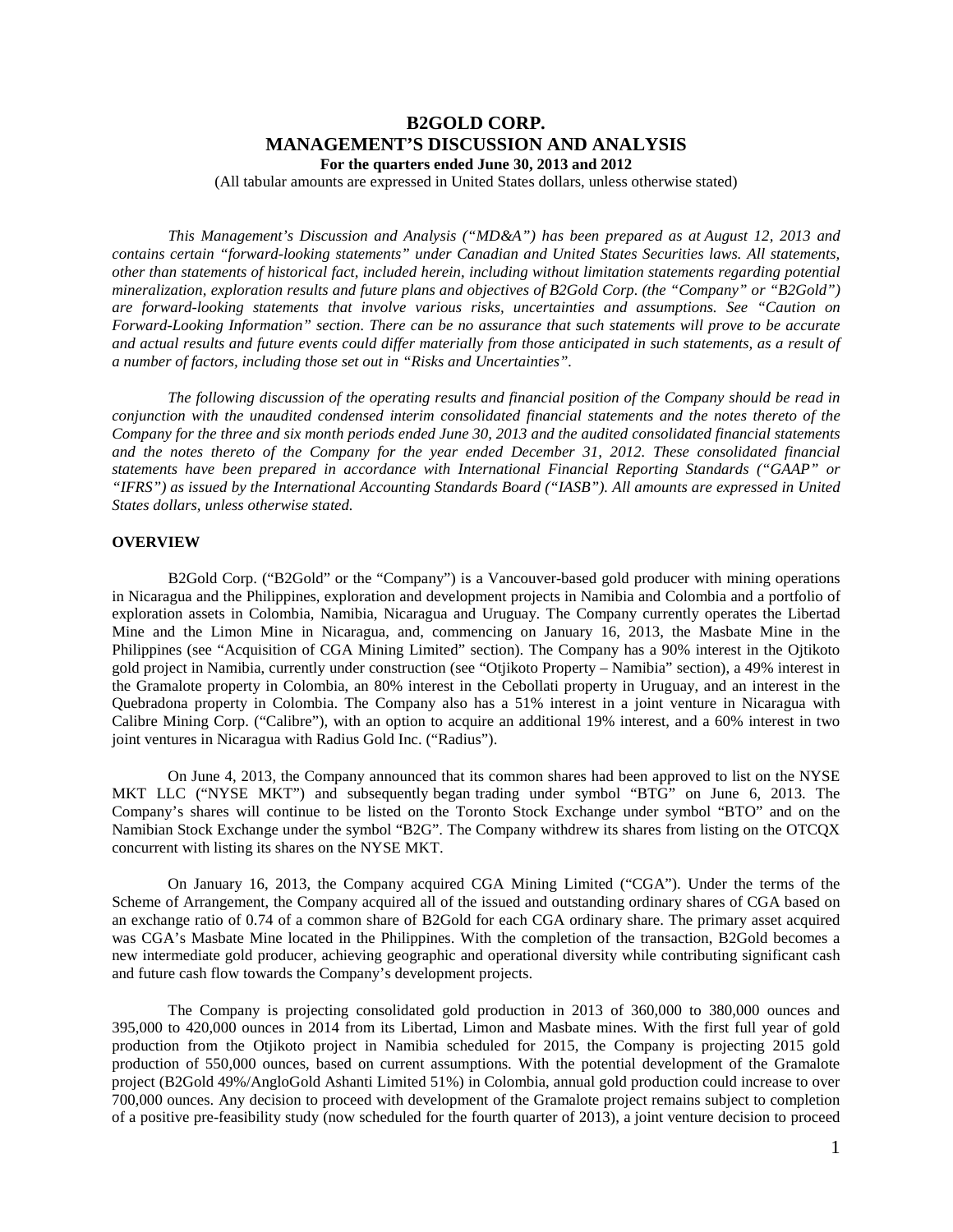# **B2GOLD CORP. MANAGEMENT'S DISCUSSION AND ANALYSIS For the quarters ended June 30, 2013 and 2012**

(All tabular amounts are expressed in United States dollars, unless otherwise stated)

*This Management's Discussion and Analysis ("MD&A") has been prepared as at August 12, 2013 and contains certain "forward-looking statements" under Canadian and United States Securities laws. All statements, other than statements of historical fact, included herein, including without limitation statements regarding potential mineralization, exploration results and future plans and objectives of B2Gold Corp. (the "Company" or "B2Gold") are forward-looking statements that involve various risks, uncertainties and assumptions. See "Caution on Forward-Looking Information" section. There can be no assurance that such statements will prove to be accurate and actual results and future events could differ materially from those anticipated in such statements, as a result of a number of factors, including those set out in "Risks and Uncertainties".*

*The following discussion of the operating results and financial position of the Company should be read in conjunction with the unaudited condensed interim consolidated financial statements and the notes thereto of the Company for the three and six month periods ended June 30, 2013 and the audited consolidated financial statements and the notes thereto of the Company for the year ended December 31, 2012. These consolidated financial statements have been prepared in accordance with International Financial Reporting Standards ("GAAP" or "IFRS") as issued by the International Accounting Standards Board ("IASB"). All amounts are expressed in United States dollars, unless otherwise stated.*

#### **OVERVIEW**

B2Gold Corp. ("B2Gold" or the "Company") is a Vancouver-based gold producer with mining operations in Nicaragua and the Philippines, exploration and development projects in Namibia and Colombia and a portfolio of exploration assets in Colombia, Namibia, Nicaragua and Uruguay. The Company currently operates the Libertad Mine and the Limon Mine in Nicaragua, and, commencing on January 16, 2013, the Masbate Mine in the Philippines (see "Acquisition of CGA Mining Limited" section). The Company has a 90% interest in the Ojtikoto gold project in Namibia, currently under construction (see "Otjikoto Property – Namibia" section), a 49% interest in the Gramalote property in Colombia, an 80% interest in the Cebollati property in Uruguay, and an interest in the Quebradona property in Colombia. The Company also has a 51% interest in a joint venture in Nicaragua with Calibre Mining Corp. ("Calibre"), with an option to acquire an additional 19% interest, and a 60% interest in two joint ventures in Nicaragua with Radius Gold Inc. ("Radius").

On June 4, 2013, the Company announced that its common shares had been approved to list on the NYSE MKT LLC ("NYSE MKT") and subsequently began trading under symbol "BTG" on June 6, 2013. The Company's shares will continue to be listed on the Toronto Stock Exchange under symbol "BTO" and on the Namibian Stock Exchange under the symbol "B2G". The Company withdrew its shares from listing on the OTCQX concurrent with listing its shares on the NYSE MKT.

On January 16, 2013, the Company acquired CGA Mining Limited ("CGA"). Under the terms of the Scheme of Arrangement, the Company acquired all of the issued and outstanding ordinary shares of CGA based on an exchange ratio of 0.74 of a common share of B2Gold for each CGA ordinary share. The primary asset acquired was CGA's Masbate Mine located in the Philippines. With the completion of the transaction, B2Gold becomes a new intermediate gold producer, achieving geographic and operational diversity while contributing significant cash and future cash flow towards the Company's development projects.

The Company is projecting consolidated gold production in 2013 of 360,000 to 380,000 ounces and 395,000 to 420,000 ounces in 2014 from its Libertad, Limon and Masbate mines. With the first full year of gold production from the Otjikoto project in Namibia scheduled for 2015, the Company is projecting 2015 gold production of 550,000 ounces, based on current assumptions. With the potential development of the Gramalote project (B2Gold 49%/AngloGold Ashanti Limited 51%) in Colombia, annual gold production could increase to over 700,000 ounces. Any decision to proceed with development of the Gramalote project remains subject to completion of a positive pre-feasibility study (now scheduled for the fourth quarter of 2013), a joint venture decision to proceed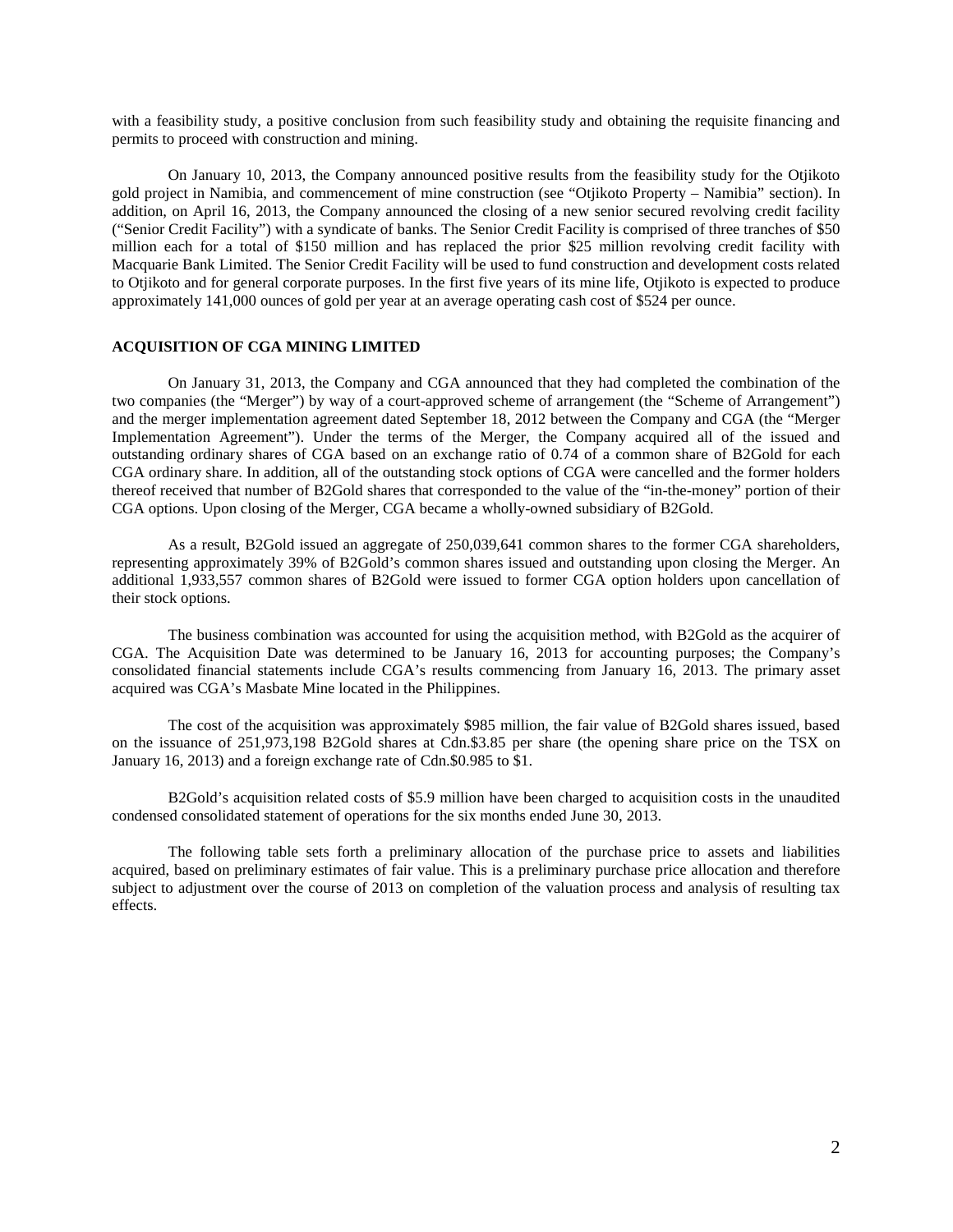with a feasibility study, a positive conclusion from such feasibility study and obtaining the requisite financing and permits to proceed with construction and mining.

On January 10, 2013, the Company announced positive results from the feasibility study for the Otjikoto gold project in Namibia, and commencement of mine construction (see "Otjikoto Property – Namibia" section). In addition, on April 16, 2013, the Company announced the closing of a new senior secured revolving credit facility ("Senior Credit Facility") with a syndicate of banks. The Senior Credit Facility is comprised of three tranches of \$50 million each for a total of \$150 million and has replaced the prior \$25 million revolving credit facility with Macquarie Bank Limited. The Senior Credit Facility will be used to fund construction and development costs related to Otjikoto and for general corporate purposes. In the first five years of its mine life, Otjikoto is expected to produce approximately 141,000 ounces of gold per year at an average operating cash cost of \$524 per ounce.

# **ACQUISITION OF CGA MINING LIMITED**

On January 31, 2013, the Company and CGA announced that they had completed the combination of the two companies (the "Merger") by way of a court-approved scheme of arrangement (the "Scheme of Arrangement") and the merger implementation agreement dated September 18, 2012 between the Company and CGA (the "Merger Implementation Agreement"). Under the terms of the Merger, the Company acquired all of the issued and outstanding ordinary shares of CGA based on an exchange ratio of 0.74 of a common share of B2Gold for each CGA ordinary share. In addition, all of the outstanding stock options of CGA were cancelled and the former holders thereof received that number of B2Gold shares that corresponded to the value of the "in-the-money" portion of their CGA options. Upon closing of the Merger, CGA became a wholly-owned subsidiary of B2Gold.

As a result, B2Gold issued an aggregate of 250,039,641 common shares to the former CGA shareholders, representing approximately 39% of B2Gold's common shares issued and outstanding upon closing the Merger. An additional 1,933,557 common shares of B2Gold were issued to former CGA option holders upon cancellation of their stock options.

The business combination was accounted for using the acquisition method, with B2Gold as the acquirer of CGA. The Acquisition Date was determined to be January 16, 2013 for accounting purposes; the Company's consolidated financial statements include CGA's results commencing from January 16, 2013. The primary asset acquired was CGA's Masbate Mine located in the Philippines.

The cost of the acquisition was approximately \$985 million, the fair value of B2Gold shares issued, based on the issuance of 251,973,198 B2Gold shares at Cdn.\$3.85 per share (the opening share price on the TSX on January 16, 2013) and a foreign exchange rate of Cdn.\$0.985 to \$1.

B2Gold's acquisition related costs of \$5.9 million have been charged to acquisition costs in the unaudited condensed consolidated statement of operations for the six months ended June 30, 2013.

The following table sets forth a preliminary allocation of the purchase price to assets and liabilities acquired, based on preliminary estimates of fair value. This is a preliminary purchase price allocation and therefore subject to adjustment over the course of 2013 on completion of the valuation process and analysis of resulting tax effects.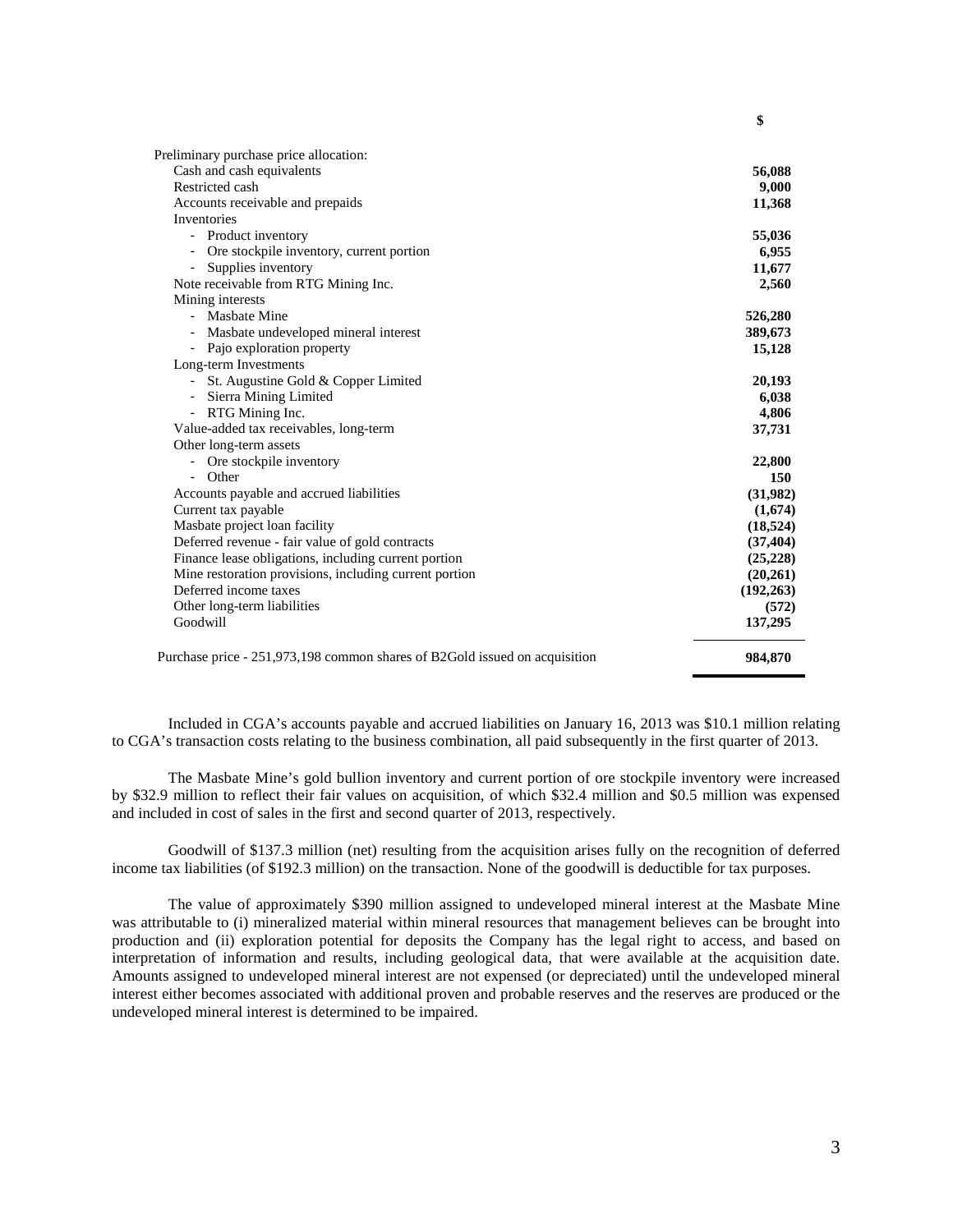| Preliminary purchase price allocation:                                     |            |
|----------------------------------------------------------------------------|------------|
| Cash and cash equivalents                                                  | 56,088     |
| Restricted cash                                                            | 9,000      |
| Accounts receivable and prepaids                                           | 11,368     |
| Inventories                                                                |            |
| - Product inventory                                                        | 55,036     |
| Ore stockpile inventory, current portion                                   | 6,955      |
| Supplies inventory                                                         | 11,677     |
| Note receivable from RTG Mining Inc.                                       | 2,560      |
| Mining interests                                                           |            |
| - Masbate Mine                                                             | 526,280    |
| Masbate undeveloped mineral interest                                       | 389,673    |
| - Pajo exploration property                                                | 15,128     |
| Long-term Investments                                                      |            |
| - St. Augustine Gold & Copper Limited                                      | 20,193     |
| Sierra Mining Limited<br>٠                                                 | 6,038      |
| - RTG Mining Inc.                                                          | 4,806      |
| Value-added tax receivables, long-term                                     | 37,731     |
| Other long-term assets                                                     |            |
| - Ore stockpile inventory                                                  | 22,800     |
| - Other                                                                    | 150        |
| Accounts payable and accrued liabilities                                   | (31,982)   |
| Current tax payable                                                        | (1,674)    |
| Masbate project loan facility                                              | (18, 524)  |
| Deferred revenue - fair value of gold contracts                            | (37, 404)  |
| Finance lease obligations, including current portion                       | (25, 228)  |
| Mine restoration provisions, including current portion                     | (20, 261)  |
| Deferred income taxes                                                      | (192, 263) |
| Other long-term liabilities                                                | (572)      |
| Goodwill                                                                   | 137,295    |
| Purchase price - 251,973,198 common shares of B2Gold issued on acquisition | 984,870    |

Included in CGA's accounts payable and accrued liabilities on January 16, 2013 was \$10.1 million relating to CGA's transaction costs relating to the business combination, all paid subsequently in the first quarter of 2013.

The Masbate Mine's gold bullion inventory and current portion of ore stockpile inventory were increased by \$32.9 million to reflect their fair values on acquisition, of which \$32.4 million and \$0.5 million was expensed and included in cost of sales in the first and second quarter of 2013, respectively.

Goodwill of \$137.3 million (net) resulting from the acquisition arises fully on the recognition of deferred income tax liabilities (of \$192.3 million) on the transaction. None of the goodwill is deductible for tax purposes.

The value of approximately \$390 million assigned to undeveloped mineral interest at the Masbate Mine was attributable to (i) mineralized material within mineral resources that management believes can be brought into production and (ii) exploration potential for deposits the Company has the legal right to access, and based on interpretation of information and results, including geological data, that were available at the acquisition date. Amounts assigned to undeveloped mineral interest are not expensed (or depreciated) until the undeveloped mineral interest either becomes associated with additional proven and probable reserves and the reserves are produced or the undeveloped mineral interest is determined to be impaired.

**\$**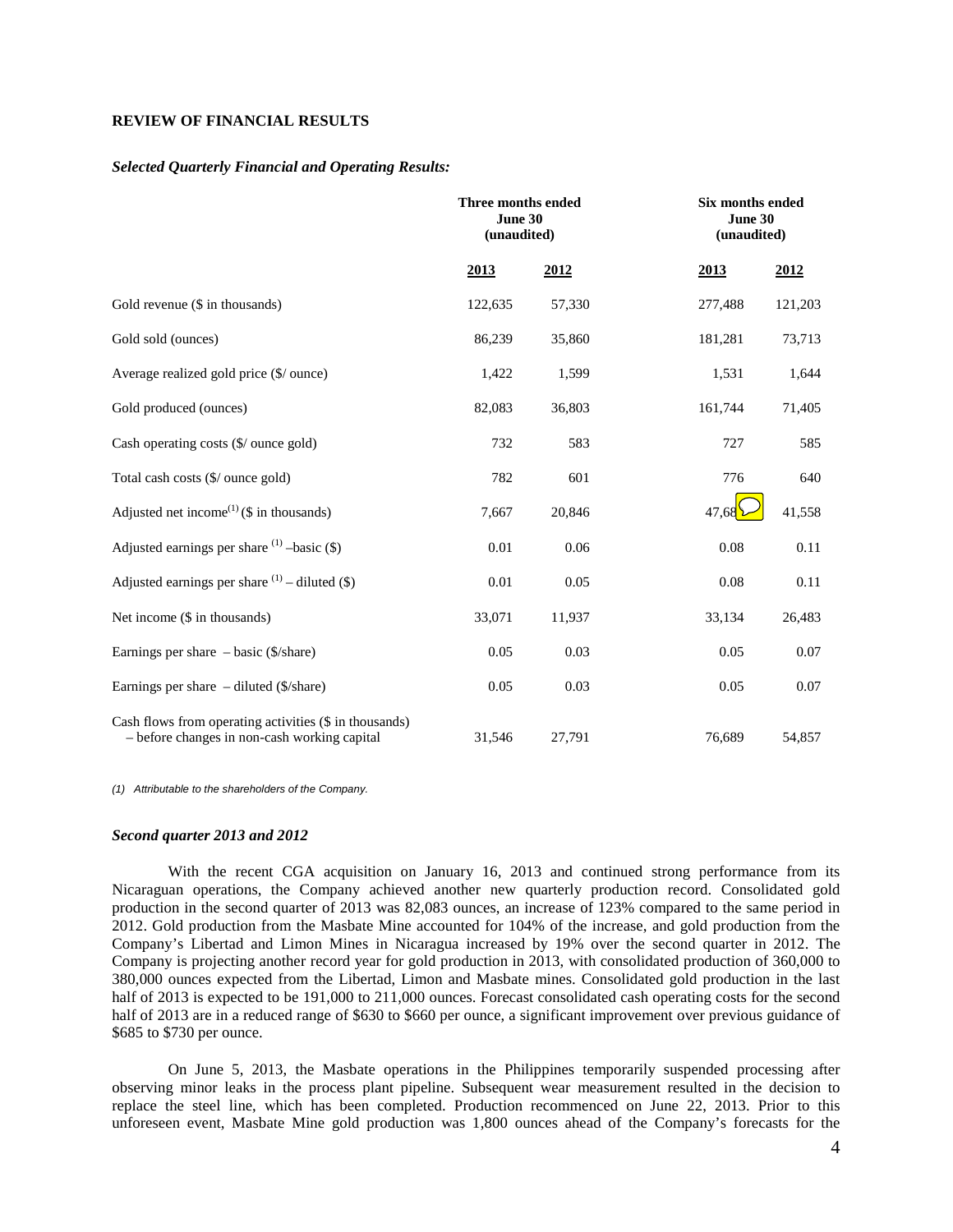# **REVIEW OF FINANCIAL RESULTS**

#### *Selected Quarterly Financial and Operating Results:*

|                                                                                                        | Three months ended<br>June 30<br>(unaudited) |        | <b>Six months ended</b><br>June 30<br>(unaudited) |         |
|--------------------------------------------------------------------------------------------------------|----------------------------------------------|--------|---------------------------------------------------|---------|
|                                                                                                        | 2013                                         | 2012   | 2013                                              | 2012    |
| Gold revenue (\$ in thousands)                                                                         | 122,635                                      | 57,330 | 277,488                                           | 121,203 |
| Gold sold (ounces)                                                                                     | 86,239                                       | 35,860 | 181,281                                           | 73,713  |
| Average realized gold price (\$/ ounce)                                                                | 1,422                                        | 1,599  | 1,531                                             | 1,644   |
| Gold produced (ounces)                                                                                 | 82,083                                       | 36,803 | 161,744                                           | 71,405  |
| Cash operating costs (\$/ ounce gold)                                                                  | 732                                          | 583    | 727                                               | 585     |
| Total cash costs (\$/ ounce gold)                                                                      | 782                                          | 601    | 776                                               | 640     |
| Adjusted net income <sup>(1)</sup> (\$ in thousands)                                                   | 7,667                                        | 20,846 | 47.68                                             | 41,558  |
| Adjusted earnings per share $(1)$ -basic $(\$)$                                                        | 0.01                                         | 0.06   | 0.08                                              | 0.11    |
| Adjusted earnings per share $(1)$ – diluted (\$)                                                       | 0.01                                         | 0.05   | 0.08                                              | 0.11    |
| Net income (\$ in thousands)                                                                           | 33,071                                       | 11,937 | 33,134                                            | 26,483  |
| Earnings per share $-$ basic (\$/share)                                                                | 0.05                                         | 0.03   | 0.05                                              | 0.07    |
| Earnings per share $-$ diluted ( $\frac{\sqrt{3}}{\sqrt{3}}$ )                                         | 0.05                                         | 0.03   | 0.05                                              | 0.07    |
| Cash flows from operating activities (\$ in thousands)<br>- before changes in non-cash working capital | 31,546                                       | 27,791 | 76,689                                            | 54,857  |

*(1) Attributable to the shareholders of the Company.* 

#### *Second quarter 2013 and 2012*

With the recent CGA acquisition on January 16, 2013 and continued strong performance from its Nicaraguan operations, the Company achieved another new quarterly production record. Consolidated gold production in the second quarter of 2013 was 82,083 ounces, an increase of 123% compared to the same period in 2012. Gold production from the Masbate Mine accounted for 104% of the increase, and gold production from the Company's Libertad and Limon Mines in Nicaragua increased by 19% over the second quarter in 2012. The Company is projecting another record year for gold production in 2013, with consolidated production of 360,000 to 380,000 ounces expected from the Libertad, Limon and Masbate mines. Consolidated gold production in the last half of 2013 is expected to be 191,000 to 211,000 ounces. Forecast consolidated cash operating costs for the second half of 2013 are in a reduced range of \$630 to \$660 per ounce, a significant improvement over previous guidance of \$685 to \$730 per ounce.

On June 5, 2013, the Masbate operations in the Philippines temporarily suspended processing after observing minor leaks in the process plant pipeline. Subsequent wear measurement resulted in the decision to replace the steel line, which has been completed. Production recommenced on June 22, 2013. Prior to this unforeseen event, Masbate Mine gold production was 1,800 ounces ahead of the Company's forecasts for the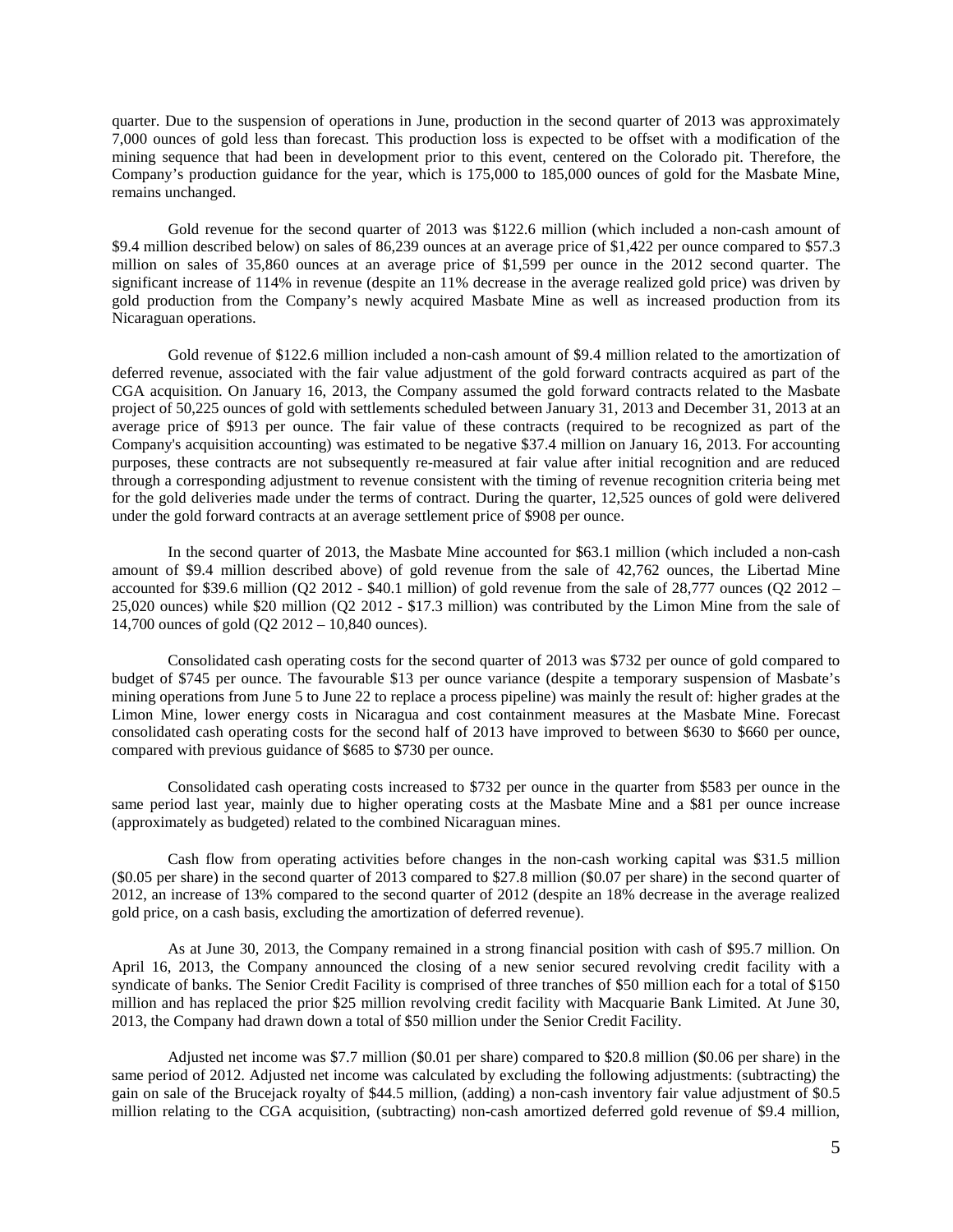quarter. Due to the suspension of operations in June, production in the second quarter of 2013 was approximately 7,000 ounces of gold less than forecast. This production loss is expected to be offset with a modification of the mining sequence that had been in development prior to this event, centered on the Colorado pit. Therefore, the Company's production guidance for the year, which is 175,000 to 185,000 ounces of gold for the Masbate Mine, remains unchanged.

Gold revenue for the second quarter of 2013 was \$122.6 million (which included a non-cash amount of \$9.4 million described below) on sales of 86,239 ounces at an average price of \$1,422 per ounce compared to \$57.3 million on sales of 35,860 ounces at an average price of \$1,599 per ounce in the 2012 second quarter. The significant increase of 114% in revenue (despite an 11% decrease in the average realized gold price) was driven by gold production from the Company's newly acquired Masbate Mine as well as increased production from its Nicaraguan operations.

Gold revenue of \$122.6 million included a non-cash amount of \$9.4 million related to the amortization of deferred revenue, associated with the fair value adjustment of the gold forward contracts acquired as part of the CGA acquisition. On January 16, 2013, the Company assumed the gold forward contracts related to the Masbate project of 50,225 ounces of gold with settlements scheduled between January 31, 2013 and December 31, 2013 at an average price of \$913 per ounce. The fair value of these contracts (required to be recognized as part of the Company's acquisition accounting) was estimated to be negative \$37.4 million on January 16, 2013. For accounting purposes, these contracts are not subsequently re-measured at fair value after initial recognition and are reduced through a corresponding adjustment to revenue consistent with the timing of revenue recognition criteria being met for the gold deliveries made under the terms of contract. During the quarter, 12,525 ounces of gold were delivered under the gold forward contracts at an average settlement price of \$908 per ounce.

In the second quarter of 2013, the Masbate Mine accounted for \$63.1 million (which included a non-cash amount of \$9.4 million described above) of gold revenue from the sale of 42,762 ounces, the Libertad Mine accounted for \$39.6 million (Q2 2012 - \$40.1 million) of gold revenue from the sale of 28,777 ounces (Q2 2012 – 25,020 ounces) while \$20 million (Q2 2012 - \$17.3 million) was contributed by the Limon Mine from the sale of 14,700 ounces of gold (Q2 2012 – 10,840 ounces).

Consolidated cash operating costs for the second quarter of 2013 was \$732 per ounce of gold compared to budget of \$745 per ounce. The favourable \$13 per ounce variance (despite a temporary suspension of Masbate's mining operations from June 5 to June 22 to replace a process pipeline) was mainly the result of: higher grades at the Limon Mine, lower energy costs in Nicaragua and cost containment measures at the Masbate Mine. Forecast consolidated cash operating costs for the second half of 2013 have improved to between \$630 to \$660 per ounce, compared with previous guidance of \$685 to \$730 per ounce.

Consolidated cash operating costs increased to \$732 per ounce in the quarter from \$583 per ounce in the same period last year, mainly due to higher operating costs at the Masbate Mine and a \$81 per ounce increase (approximately as budgeted) related to the combined Nicaraguan mines.

Cash flow from operating activities before changes in the non-cash working capital was \$31.5 million (\$0.05 per share) in the second quarter of 2013 compared to \$27.8 million (\$0.07 per share) in the second quarter of 2012, an increase of 13% compared to the second quarter of 2012 (despite an 18% decrease in the average realized gold price, on a cash basis, excluding the amortization of deferred revenue).

As at June 30, 2013, the Company remained in a strong financial position with cash of \$95.7 million. On April 16, 2013, the Company announced the closing of a new senior secured revolving credit facility with a syndicate of banks. The Senior Credit Facility is comprised of three tranches of \$50 million each for a total of \$150 million and has replaced the prior \$25 million revolving credit facility with Macquarie Bank Limited. At June 30, 2013, the Company had drawn down a total of \$50 million under the Senior Credit Facility.

Adjusted net income was \$7.7 million (\$0.01 per share) compared to \$20.8 million (\$0.06 per share) in the same period of 2012. Adjusted net income was calculated by excluding the following adjustments: (subtracting) the gain on sale of the Brucejack royalty of \$44.5 million, (adding) a non-cash inventory fair value adjustment of \$0.5 million relating to the CGA acquisition, (subtracting) non-cash amortized deferred gold revenue of \$9.4 million,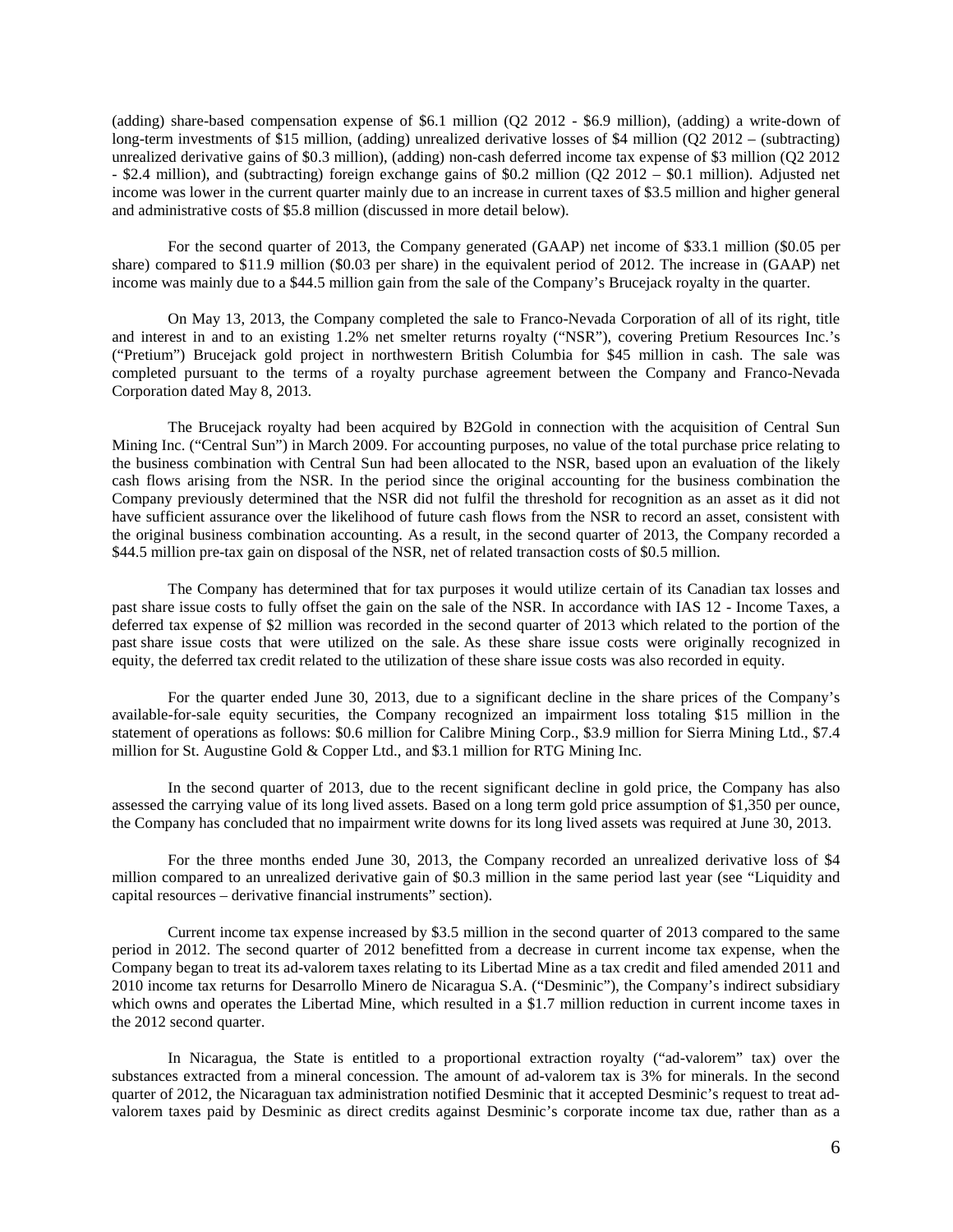(adding) share-based compensation expense of \$6.1 million (Q2 2012 - \$6.9 million), (adding) a write-down of long-term investments of \$15 million, (adding) unrealized derivative losses of \$4 million (Q2 2012 – (subtracting) unrealized derivative gains of \$0.3 million), (adding) non-cash deferred income tax expense of \$3 million (Q2 2012 - \$2.4 million), and (subtracting) foreign exchange gains of \$0.2 million (Q2 2012 – \$0.1 million). Adjusted net income was lower in the current quarter mainly due to an increase in current taxes of \$3.5 million and higher general and administrative costs of \$5.8 million (discussed in more detail below).

For the second quarter of 2013, the Company generated (GAAP) net income of \$33.1 million (\$0.05 per share) compared to \$11.9 million (\$0.03 per share) in the equivalent period of 2012. The increase in (GAAP) net income was mainly due to a \$44.5 million gain from the sale of the Company's Brucejack royalty in the quarter.

On May 13, 2013, the Company completed the sale to Franco-Nevada Corporation of all of its right, title and interest in and to an existing 1.2% net smelter returns royalty ("NSR"), covering Pretium Resources Inc.'s ("Pretium") Brucejack gold project in northwestern British Columbia for \$45 million in cash. The sale was completed pursuant to the terms of a royalty purchase agreement between the Company and Franco-Nevada Corporation dated May 8, 2013.

The Brucejack royalty had been acquired by B2Gold in connection with the acquisition of Central Sun Mining Inc. ("Central Sun") in March 2009. For accounting purposes, no value of the total purchase price relating to the business combination with Central Sun had been allocated to the NSR, based upon an evaluation of the likely cash flows arising from the NSR. In the period since the original accounting for the business combination the Company previously determined that the NSR did not fulfil the threshold for recognition as an asset as it did not have sufficient assurance over the likelihood of future cash flows from the NSR to record an asset, consistent with the original business combination accounting. As a result, in the second quarter of 2013, the Company recorded a \$44.5 million pre-tax gain on disposal of the NSR, net of related transaction costs of \$0.5 million.

The Company has determined that for tax purposes it would utilize certain of its Canadian tax losses and past share issue costs to fully offset the gain on the sale of the NSR. In accordance with IAS 12 - Income Taxes, a deferred tax expense of \$2 million was recorded in the second quarter of 2013 which related to the portion of the past share issue costs that were utilized on the sale. As these share issue costs were originally recognized in equity, the deferred tax credit related to the utilization of these share issue costs was also recorded in equity.

For the quarter ended June 30, 2013, due to a significant decline in the share prices of the Company's available-for-sale equity securities, the Company recognized an impairment loss totaling \$15 million in the statement of operations as follows: \$0.6 million for Calibre Mining Corp., \$3.9 million for Sierra Mining Ltd., \$7.4 million for St. Augustine Gold & Copper Ltd., and \$3.1 million for RTG Mining Inc.

In the second quarter of 2013, due to the recent significant decline in gold price, the Company has also assessed the carrying value of its long lived assets. Based on a long term gold price assumption of \$1,350 per ounce, the Company has concluded that no impairment write downs for its long lived assets was required at June 30, 2013.

For the three months ended June 30, 2013, the Company recorded an unrealized derivative loss of \$4 million compared to an unrealized derivative gain of \$0.3 million in the same period last year (see "Liquidity and capital resources – derivative financial instruments" section).

Current income tax expense increased by \$3.5 million in the second quarter of 2013 compared to the same period in 2012. The second quarter of 2012 benefitted from a decrease in current income tax expense, when the Company began to treat its ad-valorem taxes relating to its Libertad Mine as a tax credit and filed amended 2011 and 2010 income tax returns for Desarrollo Minero de Nicaragua S.A. ("Desminic"), the Company's indirect subsidiary which owns and operates the Libertad Mine, which resulted in a \$1.7 million reduction in current income taxes in the 2012 second quarter.

In Nicaragua, the State is entitled to a proportional extraction royalty ("ad-valorem" tax) over the substances extracted from a mineral concession. The amount of ad-valorem tax is 3% for minerals. In the second quarter of 2012, the Nicaraguan tax administration notified Desminic that it accepted Desminic's request to treat advalorem taxes paid by Desminic as direct credits against Desminic's corporate income tax due, rather than as a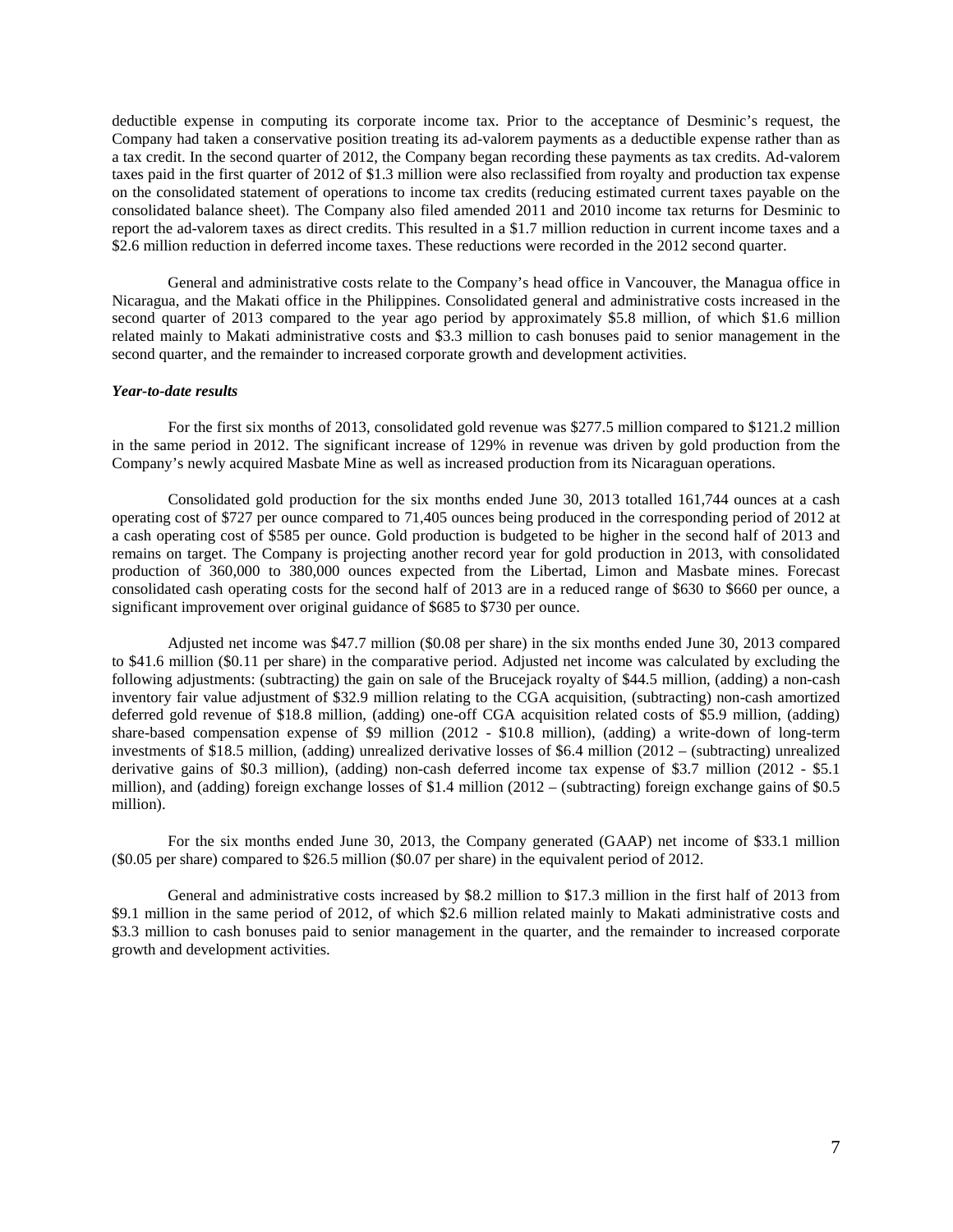deductible expense in computing its corporate income tax. Prior to the acceptance of Desminic's request, the Company had taken a conservative position treating its ad-valorem payments as a deductible expense rather than as a tax credit. In the second quarter of 2012, the Company began recording these payments as tax credits. Ad-valorem taxes paid in the first quarter of 2012 of \$1.3 million were also reclassified from royalty and production tax expense on the consolidated statement of operations to income tax credits (reducing estimated current taxes payable on the consolidated balance sheet). The Company also filed amended 2011 and 2010 income tax returns for Desminic to report the ad-valorem taxes as direct credits. This resulted in a \$1.7 million reduction in current income taxes and a \$2.6 million reduction in deferred income taxes. These reductions were recorded in the 2012 second quarter.

General and administrative costs relate to the Company's head office in Vancouver, the Managua office in Nicaragua, and the Makati office in the Philippines. Consolidated general and administrative costs increased in the second quarter of 2013 compared to the year ago period by approximately \$5.8 million, of which \$1.6 million related mainly to Makati administrative costs and \$3.3 million to cash bonuses paid to senior management in the second quarter, and the remainder to increased corporate growth and development activities.

## *Year-to-date results*

For the first six months of 2013, consolidated gold revenue was \$277.5 million compared to \$121.2 million in the same period in 2012. The significant increase of 129% in revenue was driven by gold production from the Company's newly acquired Masbate Mine as well as increased production from its Nicaraguan operations.

Consolidated gold production for the six months ended June 30, 2013 totalled 161,744 ounces at a cash operating cost of \$727 per ounce compared to 71,405 ounces being produced in the corresponding period of 2012 at a cash operating cost of \$585 per ounce. Gold production is budgeted to be higher in the second half of 2013 and remains on target. The Company is projecting another record year for gold production in 2013, with consolidated production of 360,000 to 380,000 ounces expected from the Libertad, Limon and Masbate mines. Forecast consolidated cash operating costs for the second half of 2013 are in a reduced range of \$630 to \$660 per ounce, a significant improvement over original guidance of \$685 to \$730 per ounce.

Adjusted net income was \$47.7 million (\$0.08 per share) in the six months ended June 30, 2013 compared to \$41.6 million (\$0.11 per share) in the comparative period. Adjusted net income was calculated by excluding the following adjustments: (subtracting) the gain on sale of the Brucejack royalty of \$44.5 million, (adding) a non-cash inventory fair value adjustment of \$32.9 million relating to the CGA acquisition, (subtracting) non-cash amortized deferred gold revenue of \$18.8 million, (adding) one-off CGA acquisition related costs of \$5.9 million, (adding) share-based compensation expense of \$9 million (2012 - \$10.8 million), (adding) a write-down of long-term investments of \$18.5 million, (adding) unrealized derivative losses of \$6.4 million (2012 – (subtracting) unrealized derivative gains of \$0.3 million), (adding) non-cash deferred income tax expense of \$3.7 million (2012 - \$5.1 million), and (adding) foreign exchange losses of \$1.4 million (2012 – (subtracting) foreign exchange gains of \$0.5 million).

For the six months ended June 30, 2013, the Company generated (GAAP) net income of \$33.1 million (\$0.05 per share) compared to \$26.5 million (\$0.07 per share) in the equivalent period of 2012.

General and administrative costs increased by \$8.2 million to \$17.3 million in the first half of 2013 from \$9.1 million in the same period of 2012, of which \$2.6 million related mainly to Makati administrative costs and \$3.3 million to cash bonuses paid to senior management in the quarter, and the remainder to increased corporate growth and development activities.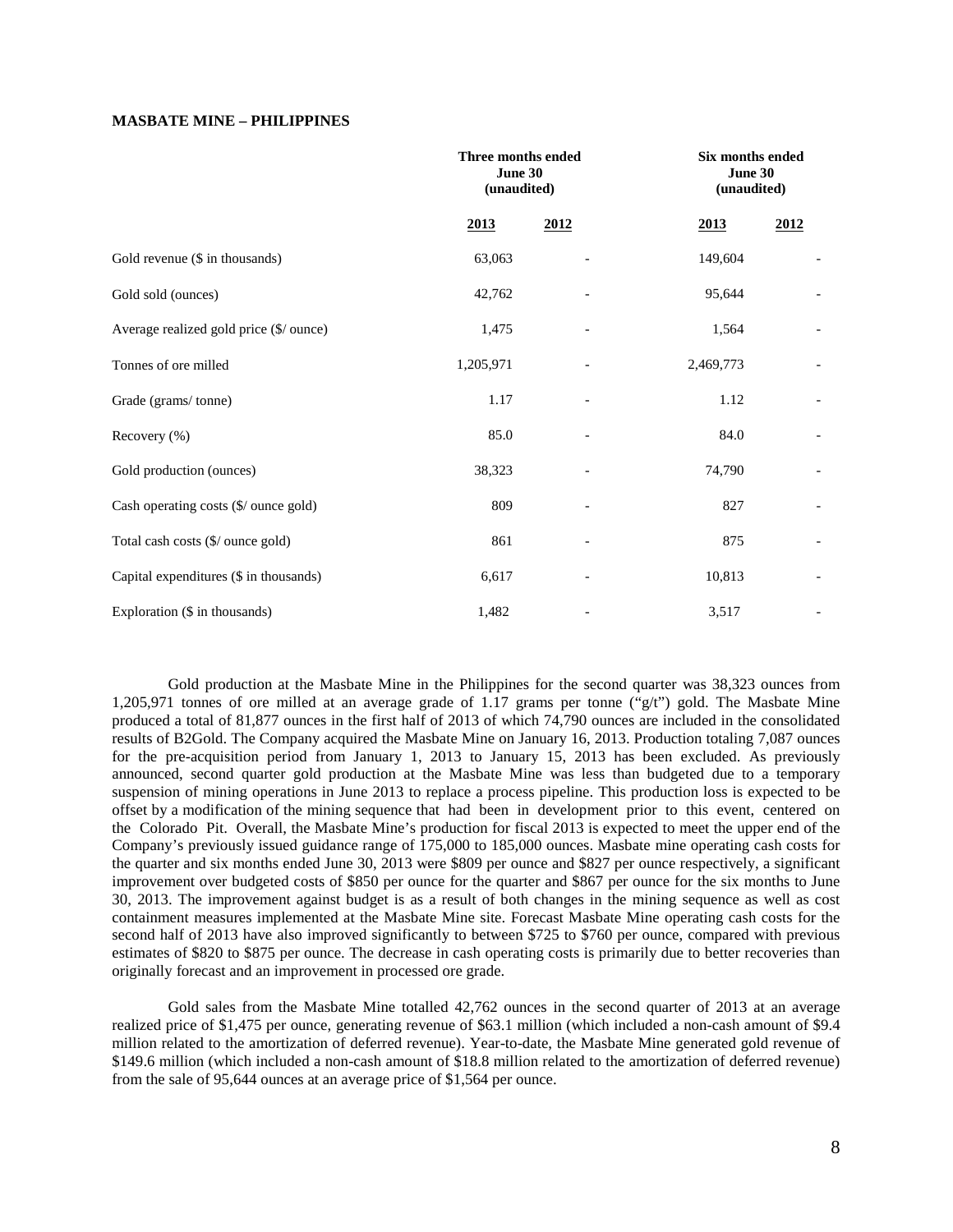# **MASBATE MINE – PHILIPPINES**

|                                         | Three months ended<br>June 30<br>(unaudited) |      | Six months ended<br>June 30<br>(unaudited) |      |  |
|-----------------------------------------|----------------------------------------------|------|--------------------------------------------|------|--|
|                                         | 2013                                         | 2012 | 2013                                       | 2012 |  |
| Gold revenue (\$ in thousands)          | 63,063                                       |      | 149,604                                    |      |  |
| Gold sold (ounces)                      | 42,762                                       |      | 95,644                                     |      |  |
| Average realized gold price (\$/ ounce) | 1,475                                        |      | 1,564                                      |      |  |
| Tonnes of ore milled                    | 1,205,971                                    |      | 2,469,773                                  |      |  |
| Grade (grams/tonne)                     | 1.17                                         |      | 1.12                                       |      |  |
| Recovery (%)                            | 85.0                                         |      | 84.0                                       |      |  |
| Gold production (ounces)                | 38,323                                       |      | 74,790                                     |      |  |
| Cash operating costs (\$/ ounce gold)   | 809                                          |      | 827                                        |      |  |
| Total cash costs (\$/ ounce gold)       | 861                                          |      | 875                                        |      |  |
| Capital expenditures (\$ in thousands)  | 6,617                                        |      | 10,813                                     |      |  |
| Exploration (\$ in thousands)           | 1,482                                        |      | 3,517                                      |      |  |

Gold production at the Masbate Mine in the Philippines for the second quarter was 38,323 ounces from 1,205,971 tonnes of ore milled at an average grade of 1.17 grams per tonne ("g/t") gold. The Masbate Mine produced a total of 81,877 ounces in the first half of 2013 of which 74,790 ounces are included in the consolidated results of B2Gold. The Company acquired the Masbate Mine on January 16, 2013. Production totaling 7,087 ounces for the pre-acquisition period from January 1, 2013 to January 15, 2013 has been excluded. As previously announced, second quarter gold production at the Masbate Mine was less than budgeted due to a temporary suspension of mining operations in June 2013 to replace a process pipeline. This production loss is expected to be offset by a modification of the mining sequence that had been in development prior to this event, centered on the Colorado Pit. Overall, the Masbate Mine's production for fiscal 2013 is expected to meet the upper end of the Company's previously issued guidance range of 175,000 to 185,000 ounces. Masbate mine operating cash costs for the quarter and six months ended June 30, 2013 were \$809 per ounce and \$827 per ounce respectively, a significant improvement over budgeted costs of \$850 per ounce for the quarter and \$867 per ounce for the six months to June 30, 2013. The improvement against budget is as a result of both changes in the mining sequence as well as cost containment measures implemented at the Masbate Mine site. Forecast Masbate Mine operating cash costs for the second half of 2013 have also improved significantly to between \$725 to \$760 per ounce, compared with previous estimates of \$820 to \$875 per ounce. The decrease in cash operating costs is primarily due to better recoveries than originally forecast and an improvement in processed ore grade.

Gold sales from the Masbate Mine totalled 42,762 ounces in the second quarter of 2013 at an average realized price of \$1,475 per ounce, generating revenue of \$63.1 million (which included a non-cash amount of \$9.4 million related to the amortization of deferred revenue). Year-to-date, the Masbate Mine generated gold revenue of \$149.6 million (which included a non-cash amount of \$18.8 million related to the amortization of deferred revenue) from the sale of 95,644 ounces at an average price of \$1,564 per ounce.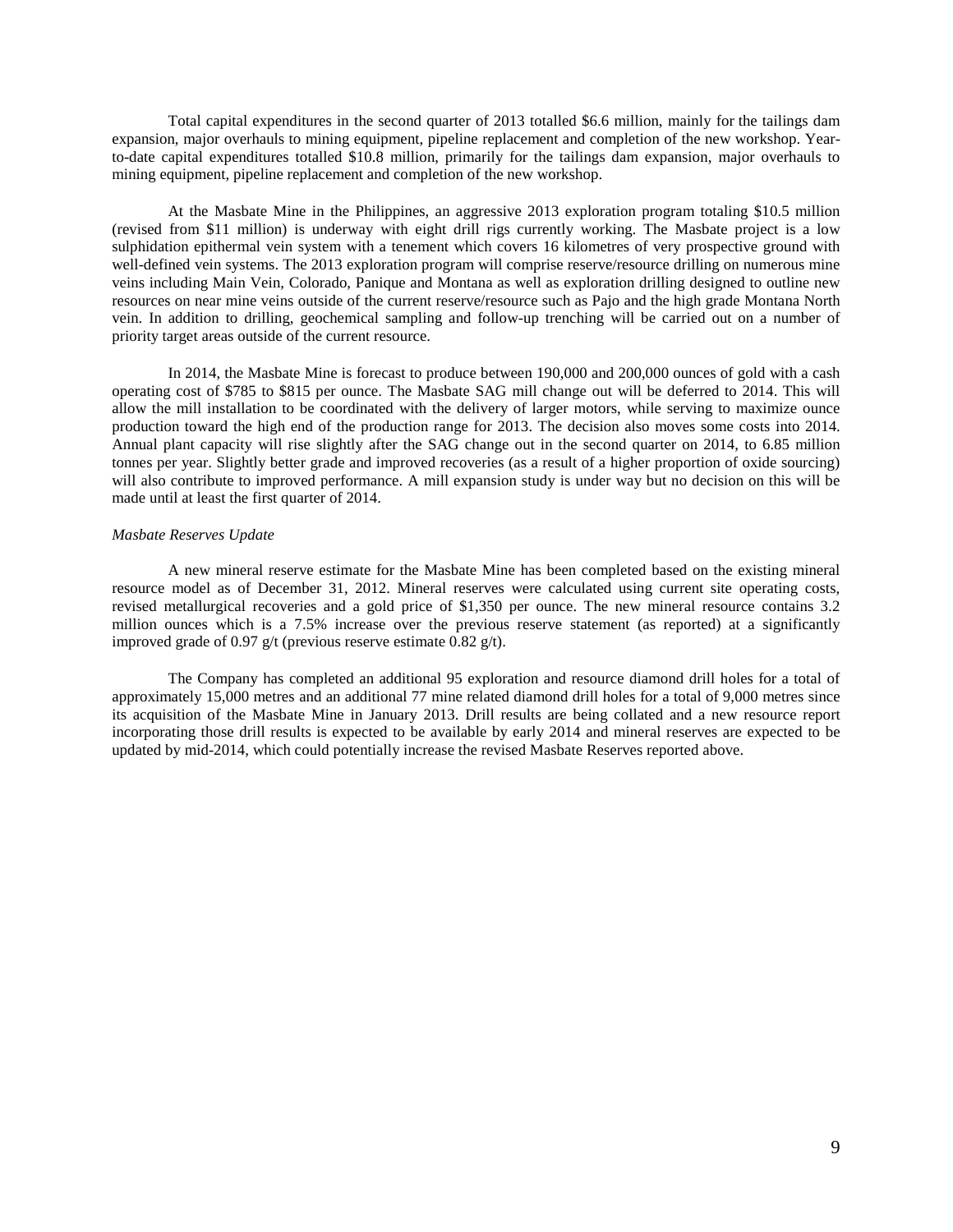Total capital expenditures in the second quarter of 2013 totalled \$6.6 million, mainly for the tailings dam expansion, major overhauls to mining equipment, pipeline replacement and completion of the new workshop. Yearto-date capital expenditures totalled \$10.8 million, primarily for the tailings dam expansion, major overhauls to mining equipment, pipeline replacement and completion of the new workshop.

At the Masbate Mine in the Philippines, an aggressive 2013 exploration program totaling \$10.5 million (revised from \$11 million) is underway with eight drill rigs currently working. The Masbate project is a low sulphidation epithermal vein system with a tenement which covers 16 kilometres of very prospective ground with well-defined vein systems. The 2013 exploration program will comprise reserve/resource drilling on numerous mine veins including Main Vein, Colorado, Panique and Montana as well as exploration drilling designed to outline new resources on near mine veins outside of the current reserve/resource such as Pajo and the high grade Montana North vein. In addition to drilling, geochemical sampling and follow-up trenching will be carried out on a number of priority target areas outside of the current resource.

In 2014, the Masbate Mine is forecast to produce between 190,000 and 200,000 ounces of gold with a cash operating cost of \$785 to \$815 per ounce. The Masbate SAG mill change out will be deferred to 2014. This will allow the mill installation to be coordinated with the delivery of larger motors, while serving to maximize ounce production toward the high end of the production range for 2013. The decision also moves some costs into 2014. Annual plant capacity will rise slightly after the SAG change out in the second quarter on 2014, to 6.85 million tonnes per year. Slightly better grade and improved recoveries (as a result of a higher proportion of oxide sourcing) will also contribute to improved performance. A mill expansion study is under way but no decision on this will be made until at least the first quarter of 2014.

### *Masbate Reserves Update*

A new mineral reserve estimate for the Masbate Mine has been completed based on the existing mineral resource model as of December 31, 2012. Mineral reserves were calculated using current site operating costs, revised metallurgical recoveries and a gold price of \$1,350 per ounce. The new mineral resource contains 3.2 million ounces which is a 7.5% increase over the previous reserve statement (as reported) at a significantly improved grade of 0.97 g/t (previous reserve estimate  $0.82$  g/t).

The Company has completed an additional 95 exploration and resource diamond drill holes for a total of approximately 15,000 metres and an additional 77 mine related diamond drill holes for a total of 9,000 metres since its acquisition of the Masbate Mine in January 2013. Drill results are being collated and a new resource report incorporating those drill results is expected to be available by early 2014 and mineral reserves are expected to be updated by mid-2014, which could potentially increase the revised Masbate Reserves reported above.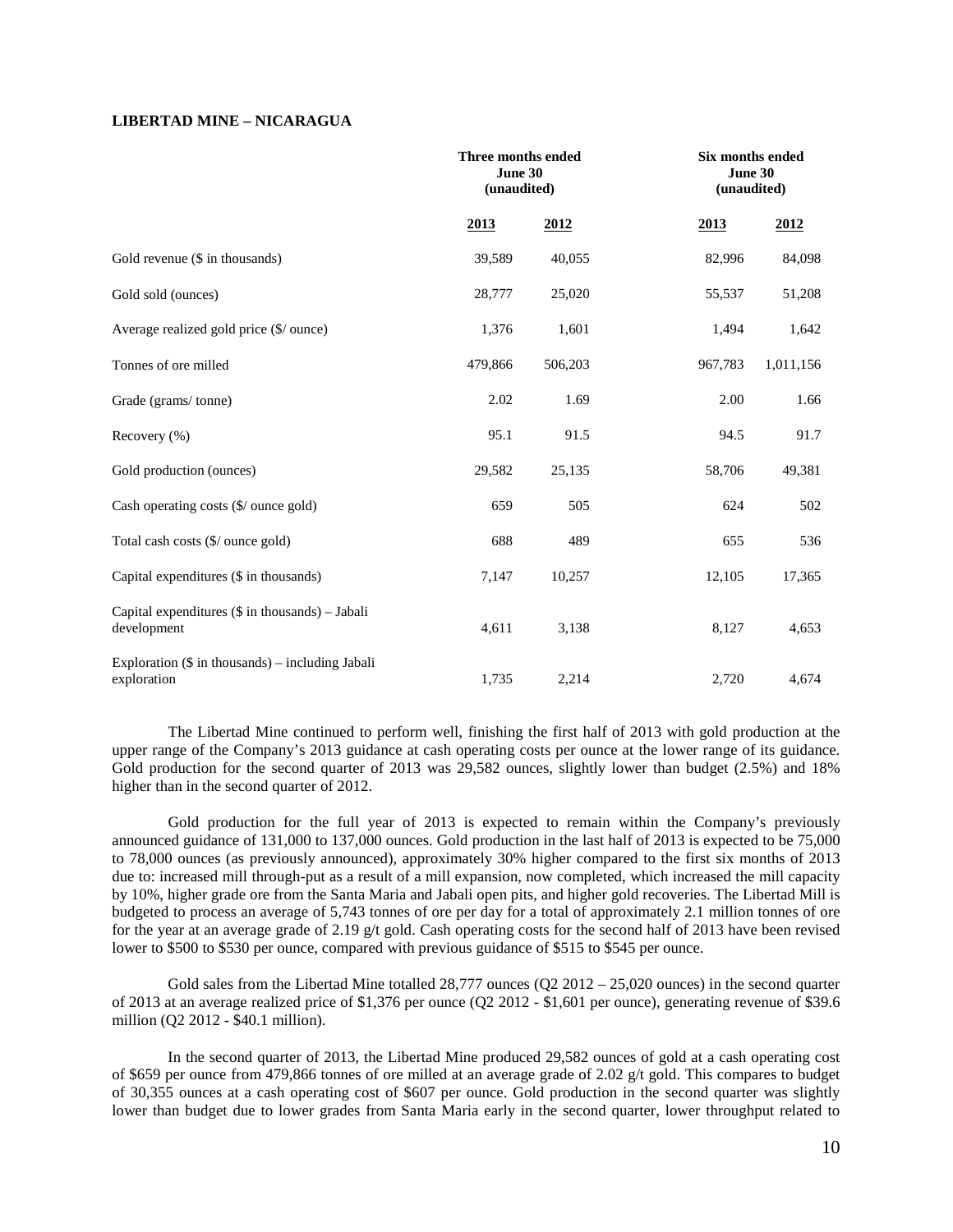# **LIBERTAD MINE – NICARAGUA**

|                                                                   | Three months ended<br>June 30<br>(unaudited) |         | Six months ended<br>June 30<br>(unaudited) |           |
|-------------------------------------------------------------------|----------------------------------------------|---------|--------------------------------------------|-----------|
|                                                                   | 2013                                         | 2012    | 2013                                       | 2012      |
| Gold revenue (\$ in thousands)                                    | 39,589                                       | 40,055  | 82,996                                     | 84,098    |
| Gold sold (ounces)                                                | 28,777                                       | 25,020  | 55,537                                     | 51,208    |
| Average realized gold price (\$/ ounce)                           | 1,376                                        | 1,601   | 1,494                                      | 1,642     |
| Tonnes of ore milled                                              | 479,866                                      | 506,203 | 967,783                                    | 1,011,156 |
| Grade (grams/tonne)                                               | 2.02                                         | 1.69    | 2.00                                       | 1.66      |
| Recovery (%)                                                      | 95.1                                         | 91.5    | 94.5                                       | 91.7      |
| Gold production (ounces)                                          | 29,582                                       | 25,135  | 58,706                                     | 49,381    |
| Cash operating costs (\$/ ounce gold)                             | 659                                          | 505     | 624                                        | 502       |
| Total cash costs (\$/ ounce gold)                                 | 688                                          | 489     | 655                                        | 536       |
| Capital expenditures (\$ in thousands)                            | 7,147                                        | 10,257  | 12,105                                     | 17,365    |
| Capital expenditures (\$ in thousands) - Jabali<br>development    | 4,611                                        | 3,138   | 8,127                                      | 4,653     |
| Exploration $(\$$ in thousands) – including Jabali<br>exploration | 1,735                                        | 2,214   | 2,720                                      | 4,674     |

The Libertad Mine continued to perform well, finishing the first half of 2013 with gold production at the upper range of the Company's 2013 guidance at cash operating costs per ounce at the lower range of its guidance. Gold production for the second quarter of 2013 was 29,582 ounces, slightly lower than budget (2.5%) and 18% higher than in the second quarter of 2012.

Gold production for the full year of 2013 is expected to remain within the Company's previously announced guidance of 131,000 to 137,000 ounces. Gold production in the last half of 2013 is expected to be 75,000 to 78,000 ounces (as previously announced), approximately 30% higher compared to the first six months of 2013 due to: increased mill through-put as a result of a mill expansion, now completed, which increased the mill capacity by 10%, higher grade ore from the Santa Maria and Jabali open pits, and higher gold recoveries. The Libertad Mill is budgeted to process an average of 5,743 tonnes of ore per day for a total of approximately 2.1 million tonnes of ore for the year at an average grade of 2.19 g/t gold. Cash operating costs for the second half of 2013 have been revised lower to \$500 to \$530 per ounce, compared with previous guidance of \$515 to \$545 per ounce.

Gold sales from the Libertad Mine totalled 28,777 ounces (Q2 2012 – 25,020 ounces) in the second quarter of 2013 at an average realized price of \$1,376 per ounce (Q2 2012 - \$1,601 per ounce), generating revenue of \$39.6 million (Q2 2012 - \$40.1 million).

In the second quarter of 2013, the Libertad Mine produced 29,582 ounces of gold at a cash operating cost of \$659 per ounce from 479,866 tonnes of ore milled at an average grade of 2.02 g/t gold. This compares to budget of 30,355 ounces at a cash operating cost of \$607 per ounce. Gold production in the second quarter was slightly lower than budget due to lower grades from Santa Maria early in the second quarter, lower throughput related to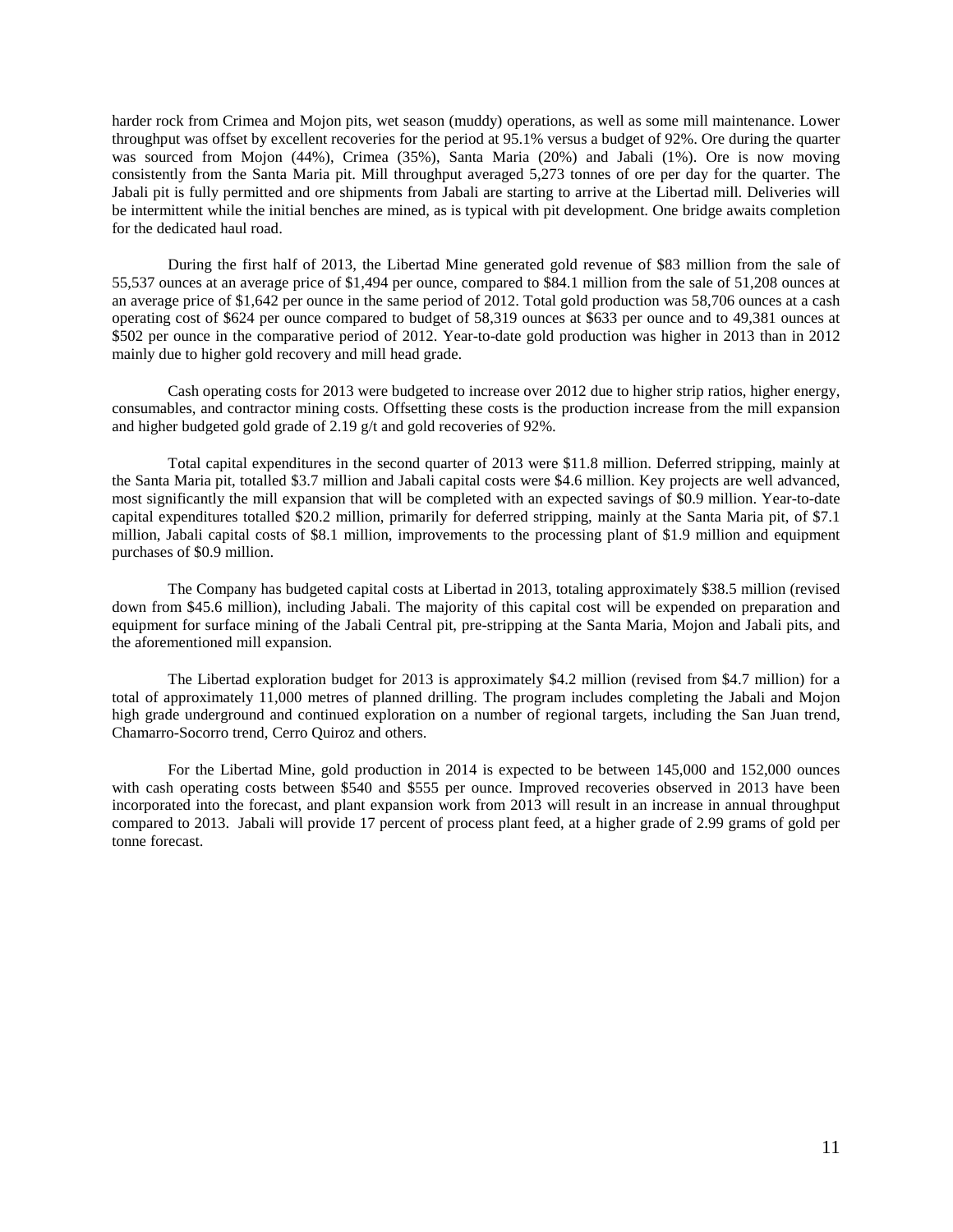harder rock from Crimea and Mojon pits, wet season (muddy) operations, as well as some mill maintenance. Lower throughput was offset by excellent recoveries for the period at 95.1% versus a budget of 92%. Ore during the quarter was sourced from Mojon (44%), Crimea (35%), Santa Maria (20%) and Jabali (1%). Ore is now moving consistently from the Santa Maria pit. Mill throughput averaged 5,273 tonnes of ore per day for the quarter. The Jabali pit is fully permitted and ore shipments from Jabali are starting to arrive at the Libertad mill. Deliveries will be intermittent while the initial benches are mined, as is typical with pit development. One bridge awaits completion for the dedicated haul road.

During the first half of 2013, the Libertad Mine generated gold revenue of \$83 million from the sale of 55,537 ounces at an average price of \$1,494 per ounce, compared to \$84.1 million from the sale of 51,208 ounces at an average price of \$1,642 per ounce in the same period of 2012. Total gold production was 58,706 ounces at a cash operating cost of \$624 per ounce compared to budget of 58,319 ounces at \$633 per ounce and to 49,381 ounces at \$502 per ounce in the comparative period of 2012. Year-to-date gold production was higher in 2013 than in 2012 mainly due to higher gold recovery and mill head grade.

Cash operating costs for 2013 were budgeted to increase over 2012 due to higher strip ratios, higher energy, consumables, and contractor mining costs. Offsetting these costs is the production increase from the mill expansion and higher budgeted gold grade of 2.19 g/t and gold recoveries of 92%.

Total capital expenditures in the second quarter of 2013 were \$11.8 million. Deferred stripping, mainly at the Santa Maria pit, totalled \$3.7 million and Jabali capital costs were \$4.6 million. Key projects are well advanced, most significantly the mill expansion that will be completed with an expected savings of \$0.9 million. Year-to-date capital expenditures totalled \$20.2 million, primarily for deferred stripping, mainly at the Santa Maria pit, of \$7.1 million, Jabali capital costs of \$8.1 million, improvements to the processing plant of \$1.9 million and equipment purchases of \$0.9 million.

The Company has budgeted capital costs at Libertad in 2013, totaling approximately \$38.5 million (revised down from \$45.6 million), including Jabali. The majority of this capital cost will be expended on preparation and equipment for surface mining of the Jabali Central pit, pre-stripping at the Santa Maria, Mojon and Jabali pits, and the aforementioned mill expansion.

The Libertad exploration budget for 2013 is approximately \$4.2 million (revised from \$4.7 million) for a total of approximately 11,000 metres of planned drilling. The program includes completing the Jabali and Mojon high grade underground and continued exploration on a number of regional targets, including the San Juan trend, Chamarro-Socorro trend, Cerro Quiroz and others.

For the Libertad Mine, gold production in 2014 is expected to be between 145,000 and 152,000 ounces with cash operating costs between \$540 and \$555 per ounce. Improved recoveries observed in 2013 have been incorporated into the forecast, and plant expansion work from 2013 will result in an increase in annual throughput compared to 2013. Jabali will provide 17 percent of process plant feed, at a higher grade of 2.99 grams of gold per tonne forecast.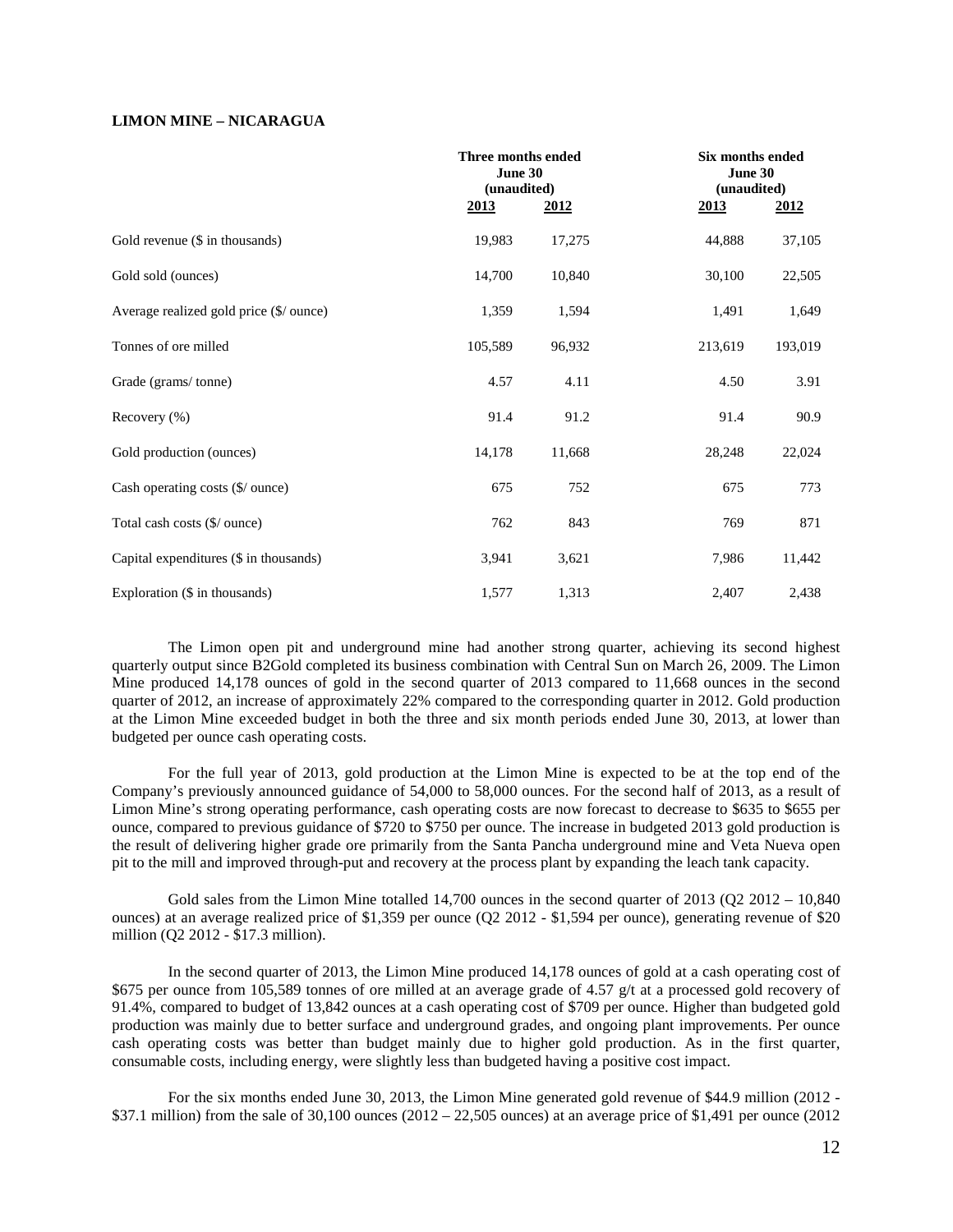# **LIMON MINE – NICARAGUA**

|                                                  |         | Three months ended<br>June 30<br>(unaudited) |         | Six months ended<br>June 30<br>(unaudited) |
|--------------------------------------------------|---------|----------------------------------------------|---------|--------------------------------------------|
|                                                  | 2013    | 2012                                         | 2013    | 2012                                       |
| Gold revenue (\$ in thousands)                   | 19,983  | 17,275                                       | 44,888  | 37,105                                     |
| Gold sold (ounces)                               | 14,700  | 10,840                                       | 30,100  | 22,505                                     |
| Average realized gold price (\$/ ounce)          | 1,359   | 1,594                                        | 1,491   | 1,649                                      |
| Tonnes of ore milled                             | 105,589 | 96,932                                       | 213,619 | 193,019                                    |
| Grade (grams/tonne)                              | 4.57    | 4.11                                         | 4.50    | 3.91                                       |
| Recovery (%)                                     | 91.4    | 91.2                                         | 91.4    | 90.9                                       |
| Gold production (ounces)                         | 14,178  | 11,668                                       | 28,248  | 22,024                                     |
| Cash operating costs $(\frac{6}{\omega})$ ounce) | 675     | 752                                          | 675     | 773                                        |
| Total cash costs (\$/ ounce)                     | 762     | 843                                          | 769     | 871                                        |
| Capital expenditures (\$ in thousands)           | 3,941   | 3,621                                        | 7,986   | 11,442                                     |
| Exploration (\$ in thousands)                    | 1,577   | 1,313                                        | 2,407   | 2,438                                      |

The Limon open pit and underground mine had another strong quarter, achieving its second highest quarterly output since B2Gold completed its business combination with Central Sun on March 26, 2009. The Limon Mine produced 14,178 ounces of gold in the second quarter of 2013 compared to 11,668 ounces in the second quarter of 2012, an increase of approximately 22% compared to the corresponding quarter in 2012. Gold production at the Limon Mine exceeded budget in both the three and six month periods ended June 30, 2013, at lower than budgeted per ounce cash operating costs.

For the full year of 2013, gold production at the Limon Mine is expected to be at the top end of the Company's previously announced guidance of 54,000 to 58,000 ounces. For the second half of 2013, as a result of Limon Mine's strong operating performance, cash operating costs are now forecast to decrease to \$635 to \$655 per ounce, compared to previous guidance of \$720 to \$750 per ounce. The increase in budgeted 2013 gold production is the result of delivering higher grade ore primarily from the Santa Pancha underground mine and Veta Nueva open pit to the mill and improved through-put and recovery at the process plant by expanding the leach tank capacity.

Gold sales from the Limon Mine totalled 14,700 ounces in the second quarter of 2013 (Q2 2012 – 10,840) ounces) at an average realized price of \$1,359 per ounce (Q2 2012 - \$1,594 per ounce), generating revenue of \$20 million (Q2 2012 - \$17.3 million).

In the second quarter of 2013, the Limon Mine produced 14,178 ounces of gold at a cash operating cost of \$675 per ounce from 105,589 tonnes of ore milled at an average grade of 4.57 g/t at a processed gold recovery of 91.4%, compared to budget of 13,842 ounces at a cash operating cost of \$709 per ounce. Higher than budgeted gold production was mainly due to better surface and underground grades, and ongoing plant improvements. Per ounce cash operating costs was better than budget mainly due to higher gold production. As in the first quarter, consumable costs, including energy, were slightly less than budgeted having a positive cost impact.

For the six months ended June 30, 2013, the Limon Mine generated gold revenue of \$44.9 million (2012 - \$37.1 million) from the sale of  $30,100$  ounces  $(2012 - 22,505$  ounces) at an average price of \$1,491 per ounce  $(2012 - 22,505)$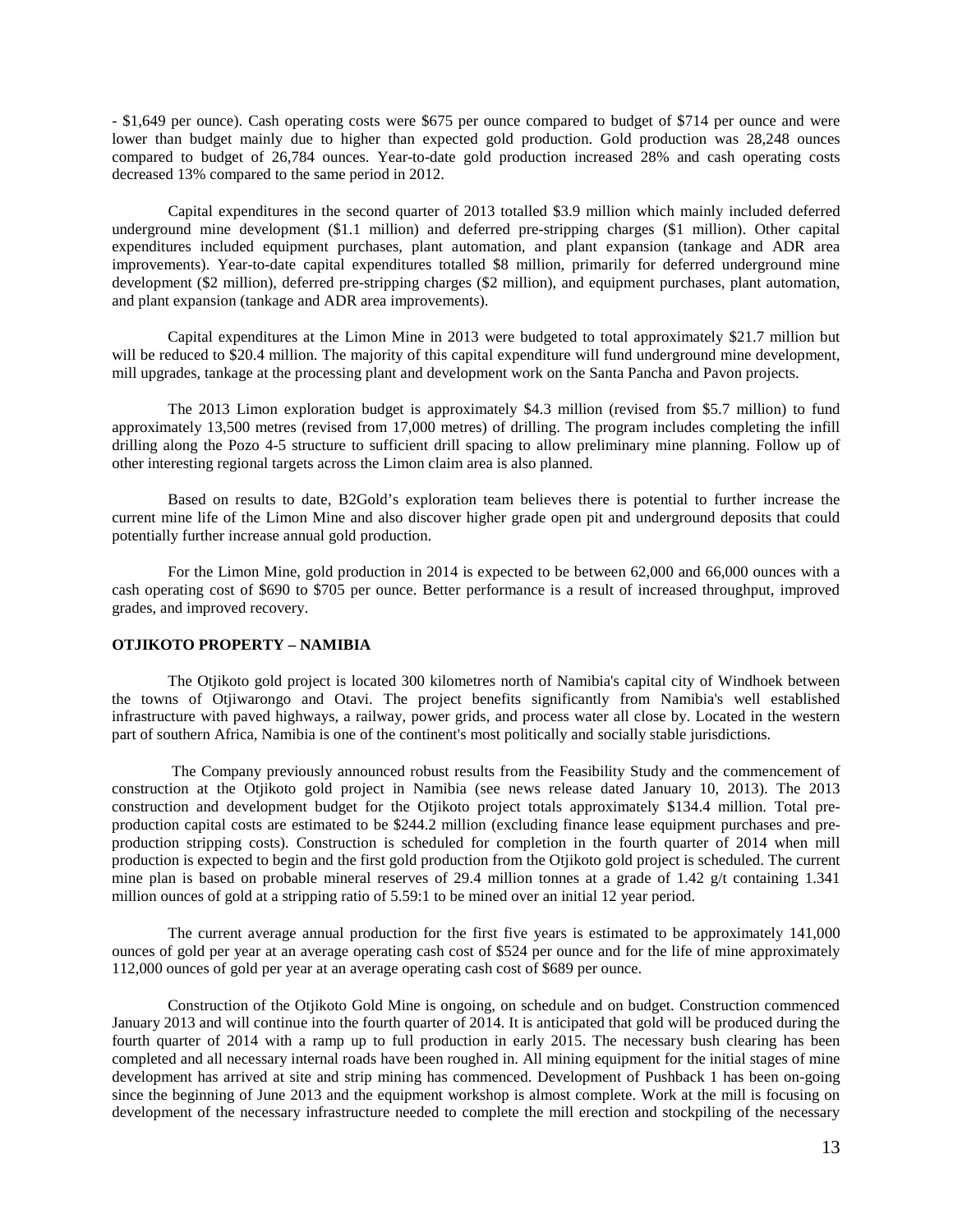- \$1,649 per ounce). Cash operating costs were \$675 per ounce compared to budget of \$714 per ounce and were lower than budget mainly due to higher than expected gold production. Gold production was 28,248 ounces compared to budget of 26,784 ounces. Year-to-date gold production increased 28% and cash operating costs decreased 13% compared to the same period in 2012.

Capital expenditures in the second quarter of 2013 totalled \$3.9 million which mainly included deferred underground mine development (\$1.1 million) and deferred pre-stripping charges (\$1 million). Other capital expenditures included equipment purchases, plant automation, and plant expansion (tankage and ADR area improvements). Year-to-date capital expenditures totalled \$8 million, primarily for deferred underground mine development (\$2 million), deferred pre-stripping charges (\$2 million), and equipment purchases, plant automation, and plant expansion (tankage and ADR area improvements).

Capital expenditures at the Limon Mine in 2013 were budgeted to total approximately \$21.7 million but will be reduced to \$20.4 million. The majority of this capital expenditure will fund underground mine development, mill upgrades, tankage at the processing plant and development work on the Santa Pancha and Pavon projects.

The 2013 Limon exploration budget is approximately \$4.3 million (revised from \$5.7 million) to fund approximately 13,500 metres (revised from 17,000 metres) of drilling. The program includes completing the infill drilling along the Pozo 4-5 structure to sufficient drill spacing to allow preliminary mine planning. Follow up of other interesting regional targets across the Limon claim area is also planned.

Based on results to date, B2Gold's exploration team believes there is potential to further increase the current mine life of the Limon Mine and also discover higher grade open pit and underground deposits that could potentially further increase annual gold production.

For the Limon Mine, gold production in 2014 is expected to be between 62,000 and 66,000 ounces with a cash operating cost of \$690 to \$705 per ounce. Better performance is a result of increased throughput, improved grades, and improved recovery.

## **OTJIKOTO PROPERTY – NAMIBIA**

The Otjikoto gold project is located 300 kilometres north of Namibia's capital city of Windhoek between the towns of Otjiwarongo and Otavi. The project benefits significantly from Namibia's well established infrastructure with paved highways, a railway, power grids, and process water all close by. Located in the western part of southern Africa, Namibia is one of the continent's most politically and socially stable jurisdictions.

The Company previously announced robust results from the Feasibility Study and the commencement of construction at the Otjikoto gold project in Namibia (see news release dated January 10, 2013). The 2013 construction and development budget for the Otjikoto project totals approximately \$134.4 million. Total preproduction capital costs are estimated to be \$244.2 million (excluding finance lease equipment purchases and preproduction stripping costs). Construction is scheduled for completion in the fourth quarter of 2014 when mill production is expected to begin and the first gold production from the Otjikoto gold project is scheduled. The current mine plan is based on probable mineral reserves of 29.4 million tonnes at a grade of 1.42 g/t containing 1.341 million ounces of gold at a stripping ratio of 5.59:1 to be mined over an initial 12 year period.

The current average annual production for the first five years is estimated to be approximately 141,000 ounces of gold per year at an average operating cash cost of \$524 per ounce and for the life of mine approximately 112,000 ounces of gold per year at an average operating cash cost of \$689 per ounce.

Construction of the Otjikoto Gold Mine is ongoing, on schedule and on budget. Construction commenced January 2013 and will continue into the fourth quarter of 2014. It is anticipated that gold will be produced during the fourth quarter of 2014 with a ramp up to full production in early 2015. The necessary bush clearing has been completed and all necessary internal roads have been roughed in. All mining equipment for the initial stages of mine development has arrived at site and strip mining has commenced. Development of Pushback 1 has been on-going since the beginning of June 2013 and the equipment workshop is almost complete. Work at the mill is focusing on development of the necessary infrastructure needed to complete the mill erection and stockpiling of the necessary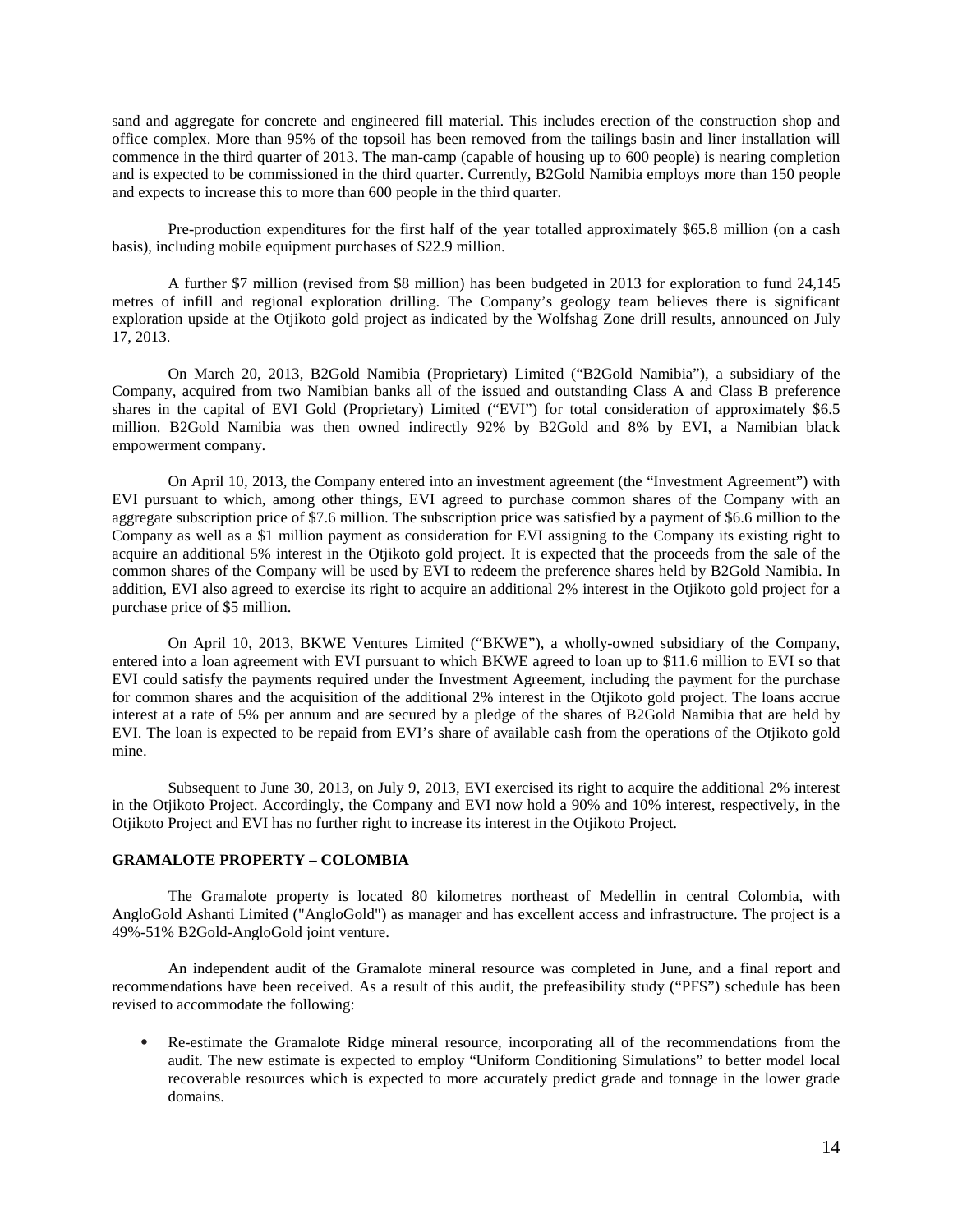sand and aggregate for concrete and engineered fill material. This includes erection of the construction shop and office complex. More than 95% of the topsoil has been removed from the tailings basin and liner installation will commence in the third quarter of 2013. The man-camp (capable of housing up to 600 people) is nearing completion and is expected to be commissioned in the third quarter. Currently, B2Gold Namibia employs more than 150 people and expects to increase this to more than 600 people in the third quarter.

Pre-production expenditures for the first half of the year totalled approximately \$65.8 million (on a cash basis), including mobile equipment purchases of \$22.9 million.

A further \$7 million (revised from \$8 million) has been budgeted in 2013 for exploration to fund 24,145 metres of infill and regional exploration drilling. The Company's geology team believes there is significant exploration upside at the Otjikoto gold project as indicated by the Wolfshag Zone drill results, announced on July 17, 2013.

On March 20, 2013, B2Gold Namibia (Proprietary) Limited ("B2Gold Namibia"), a subsidiary of the Company, acquired from two Namibian banks all of the issued and outstanding Class A and Class B preference shares in the capital of EVI Gold (Proprietary) Limited ("EVI") for total consideration of approximately \$6.5 million. B2Gold Namibia was then owned indirectly 92% by B2Gold and 8% by EVI, a Namibian black empowerment company.

On April 10, 2013, the Company entered into an investment agreement (the "Investment Agreement") with EVI pursuant to which, among other things, EVI agreed to purchase common shares of the Company with an aggregate subscription price of \$7.6 million. The subscription price was satisfied by a payment of \$6.6 million to the Company as well as a \$1 million payment as consideration for EVI assigning to the Company its existing right to acquire an additional 5% interest in the Otjikoto gold project. It is expected that the proceeds from the sale of the common shares of the Company will be used by EVI to redeem the preference shares held by B2Gold Namibia. In addition, EVI also agreed to exercise its right to acquire an additional 2% interest in the Otjikoto gold project for a purchase price of \$5 million.

On April 10, 2013, BKWE Ventures Limited ("BKWE"), a wholly-owned subsidiary of the Company, entered into a loan agreement with EVI pursuant to which BKWE agreed to loan up to \$11.6 million to EVI so that EVI could satisfy the payments required under the Investment Agreement, including the payment for the purchase for common shares and the acquisition of the additional 2% interest in the Otjikoto gold project. The loans accrue interest at a rate of 5% per annum and are secured by a pledge of the shares of B2Gold Namibia that are held by EVI. The loan is expected to be repaid from EVI's share of available cash from the operations of the Otjikoto gold mine.

Subsequent to June 30, 2013, on July 9, 2013, EVI exercised its right to acquire the additional 2% interest in the Otjikoto Project. Accordingly, the Company and EVI now hold a 90% and 10% interest, respectively, in the Otjikoto Project and EVI has no further right to increase its interest in the Otjikoto Project.

## **GRAMALOTE PROPERTY – COLOMBIA**

The Gramalote property is located 80 kilometres northeast of Medellin in central Colombia, with AngloGold Ashanti Limited ("AngloGold") as manager and has excellent access and infrastructure. The project is a 49%-51% B2Gold-AngloGold joint venture.

An independent audit of the Gramalote mineral resource was completed in June, and a final report and recommendations have been received. As a result of this audit, the prefeasibility study ("PFS") schedule has been revised to accommodate the following:

• Re-estimate the Gramalote Ridge mineral resource, incorporating all of the recommendations from the audit. The new estimate is expected to employ "Uniform Conditioning Simulations" to better model local recoverable resources which is expected to more accurately predict grade and tonnage in the lower grade domains.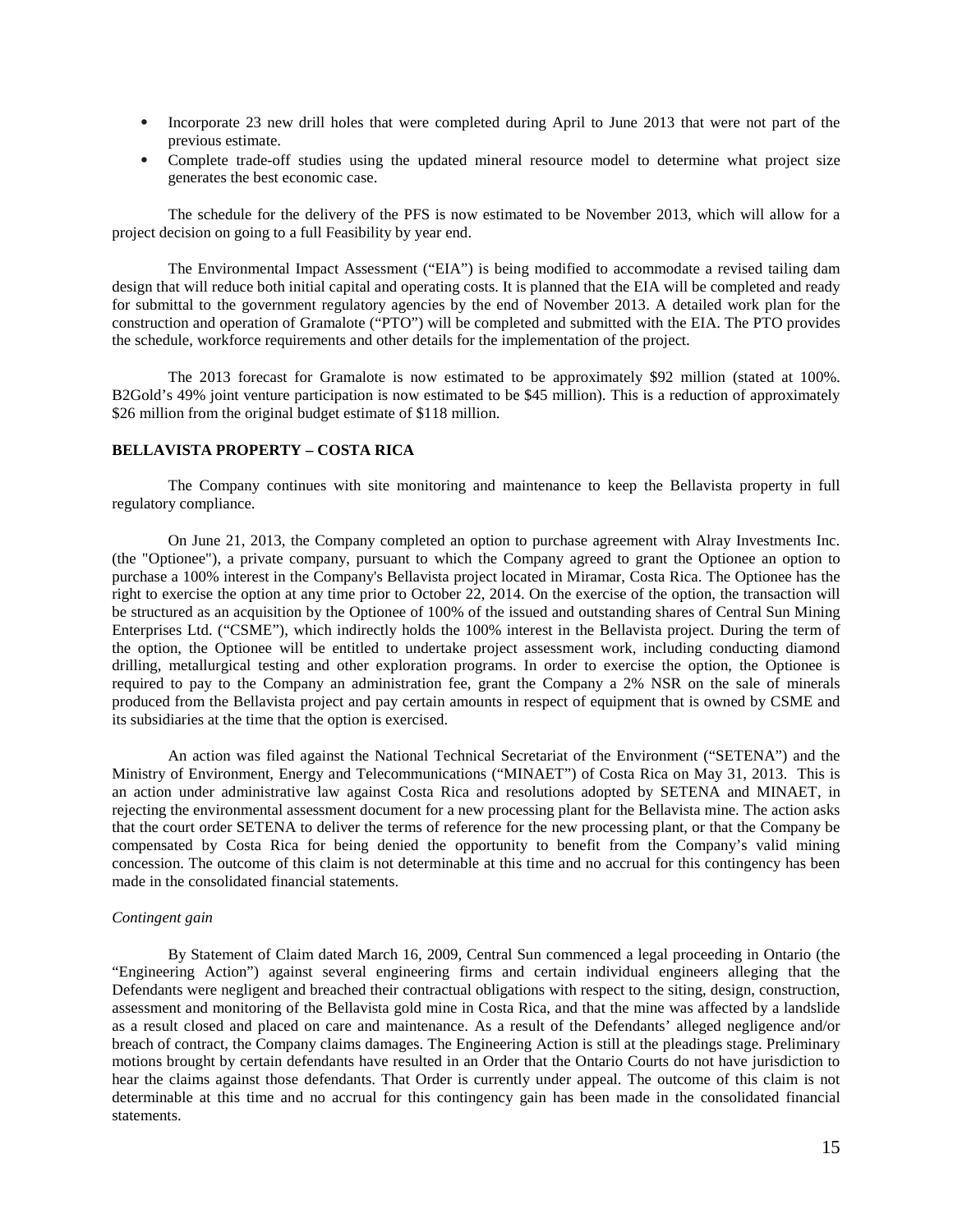- Incorporate 23 new drill holes that were completed during April to June 2013 that were not part of the previous estimate.
- Complete trade-off studies using the updated mineral resource model to determine what project size generates the best economic case.

The schedule for the delivery of the PFS is now estimated to be November 2013, which will allow for a project decision on going to a full Feasibility by year end.

The Environmental Impact Assessment ("EIA") is being modified to accommodate a revised tailing dam design that will reduce both initial capital and operating costs. It is planned that the EIA will be completed and ready for submittal to the government regulatory agencies by the end of November 2013. A detailed work plan for the construction and operation of Gramalote ("PTO") will be completed and submitted with the EIA. The PTO provides the schedule, workforce requirements and other details for the implementation of the project.

The 2013 forecast for Gramalote is now estimated to be approximately \$92 million (stated at 100%. B2Gold's 49% joint venture participation is now estimated to be \$45 million). This is a reduction of approximately \$26 million from the original budget estimate of \$118 million.

# **BELLAVISTA PROPERTY – COSTA RICA**

The Company continues with site monitoring and maintenance to keep the Bellavista property in full regulatory compliance.

On June 21, 2013, the Company completed an option to purchase agreement with Alray Investments Inc. (the "Optionee"), a private company, pursuant to which the Company agreed to grant the Optionee an option to purchase a 100% interest in the Company's Bellavista project located in Miramar, Costa Rica. The Optionee has the right to exercise the option at any time prior to October 22, 2014. On the exercise of the option, the transaction will be structured as an acquisition by the Optionee of 100% of the issued and outstanding shares of Central Sun Mining Enterprises Ltd. ("CSME"), which indirectly holds the 100% interest in the Bellavista project. During the term of the option, the Optionee will be entitled to undertake project assessment work, including conducting diamond drilling, metallurgical testing and other exploration programs. In order to exercise the option, the Optionee is required to pay to the Company an administration fee, grant the Company a 2% NSR on the sale of minerals produced from the Bellavista project and pay certain amounts in respect of equipment that is owned by CSME and its subsidiaries at the time that the option is exercised.

An action was filed against the National Technical Secretariat of the Environment ("SETENA") and the Ministry of Environment, Energy and Telecommunications ("MINAET") of Costa Rica on May 31, 2013. This is an action under administrative law against Costa Rica and resolutions adopted by SETENA and MINAET, in rejecting the environmental assessment document for a new processing plant for the Bellavista mine. The action asks that the court order SETENA to deliver the terms of reference for the new processing plant, or that the Company be compensated by Costa Rica for being denied the opportunity to benefit from the Company's valid mining concession. The outcome of this claim is not determinable at this time and no accrual for this contingency has been made in the consolidated financial statements.

### *Contingent gain*

By Statement of Claim dated March 16, 2009, Central Sun commenced a legal proceeding in Ontario (the "Engineering Action") against several engineering firms and certain individual engineers alleging that the Defendants were negligent and breached their contractual obligations with respect to the siting, design, construction, assessment and monitoring of the Bellavista gold mine in Costa Rica, and that the mine was affected by a landslide as a result closed and placed on care and maintenance. As a result of the Defendants' alleged negligence and/or breach of contract, the Company claims damages. The Engineering Action is still at the pleadings stage. Preliminary motions brought by certain defendants have resulted in an Order that the Ontario Courts do not have jurisdiction to hear the claims against those defendants. That Order is currently under appeal. The outcome of this claim is not determinable at this time and no accrual for this contingency gain has been made in the consolidated financial statements.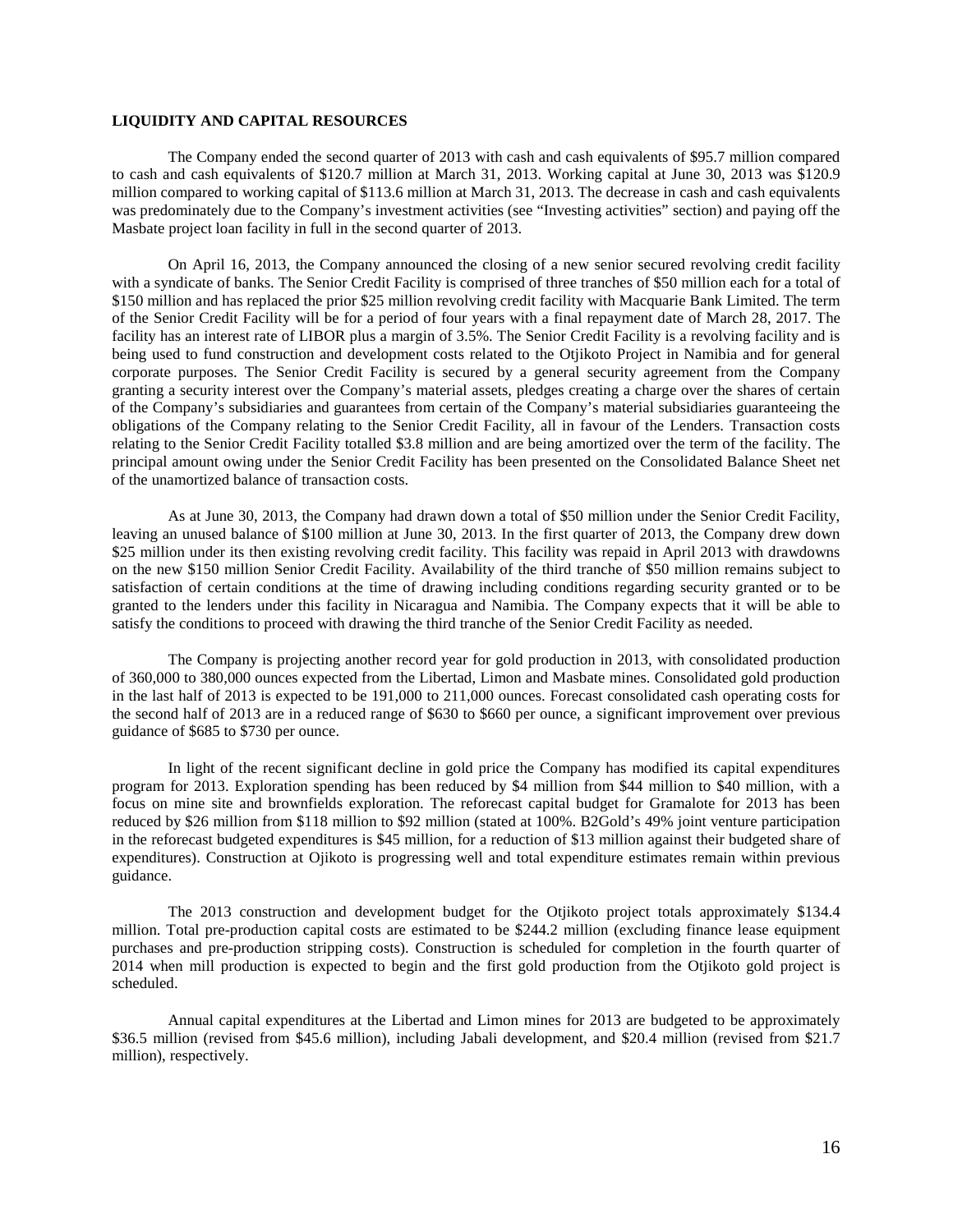# **LIQUIDITY AND CAPITAL RESOURCES**

The Company ended the second quarter of 2013 with cash and cash equivalents of \$95.7 million compared to cash and cash equivalents of \$120.7 million at March 31, 2013. Working capital at June 30, 2013 was \$120.9 million compared to working capital of \$113.6 million at March 31, 2013. The decrease in cash and cash equivalents was predominately due to the Company's investment activities (see "Investing activities" section) and paying off the Masbate project loan facility in full in the second quarter of 2013.

On April 16, 2013, the Company announced the closing of a new senior secured revolving credit facility with a syndicate of banks. The Senior Credit Facility is comprised of three tranches of \$50 million each for a total of \$150 million and has replaced the prior \$25 million revolving credit facility with Macquarie Bank Limited. The term of the Senior Credit Facility will be for a period of four years with a final repayment date of March 28, 2017. The facility has an interest rate of LIBOR plus a margin of 3.5%. The Senior Credit Facility is a revolving facility and is being used to fund construction and development costs related to the Otjikoto Project in Namibia and for general corporate purposes. The Senior Credit Facility is secured by a general security agreement from the Company granting a security interest over the Company's material assets, pledges creating a charge over the shares of certain of the Company's subsidiaries and guarantees from certain of the Company's material subsidiaries guaranteeing the obligations of the Company relating to the Senior Credit Facility, all in favour of the Lenders. Transaction costs relating to the Senior Credit Facility totalled \$3.8 million and are being amortized over the term of the facility. The principal amount owing under the Senior Credit Facility has been presented on the Consolidated Balance Sheet net of the unamortized balance of transaction costs.

As at June 30, 2013, the Company had drawn down a total of \$50 million under the Senior Credit Facility, leaving an unused balance of \$100 million at June 30, 2013. In the first quarter of 2013, the Company drew down \$25 million under its then existing revolving credit facility. This facility was repaid in April 2013 with drawdowns on the new \$150 million Senior Credit Facility. Availability of the third tranche of \$50 million remains subject to satisfaction of certain conditions at the time of drawing including conditions regarding security granted or to be granted to the lenders under this facility in Nicaragua and Namibia. The Company expects that it will be able to satisfy the conditions to proceed with drawing the third tranche of the Senior Credit Facility as needed.

The Company is projecting another record year for gold production in 2013, with consolidated production of 360,000 to 380,000 ounces expected from the Libertad, Limon and Masbate mines. Consolidated gold production in the last half of 2013 is expected to be 191,000 to 211,000 ounces. Forecast consolidated cash operating costs for the second half of 2013 are in a reduced range of \$630 to \$660 per ounce, a significant improvement over previous guidance of \$685 to \$730 per ounce.

In light of the recent significant decline in gold price the Company has modified its capital expenditures program for 2013. Exploration spending has been reduced by \$4 million from \$44 million to \$40 million, with a focus on mine site and brownfields exploration. The reforecast capital budget for Gramalote for 2013 has been reduced by \$26 million from \$118 million to \$92 million (stated at 100%. B2Gold's 49% joint venture participation in the reforecast budgeted expenditures is \$45 million, for a reduction of \$13 million against their budgeted share of expenditures). Construction at Ojikoto is progressing well and total expenditure estimates remain within previous guidance.

The 2013 construction and development budget for the Otjikoto project totals approximately \$134.4 million. Total pre-production capital costs are estimated to be \$244.2 million (excluding finance lease equipment purchases and pre-production stripping costs). Construction is scheduled for completion in the fourth quarter of 2014 when mill production is expected to begin and the first gold production from the Otjikoto gold project is scheduled.

Annual capital expenditures at the Libertad and Limon mines for 2013 are budgeted to be approximately \$36.5 million (revised from \$45.6 million), including Jabali development, and \$20.4 million (revised from \$21.7 million), respectively.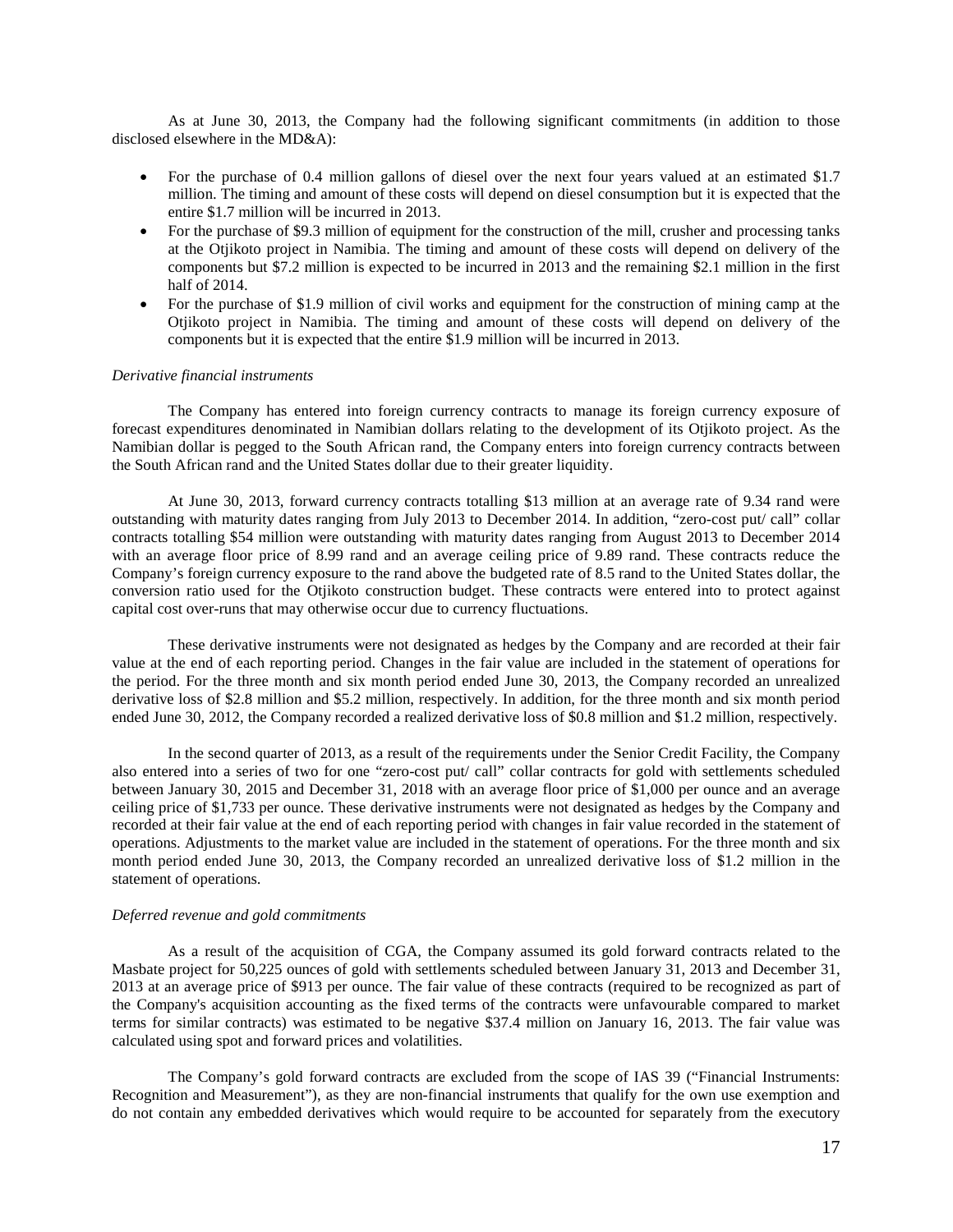As at June 30, 2013, the Company had the following significant commitments (in addition to those disclosed elsewhere in the MD&A):

- For the purchase of 0.4 million gallons of diesel over the next four years valued at an estimated \$1.7 million. The timing and amount of these costs will depend on diesel consumption but it is expected that the entire \$1.7 million will be incurred in 2013.
- For the purchase of \$9.3 million of equipment for the construction of the mill, crusher and processing tanks at the Otjikoto project in Namibia. The timing and amount of these costs will depend on delivery of the components but \$7.2 million is expected to be incurred in 2013 and the remaining \$2.1 million in the first half of 2014.
- For the purchase of \$1.9 million of civil works and equipment for the construction of mining camp at the Otjikoto project in Namibia. The timing and amount of these costs will depend on delivery of the components but it is expected that the entire \$1.9 million will be incurred in 2013.

## *Derivative financial instruments*

The Company has entered into foreign currency contracts to manage its foreign currency exposure of forecast expenditures denominated in Namibian dollars relating to the development of its Otjikoto project. As the Namibian dollar is pegged to the South African rand, the Company enters into foreign currency contracts between the South African rand and the United States dollar due to their greater liquidity.

At June 30, 2013, forward currency contracts totalling \$13 million at an average rate of 9.34 rand were outstanding with maturity dates ranging from July 2013 to December 2014. In addition, "zero-cost put/ call" collar contracts totalling \$54 million were outstanding with maturity dates ranging from August 2013 to December 2014 with an average floor price of 8.99 rand and an average ceiling price of 9.89 rand. These contracts reduce the Company's foreign currency exposure to the rand above the budgeted rate of 8.5 rand to the United States dollar, the conversion ratio used for the Otjikoto construction budget. These contracts were entered into to protect against capital cost over-runs that may otherwise occur due to currency fluctuations.

These derivative instruments were not designated as hedges by the Company and are recorded at their fair value at the end of each reporting period. Changes in the fair value are included in the statement of operations for the period. For the three month and six month period ended June 30, 2013, the Company recorded an unrealized derivative loss of \$2.8 million and \$5.2 million, respectively. In addition, for the three month and six month period ended June 30, 2012, the Company recorded a realized derivative loss of \$0.8 million and \$1.2 million, respectively.

In the second quarter of 2013, as a result of the requirements under the Senior Credit Facility, the Company also entered into a series of two for one "zero-cost put/ call" collar contracts for gold with settlements scheduled between January 30, 2015 and December 31, 2018 with an average floor price of \$1,000 per ounce and an average ceiling price of \$1,733 per ounce. These derivative instruments were not designated as hedges by the Company and recorded at their fair value at the end of each reporting period with changes in fair value recorded in the statement of operations. Adjustments to the market value are included in the statement of operations. For the three month and six month period ended June 30, 2013, the Company recorded an unrealized derivative loss of \$1.2 million in the statement of operations.

## *Deferred revenue and gold commitments*

As a result of the acquisition of CGA, the Company assumed its gold forward contracts related to the Masbate project for 50,225 ounces of gold with settlements scheduled between January 31, 2013 and December 31, 2013 at an average price of \$913 per ounce. The fair value of these contracts (required to be recognized as part of the Company's acquisition accounting as the fixed terms of the contracts were unfavourable compared to market terms for similar contracts) was estimated to be negative \$37.4 million on January 16, 2013. The fair value was calculated using spot and forward prices and volatilities.

The Company's gold forward contracts are excluded from the scope of IAS 39 ("Financial Instruments: Recognition and Measurement"), as they are non-financial instruments that qualify for the own use exemption and do not contain any embedded derivatives which would require to be accounted for separately from the executory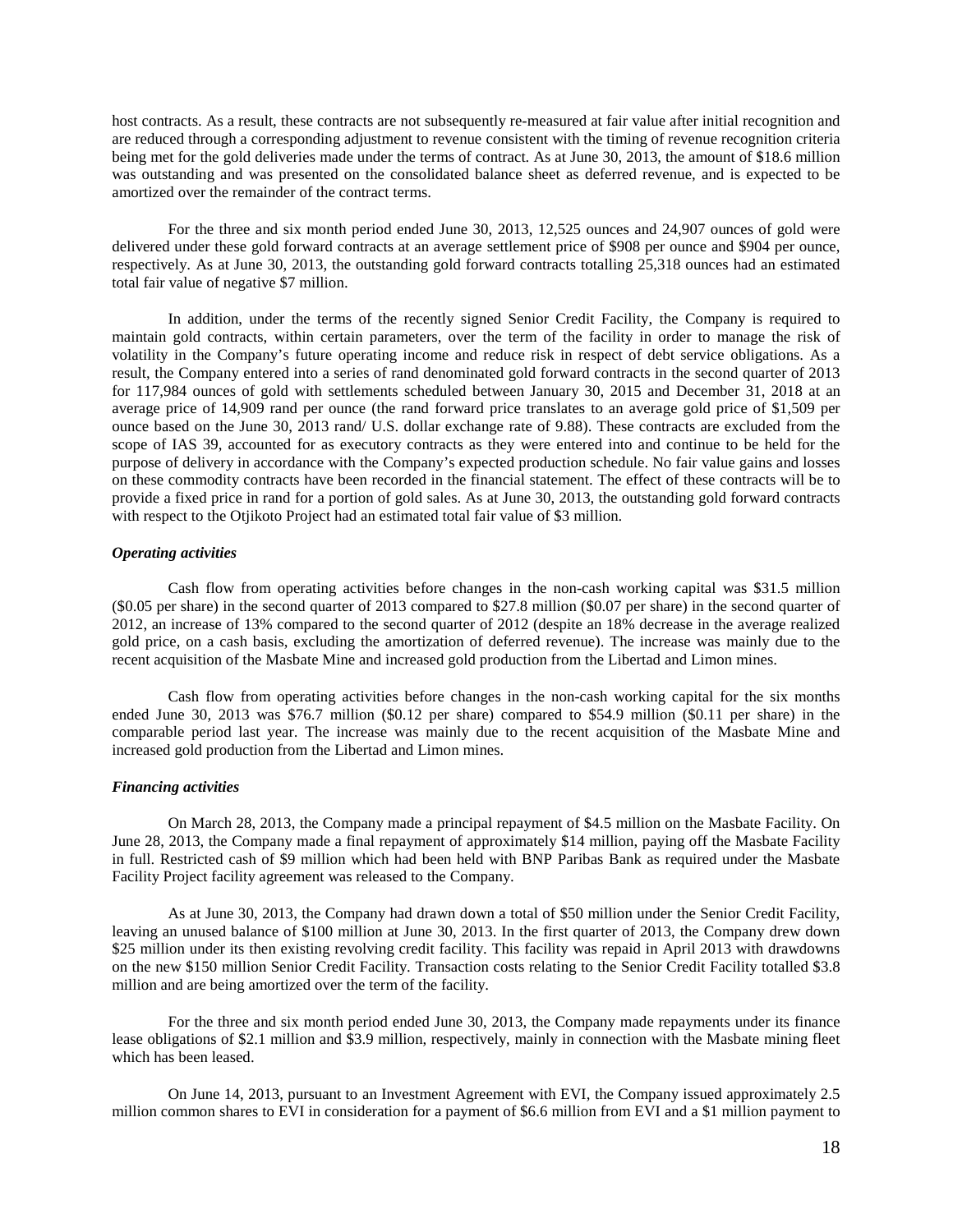host contracts. As a result, these contracts are not subsequently re-measured at fair value after initial recognition and are reduced through a corresponding adjustment to revenue consistent with the timing of revenue recognition criteria being met for the gold deliveries made under the terms of contract. As at June 30, 2013, the amount of \$18.6 million was outstanding and was presented on the consolidated balance sheet as deferred revenue, and is expected to be amortized over the remainder of the contract terms.

For the three and six month period ended June 30, 2013, 12,525 ounces and 24,907 ounces of gold were delivered under these gold forward contracts at an average settlement price of \$908 per ounce and \$904 per ounce, respectively. As at June 30, 2013, the outstanding gold forward contracts totalling 25,318 ounces had an estimated total fair value of negative \$7 million.

In addition, under the terms of the recently signed Senior Credit Facility, the Company is required to maintain gold contracts, within certain parameters, over the term of the facility in order to manage the risk of volatility in the Company's future operating income and reduce risk in respect of debt service obligations. As a result, the Company entered into a series of rand denominated gold forward contracts in the second quarter of 2013 for 117,984 ounces of gold with settlements scheduled between January 30, 2015 and December 31, 2018 at an average price of 14,909 rand per ounce (the rand forward price translates to an average gold price of \$1,509 per ounce based on the June 30, 2013 rand/ U.S. dollar exchange rate of 9.88). These contracts are excluded from the scope of IAS 39, accounted for as executory contracts as they were entered into and continue to be held for the purpose of delivery in accordance with the Company's expected production schedule. No fair value gains and losses on these commodity contracts have been recorded in the financial statement. The effect of these contracts will be to provide a fixed price in rand for a portion of gold sales. As at June 30, 2013, the outstanding gold forward contracts with respect to the Otjikoto Project had an estimated total fair value of \$3 million.

### *Operating activities*

Cash flow from operating activities before changes in the non-cash working capital was \$31.5 million (\$0.05 per share) in the second quarter of 2013 compared to \$27.8 million (\$0.07 per share) in the second quarter of 2012, an increase of 13% compared to the second quarter of 2012 (despite an 18% decrease in the average realized gold price, on a cash basis, excluding the amortization of deferred revenue). The increase was mainly due to the recent acquisition of the Masbate Mine and increased gold production from the Libertad and Limon mines.

Cash flow from operating activities before changes in the non-cash working capital for the six months ended June 30, 2013 was \$76.7 million (\$0.12 per share) compared to \$54.9 million (\$0.11 per share) in the comparable period last year. The increase was mainly due to the recent acquisition of the Masbate Mine and increased gold production from the Libertad and Limon mines.

#### *Financing activities*

On March 28, 2013, the Company made a principal repayment of \$4.5 million on the Masbate Facility. On June 28, 2013, the Company made a final repayment of approximately \$14 million, paying off the Masbate Facility in full. Restricted cash of \$9 million which had been held with BNP Paribas Bank as required under the Masbate Facility Project facility agreement was released to the Company.

As at June 30, 2013, the Company had drawn down a total of \$50 million under the Senior Credit Facility, leaving an unused balance of \$100 million at June 30, 2013. In the first quarter of 2013, the Company drew down \$25 million under its then existing revolving credit facility. This facility was repaid in April 2013 with drawdowns on the new \$150 million Senior Credit Facility. Transaction costs relating to the Senior Credit Facility totalled \$3.8 million and are being amortized over the term of the facility.

For the three and six month period ended June 30, 2013, the Company made repayments under its finance lease obligations of \$2.1 million and \$3.9 million, respectively, mainly in connection with the Masbate mining fleet which has been leased.

On June 14, 2013, pursuant to an Investment Agreement with EVI, the Company issued approximately 2.5 million common shares to EVI in consideration for a payment of \$6.6 million from EVI and a \$1 million payment to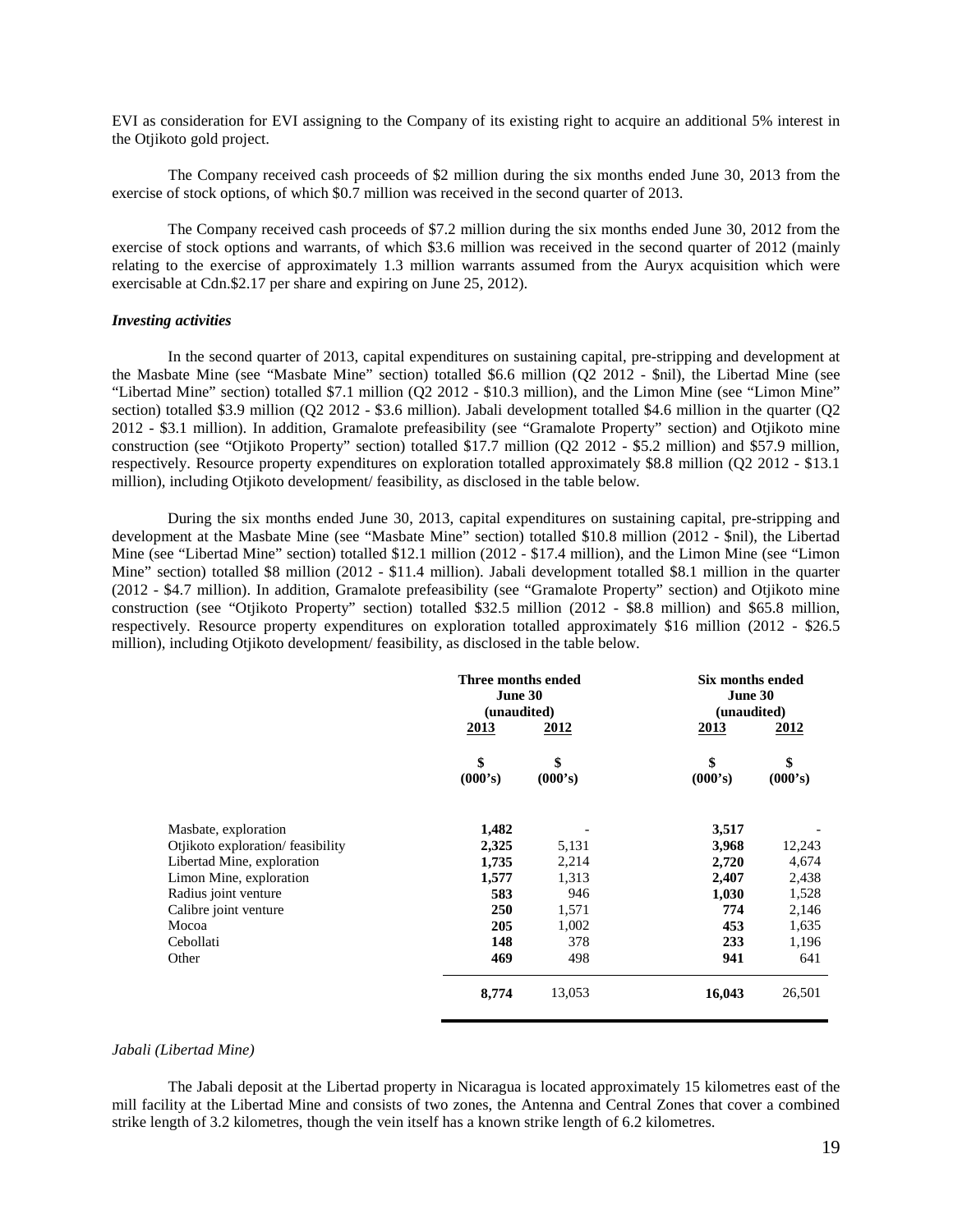EVI as consideration for EVI assigning to the Company of its existing right to acquire an additional 5% interest in the Otjikoto gold project.

The Company received cash proceeds of \$2 million during the six months ended June 30, 2013 from the exercise of stock options, of which \$0.7 million was received in the second quarter of 2013.

The Company received cash proceeds of \$7.2 million during the six months ended June 30, 2012 from the exercise of stock options and warrants, of which \$3.6 million was received in the second quarter of 2012 (mainly relating to the exercise of approximately 1.3 million warrants assumed from the Auryx acquisition which were exercisable at Cdn.\$2.17 per share and expiring on June 25, 2012).

#### *Investing activities*

In the second quarter of 2013, capital expenditures on sustaining capital, pre-stripping and development at the Masbate Mine (see "Masbate Mine" section) totalled \$6.6 million (Q2 2012 - \$nil), the Libertad Mine (see "Libertad Mine" section) totalled \$7.1 million (Q2 2012 - \$10.3 million), and the Limon Mine (see "Limon Mine" section) totalled \$3.9 million (Q2 2012 - \$3.6 million). Jabali development totalled \$4.6 million in the quarter (Q2 2012 - \$3.1 million). In addition, Gramalote prefeasibility (see "Gramalote Property" section) and Otjikoto mine construction (see "Otjikoto Property" section) totalled \$17.7 million (Q2 2012 - \$5.2 million) and \$57.9 million, respectively. Resource property expenditures on exploration totalled approximately \$8.8 million (Q2 2012 - \$13.1 million), including Otjikoto development/ feasibility, as disclosed in the table below.

During the six months ended June 30, 2013, capital expenditures on sustaining capital, pre-stripping and development at the Masbate Mine (see "Masbate Mine" section) totalled \$10.8 million (2012 - \$nil), the Libertad Mine (see "Libertad Mine" section) totalled \$12.1 million (2012 - \$17.4 million), and the Limon Mine (see "Limon Mine" section) totalled \$8 million (2012 - \$11.4 million). Jabali development totalled \$8.1 million in the quarter (2012 - \$4.7 million). In addition, Gramalote prefeasibility (see "Gramalote Property" section) and Otjikoto mine construction (see "Otjikoto Property" section) totalled \$32.5 million (2012 - \$8.8 million) and \$65.8 million, respectively. Resource property expenditures on exploration totalled approximately \$16 million (2012 - \$26.5 million), including Otjikoto development/ feasibility, as disclosed in the table below.

|                                  | Three months ended<br>June 30<br>(unaudited)<br>2012<br><u>2013</u> |               | Six months ended<br>June 30<br>(unaudited)<br><u>2012</u><br><u>2013</u> |               |
|----------------------------------|---------------------------------------------------------------------|---------------|--------------------------------------------------------------------------|---------------|
|                                  | \$<br>(000's)                                                       | \$<br>(000's) | \$<br>(000's)                                                            | \$<br>(000's) |
| Masbate, exploration             | 1,482                                                               |               | 3,517                                                                    |               |
| Otjikoto exploration/feasibility | 2,325                                                               | 5,131         | 3,968                                                                    | 12,243        |
| Libertad Mine, exploration       | 1,735                                                               | 2,214         | 2,720                                                                    | 4,674         |
| Limon Mine, exploration          | 1,577                                                               | 1,313         | 2,407                                                                    | 2,438         |
| Radius joint venture             | 583                                                                 | 946           | 1,030                                                                    | 1,528         |
| Calibre joint venture            | 250                                                                 | 1,571         | 774                                                                      | 2,146         |
| Mocoa                            | 205                                                                 | 1,002         | 453                                                                      | 1,635         |
| Cebollati                        | 148                                                                 | 378           | 233                                                                      | 1,196         |
| Other                            | 469                                                                 | 498           | 941                                                                      | 641           |
|                                  | 8,774                                                               | 13,053        | 16,043                                                                   | 26,501        |

### *Jabali (Libertad Mine)*

The Jabali deposit at the Libertad property in Nicaragua is located approximately 15 kilometres east of the mill facility at the Libertad Mine and consists of two zones, the Antenna and Central Zones that cover a combined strike length of 3.2 kilometres, though the vein itself has a known strike length of 6.2 kilometres.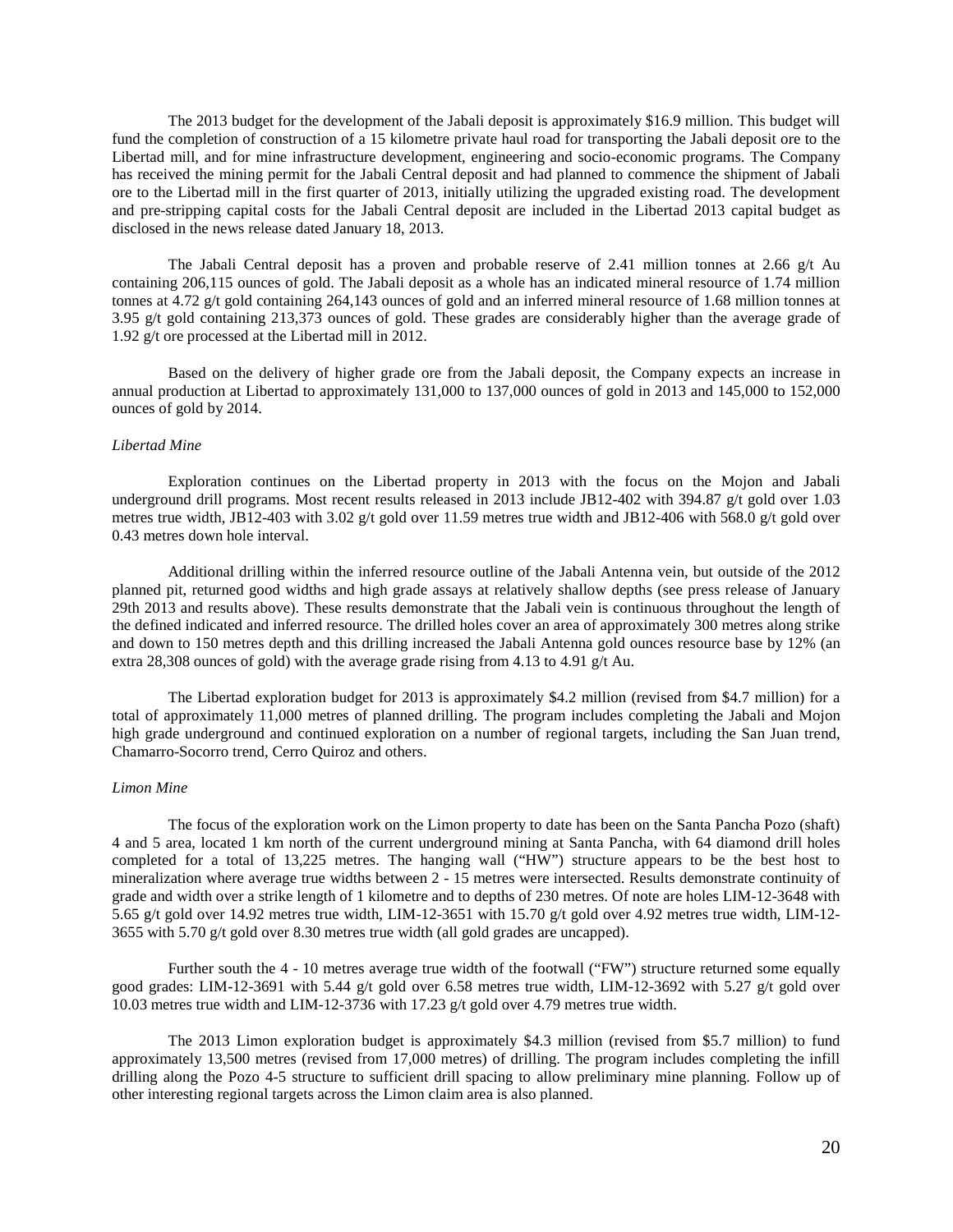The 2013 budget for the development of the Jabali deposit is approximately \$16.9 million. This budget will fund the completion of construction of a 15 kilometre private haul road for transporting the Jabali deposit ore to the Libertad mill, and for mine infrastructure development, engineering and socio-economic programs. The Company has received the mining permit for the Jabali Central deposit and had planned to commence the shipment of Jabali ore to the Libertad mill in the first quarter of 2013, initially utilizing the upgraded existing road. The development and pre-stripping capital costs for the Jabali Central deposit are included in the Libertad 2013 capital budget as disclosed in the news release dated January 18, 2013.

The Jabali Central deposit has a proven and probable reserve of 2.41 million tonnes at 2.66  $g/t$  Au containing 206,115 ounces of gold. The Jabali deposit as a whole has an indicated mineral resource of 1.74 million tonnes at 4.72 g/t gold containing 264,143 ounces of gold and an inferred mineral resource of 1.68 million tonnes at 3.95 g/t gold containing 213,373 ounces of gold. These grades are considerably higher than the average grade of 1.92 g/t ore processed at the Libertad mill in 2012.

Based on the delivery of higher grade ore from the Jabali deposit, the Company expects an increase in annual production at Libertad to approximately 131,000 to 137,000 ounces of gold in 2013 and 145,000 to 152,000 ounces of gold by 2014.

# *Libertad Mine*

Exploration continues on the Libertad property in 2013 with the focus on the Mojon and Jabali underground drill programs. Most recent results released in 2013 include JB12-402 with 394.87 g/t gold over 1.03 metres true width, JB12-403 with 3.02 g/t gold over 11.59 metres true width and JB12-406 with 568.0 g/t gold over 0.43 metres down hole interval.

Additional drilling within the inferred resource outline of the Jabali Antenna vein, but outside of the 2012 planned pit, returned good widths and high grade assays at relatively shallow depths (see press release of January 29th 2013 and results above). These results demonstrate that the Jabali vein is continuous throughout the length of the defined indicated and inferred resource. The drilled holes cover an area of approximately 300 metres along strike and down to 150 metres depth and this drilling increased the Jabali Antenna gold ounces resource base by 12% (an extra 28,308 ounces of gold) with the average grade rising from 4.13 to 4.91 g/t Au.

The Libertad exploration budget for 2013 is approximately \$4.2 million (revised from \$4.7 million) for a total of approximately 11,000 metres of planned drilling. The program includes completing the Jabali and Mojon high grade underground and continued exploration on a number of regional targets, including the San Juan trend, Chamarro-Socorro trend, Cerro Quiroz and others.

#### *Limon Mine*

The focus of the exploration work on the Limon property to date has been on the Santa Pancha Pozo (shaft) 4 and 5 area, located 1 km north of the current underground mining at Santa Pancha, with 64 diamond drill holes completed for a total of 13,225 metres. The hanging wall ("HW") structure appears to be the best host to mineralization where average true widths between 2 - 15 metres were intersected. Results demonstrate continuity of grade and width over a strike length of 1 kilometre and to depths of 230 metres. Of note are holes LIM-12-3648 with 5.65 g/t gold over 14.92 metres true width, LIM-12-3651 with 15.70 g/t gold over 4.92 metres true width, LIM-12- 3655 with 5.70 g/t gold over 8.30 metres true width (all gold grades are uncapped).

Further south the 4 - 10 metres average true width of the footwall ("FW") structure returned some equally good grades: LIM-12-3691 with 5.44 g/t gold over 6.58 metres true width, LIM-12-3692 with 5.27 g/t gold over 10.03 metres true width and LIM-12-3736 with 17.23 g/t gold over 4.79 metres true width.

The 2013 Limon exploration budget is approximately \$4.3 million (revised from \$5.7 million) to fund approximately 13,500 metres (revised from 17,000 metres) of drilling. The program includes completing the infill drilling along the Pozo 4-5 structure to sufficient drill spacing to allow preliminary mine planning. Follow up of other interesting regional targets across the Limon claim area is also planned.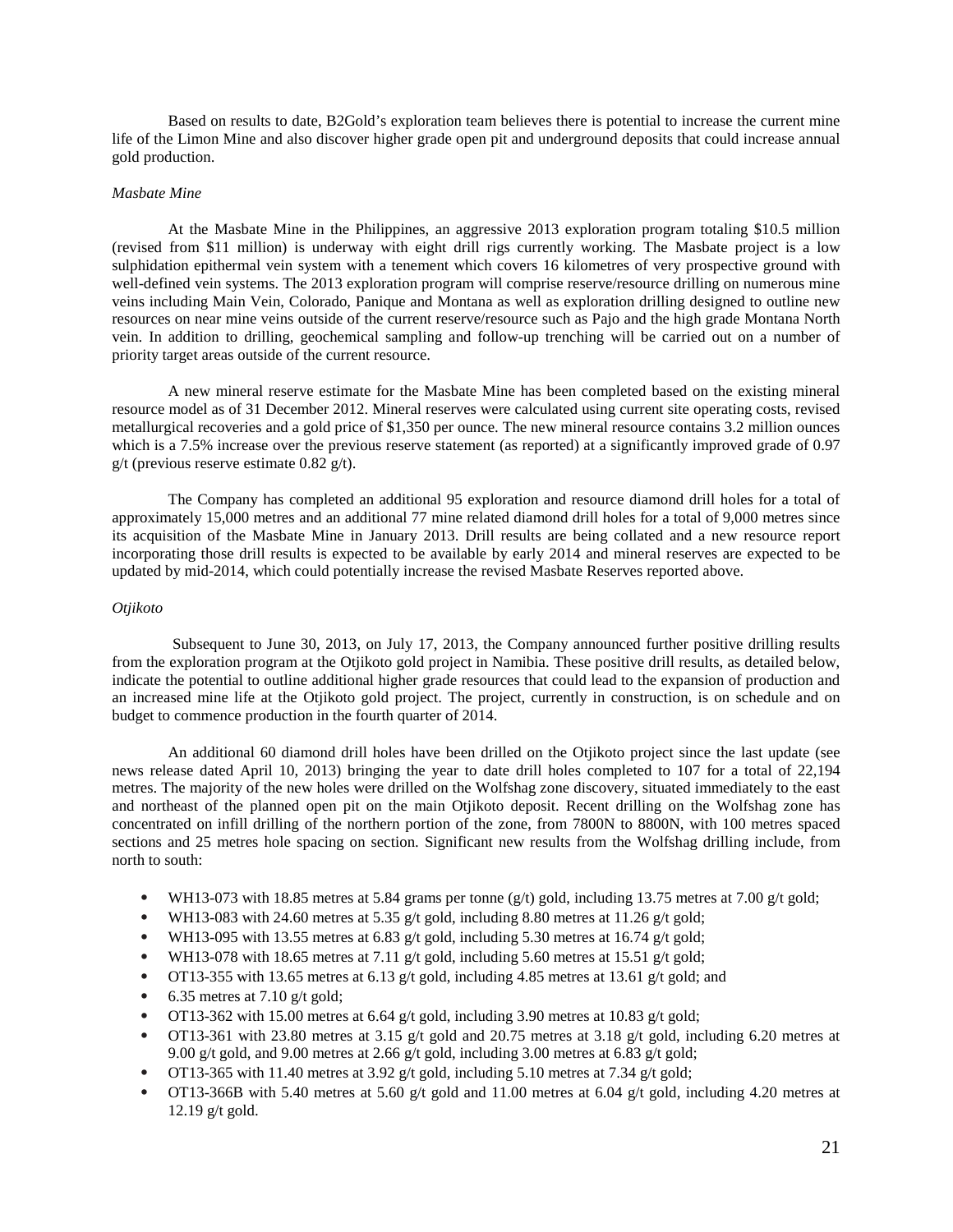Based on results to date, B2Gold's exploration team believes there is potential to increase the current mine life of the Limon Mine and also discover higher grade open pit and underground deposits that could increase annual gold production.

#### *Masbate Mine*

At the Masbate Mine in the Philippines, an aggressive 2013 exploration program totaling \$10.5 million (revised from \$11 million) is underway with eight drill rigs currently working. The Masbate project is a low sulphidation epithermal vein system with a tenement which covers 16 kilometres of very prospective ground with well-defined vein systems. The 2013 exploration program will comprise reserve/resource drilling on numerous mine veins including Main Vein, Colorado, Panique and Montana as well as exploration drilling designed to outline new resources on near mine veins outside of the current reserve/resource such as Pajo and the high grade Montana North vein. In addition to drilling, geochemical sampling and follow-up trenching will be carried out on a number of priority target areas outside of the current resource.

A new mineral reserve estimate for the Masbate Mine has been completed based on the existing mineral resource model as of 31 December 2012. Mineral reserves were calculated using current site operating costs, revised metallurgical recoveries and a gold price of \$1,350 per ounce. The new mineral resource contains 3.2 million ounces which is a 7.5% increase over the previous reserve statement (as reported) at a significantly improved grade of 0.97 g/t (previous reserve estimate 0.82 g/t).

The Company has completed an additional 95 exploration and resource diamond drill holes for a total of approximately 15,000 metres and an additional 77 mine related diamond drill holes for a total of 9,000 metres since its acquisition of the Masbate Mine in January 2013. Drill results are being collated and a new resource report incorporating those drill results is expected to be available by early 2014 and mineral reserves are expected to be updated by mid-2014, which could potentially increase the revised Masbate Reserves reported above.

## *Otjikoto*

Subsequent to June 30, 2013, on July 17, 2013, the Company announced further positive drilling results from the exploration program at the Otjikoto gold project in Namibia. These positive drill results, as detailed below, indicate the potential to outline additional higher grade resources that could lead to the expansion of production and an increased mine life at the Otjikoto gold project. The project, currently in construction, is on schedule and on budget to commence production in the fourth quarter of 2014.

An additional 60 diamond drill holes have been drilled on the Otjikoto project since the last update (see news release dated April 10, 2013) bringing the year to date drill holes completed to 107 for a total of 22,194 metres. The majority of the new holes were drilled on the Wolfshag zone discovery, situated immediately to the east and northeast of the planned open pit on the main Otjikoto deposit. Recent drilling on the Wolfshag zone has concentrated on infill drilling of the northern portion of the zone, from 7800N to 8800N, with 100 metres spaced sections and 25 metres hole spacing on section. Significant new results from the Wolfshag drilling include, from north to south:

- WH13-073 with 18.85 metres at 5.84 grams per tonne (g/t) gold, including 13.75 metres at 7.00 g/t gold;
- WH13-083 with 24.60 metres at 5.35 g/t gold, including 8.80 metres at 11.26 g/t gold;
- WH13-095 with 13.55 metres at 6.83 g/t gold, including 5.30 metres at 16.74 g/t gold;
- WH13-078 with 18.65 metres at 7.11 g/t gold, including 5.60 metres at 15.51 g/t gold;
- OT13-355 with 13.65 metres at 6.13 g/t gold, including 4.85 metres at 13.61 g/t gold; and
- 6.35 metres at 7.10  $g/t$  gold;
- OT13-362 with 15.00 metres at 6.64 g/t gold, including 3.90 metres at 10.83 g/t gold;
- OT13-361 with 23.80 metres at 3.15 g/t gold and 20.75 metres at 3.18 g/t gold, including 6.20 metres at 9.00 g/t gold, and 9.00 metres at 2.66 g/t gold, including 3.00 metres at 6.83 g/t gold;
- OT13-365 with 11.40 metres at 3.92 g/t gold, including 5.10 metres at 7.34 g/t gold;
- OT13-366B with 5.40 metres at 5.60 g/t gold and 11.00 metres at 6.04 g/t gold, including 4.20 metres at 12.19 g/t gold.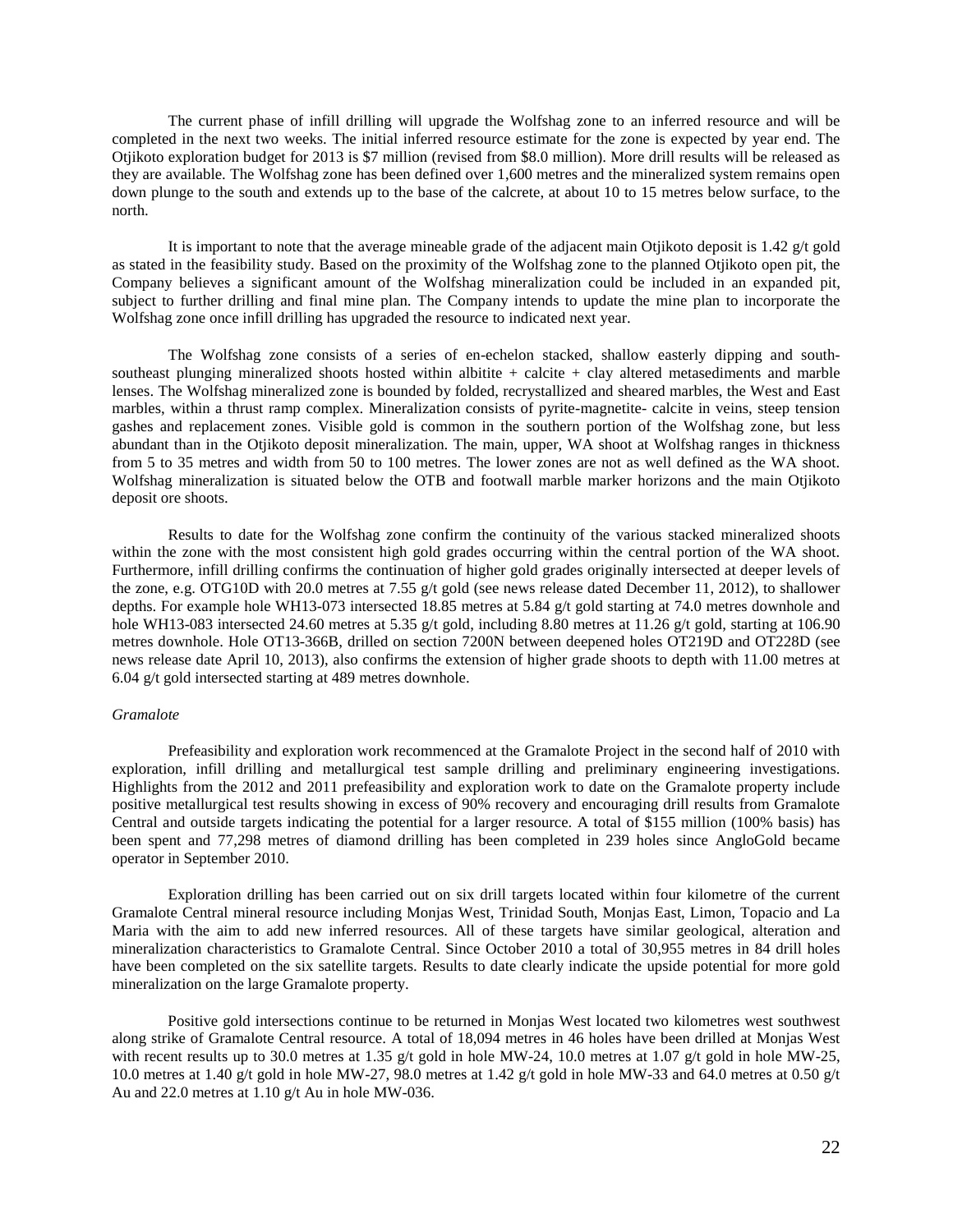The current phase of infill drilling will upgrade the Wolfshag zone to an inferred resource and will be completed in the next two weeks. The initial inferred resource estimate for the zone is expected by year end. The Otjikoto exploration budget for 2013 is \$7 million (revised from \$8.0 million). More drill results will be released as they are available. The Wolfshag zone has been defined over 1,600 metres and the mineralized system remains open down plunge to the south and extends up to the base of the calcrete, at about 10 to 15 metres below surface, to the north.

It is important to note that the average mineable grade of the adjacent main Otjikoto deposit is 1.42 g/t gold as stated in the feasibility study. Based on the proximity of the Wolfshag zone to the planned Otjikoto open pit, the Company believes a significant amount of the Wolfshag mineralization could be included in an expanded pit, subject to further drilling and final mine plan. The Company intends to update the mine plan to incorporate the Wolfshag zone once infill drilling has upgraded the resource to indicated next year.

The Wolfshag zone consists of a series of en-echelon stacked, shallow easterly dipping and southsoutheast plunging mineralized shoots hosted within albitite + calcite + clay altered metasediments and marble lenses. The Wolfshag mineralized zone is bounded by folded, recrystallized and sheared marbles, the West and East marbles, within a thrust ramp complex. Mineralization consists of pyrite-magnetite- calcite in veins, steep tension gashes and replacement zones. Visible gold is common in the southern portion of the Wolfshag zone, but less abundant than in the Otjikoto deposit mineralization. The main, upper, WA shoot at Wolfshag ranges in thickness from 5 to 35 metres and width from 50 to 100 metres. The lower zones are not as well defined as the WA shoot. Wolfshag mineralization is situated below the OTB and footwall marble marker horizons and the main Otjikoto deposit ore shoots.

Results to date for the Wolfshag zone confirm the continuity of the various stacked mineralized shoots within the zone with the most consistent high gold grades occurring within the central portion of the WA shoot. Furthermore, infill drilling confirms the continuation of higher gold grades originally intersected at deeper levels of the zone, e.g. OTG10D with 20.0 metres at 7.55 g/t gold (see news release dated December 11, 2012), to shallower depths. For example hole WH13-073 intersected 18.85 metres at 5.84 g/t gold starting at 74.0 metres downhole and hole WH13-083 intersected 24.60 metres at 5.35 g/t gold, including 8.80 metres at 11.26 g/t gold, starting at 106.90 metres downhole. Hole OT13-366B, drilled on section 7200N between deepened holes OT219D and OT228D (see news release date April 10, 2013), also confirms the extension of higher grade shoots to depth with 11.00 metres at 6.04 g/t gold intersected starting at 489 metres downhole.

#### *Gramalote*

Prefeasibility and exploration work recommenced at the Gramalote Project in the second half of 2010 with exploration, infill drilling and metallurgical test sample drilling and preliminary engineering investigations. Highlights from the 2012 and 2011 prefeasibility and exploration work to date on the Gramalote property include positive metallurgical test results showing in excess of 90% recovery and encouraging drill results from Gramalote Central and outside targets indicating the potential for a larger resource. A total of \$155 million (100% basis) has been spent and 77,298 metres of diamond drilling has been completed in 239 holes since AngloGold became operator in September 2010.

Exploration drilling has been carried out on six drill targets located within four kilometre of the current Gramalote Central mineral resource including Monjas West, Trinidad South, Monjas East, Limon, Topacio and La Maria with the aim to add new inferred resources. All of these targets have similar geological, alteration and mineralization characteristics to Gramalote Central. Since October 2010 a total of 30,955 metres in 84 drill holes have been completed on the six satellite targets. Results to date clearly indicate the upside potential for more gold mineralization on the large Gramalote property.

Positive gold intersections continue to be returned in Monjas West located two kilometres west southwest along strike of Gramalote Central resource. A total of 18,094 metres in 46 holes have been drilled at Monjas West with recent results up to 30.0 metres at 1.35 g/t gold in hole MW-24, 10.0 metres at 1.07 g/t gold in hole MW-25, 10.0 metres at 1.40 g/t gold in hole MW-27, 98.0 metres at 1.42 g/t gold in hole MW-33 and 64.0 metres at 0.50 g/t Au and 22.0 metres at 1.10 g/t Au in hole MW-036.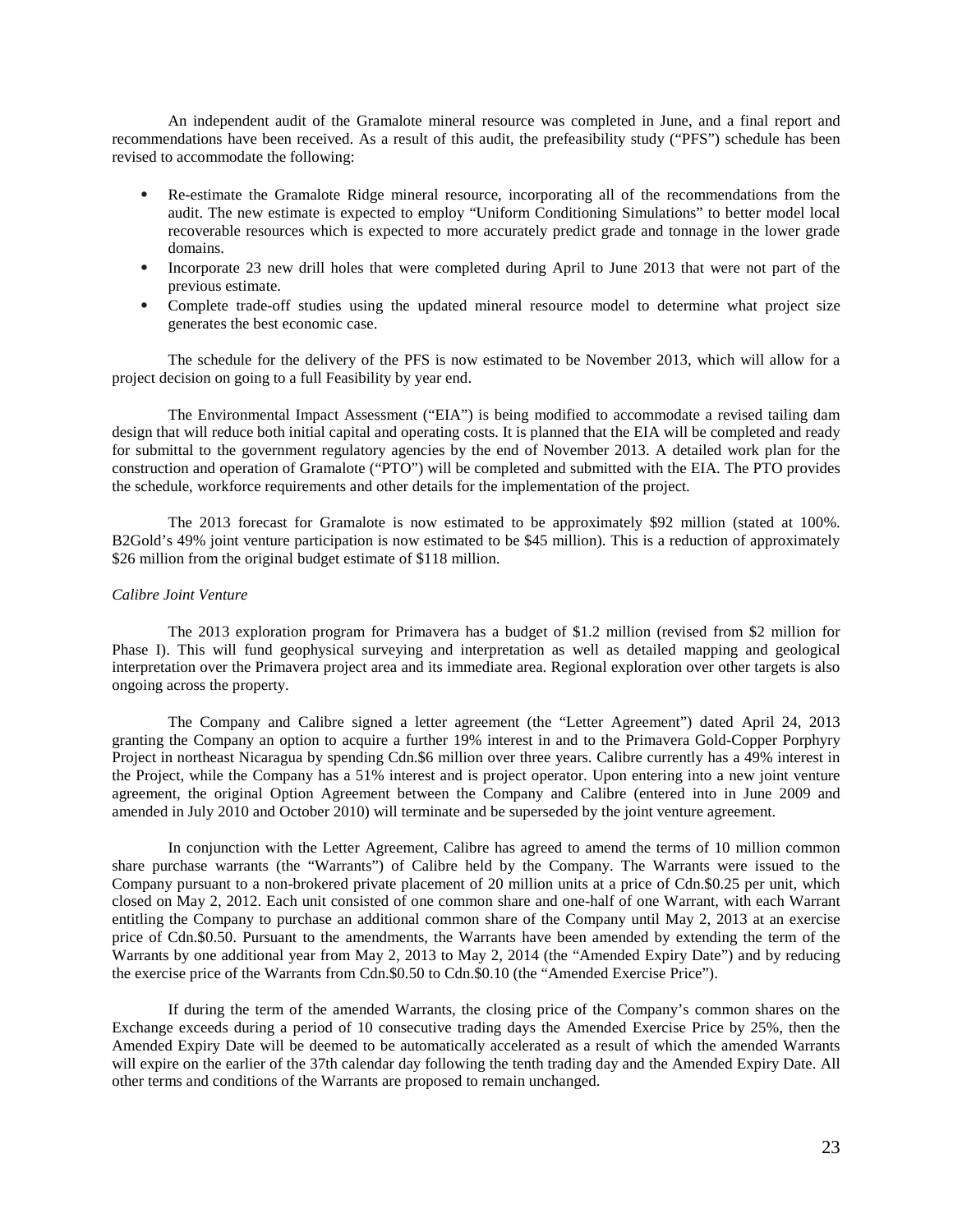An independent audit of the Gramalote mineral resource was completed in June, and a final report and recommendations have been received. As a result of this audit, the prefeasibility study ("PFS") schedule has been revised to accommodate the following:

- Re-estimate the Gramalote Ridge mineral resource, incorporating all of the recommendations from the audit. The new estimate is expected to employ "Uniform Conditioning Simulations" to better model local recoverable resources which is expected to more accurately predict grade and tonnage in the lower grade domains.
- Incorporate 23 new drill holes that were completed during April to June 2013 that were not part of the previous estimate.
- Complete trade-off studies using the updated mineral resource model to determine what project size generates the best economic case.

The schedule for the delivery of the PFS is now estimated to be November 2013, which will allow for a project decision on going to a full Feasibility by year end.

The Environmental Impact Assessment ("EIA") is being modified to accommodate a revised tailing dam design that will reduce both initial capital and operating costs. It is planned that the EIA will be completed and ready for submittal to the government regulatory agencies by the end of November 2013. A detailed work plan for the construction and operation of Gramalote ("PTO") will be completed and submitted with the EIA. The PTO provides the schedule, workforce requirements and other details for the implementation of the project.

The 2013 forecast for Gramalote is now estimated to be approximately \$92 million (stated at 100%. B2Gold's 49% joint venture participation is now estimated to be \$45 million). This is a reduction of approximately \$26 million from the original budget estimate of \$118 million.

#### *Calibre Joint Venture*

The 2013 exploration program for Primavera has a budget of \$1.2 million (revised from \$2 million for Phase I). This will fund geophysical surveying and interpretation as well as detailed mapping and geological interpretation over the Primavera project area and its immediate area. Regional exploration over other targets is also ongoing across the property.

The Company and Calibre signed a letter agreement (the "Letter Agreement") dated April 24, 2013 granting the Company an option to acquire a further 19% interest in and to the Primavera Gold-Copper Porphyry Project in northeast Nicaragua by spending Cdn.\$6 million over three years. Calibre currently has a 49% interest in the Project, while the Company has a 51% interest and is project operator. Upon entering into a new joint venture agreement, the original Option Agreement between the Company and Calibre (entered into in June 2009 and amended in July 2010 and October 2010) will terminate and be superseded by the joint venture agreement.

In conjunction with the Letter Agreement, Calibre has agreed to amend the terms of 10 million common share purchase warrants (the "Warrants") of Calibre held by the Company. The Warrants were issued to the Company pursuant to a non-brokered private placement of 20 million units at a price of Cdn.\$0.25 per unit, which closed on May 2, 2012. Each unit consisted of one common share and one-half of one Warrant, with each Warrant entitling the Company to purchase an additional common share of the Company until May 2, 2013 at an exercise price of Cdn.\$0.50. Pursuant to the amendments, the Warrants have been amended by extending the term of the Warrants by one additional year from May 2, 2013 to May 2, 2014 (the "Amended Expiry Date") and by reducing the exercise price of the Warrants from Cdn.\$0.50 to Cdn.\$0.10 (the "Amended Exercise Price").

If during the term of the amended Warrants, the closing price of the Company's common shares on the Exchange exceeds during a period of 10 consecutive trading days the Amended Exercise Price by 25%, then the Amended Expiry Date will be deemed to be automatically accelerated as a result of which the amended Warrants will expire on the earlier of the 37th calendar day following the tenth trading day and the Amended Expiry Date. All other terms and conditions of the Warrants are proposed to remain unchanged.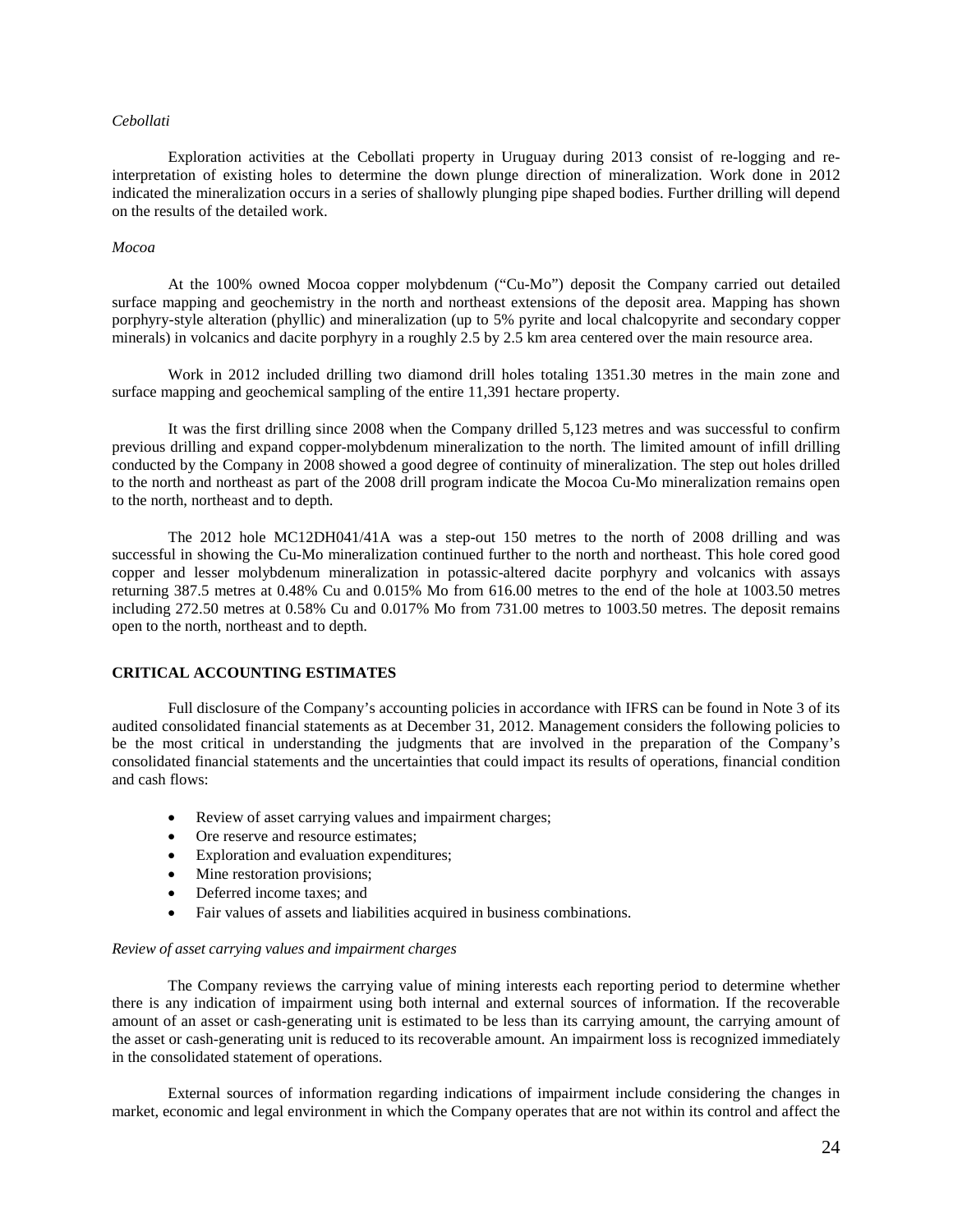# *Cebollati*

Exploration activities at the Cebollati property in Uruguay during 2013 consist of re-logging and reinterpretation of existing holes to determine the down plunge direction of mineralization. Work done in 2012 indicated the mineralization occurs in a series of shallowly plunging pipe shaped bodies. Further drilling will depend on the results of the detailed work.

## *Mocoa*

At the 100% owned Mocoa copper molybdenum ("Cu-Mo") deposit the Company carried out detailed surface mapping and geochemistry in the north and northeast extensions of the deposit area. Mapping has shown porphyry-style alteration (phyllic) and mineralization (up to 5% pyrite and local chalcopyrite and secondary copper minerals) in volcanics and dacite porphyry in a roughly 2.5 by 2.5 km area centered over the main resource area.

Work in 2012 included drilling two diamond drill holes totaling 1351.30 metres in the main zone and surface mapping and geochemical sampling of the entire 11,391 hectare property.

It was the first drilling since 2008 when the Company drilled 5,123 metres and was successful to confirm previous drilling and expand copper-molybdenum mineralization to the north. The limited amount of infill drilling conducted by the Company in 2008 showed a good degree of continuity of mineralization. The step out holes drilled to the north and northeast as part of the 2008 drill program indicate the Mocoa Cu-Mo mineralization remains open to the north, northeast and to depth.

The 2012 hole MC12DH041/41A was a step-out 150 metres to the north of 2008 drilling and was successful in showing the Cu-Mo mineralization continued further to the north and northeast. This hole cored good copper and lesser molybdenum mineralization in potassic-altered dacite porphyry and volcanics with assays returning 387.5 metres at 0.48% Cu and 0.015% Mo from 616.00 metres to the end of the hole at 1003.50 metres including 272.50 metres at 0.58% Cu and 0.017% Mo from 731.00 metres to 1003.50 metres. The deposit remains open to the north, northeast and to depth.

### **CRITICAL ACCOUNTING ESTIMATES**

Full disclosure of the Company's accounting policies in accordance with IFRS can be found in Note 3 of its audited consolidated financial statements as at December 31, 2012. Management considers the following policies to be the most critical in understanding the judgments that are involved in the preparation of the Company's consolidated financial statements and the uncertainties that could impact its results of operations, financial condition and cash flows:

- Review of asset carrying values and impairment charges;
- Ore reserve and resource estimates;
- Exploration and evaluation expenditures;
- Mine restoration provisions;
- Deferred income taxes: and
- Fair values of assets and liabilities acquired in business combinations.

## *Review of asset carrying values and impairment charges*

The Company reviews the carrying value of mining interests each reporting period to determine whether there is any indication of impairment using both internal and external sources of information. If the recoverable amount of an asset or cash-generating unit is estimated to be less than its carrying amount, the carrying amount of the asset or cash-generating unit is reduced to its recoverable amount. An impairment loss is recognized immediately in the consolidated statement of operations.

External sources of information regarding indications of impairment include considering the changes in market, economic and legal environment in which the Company operates that are not within its control and affect the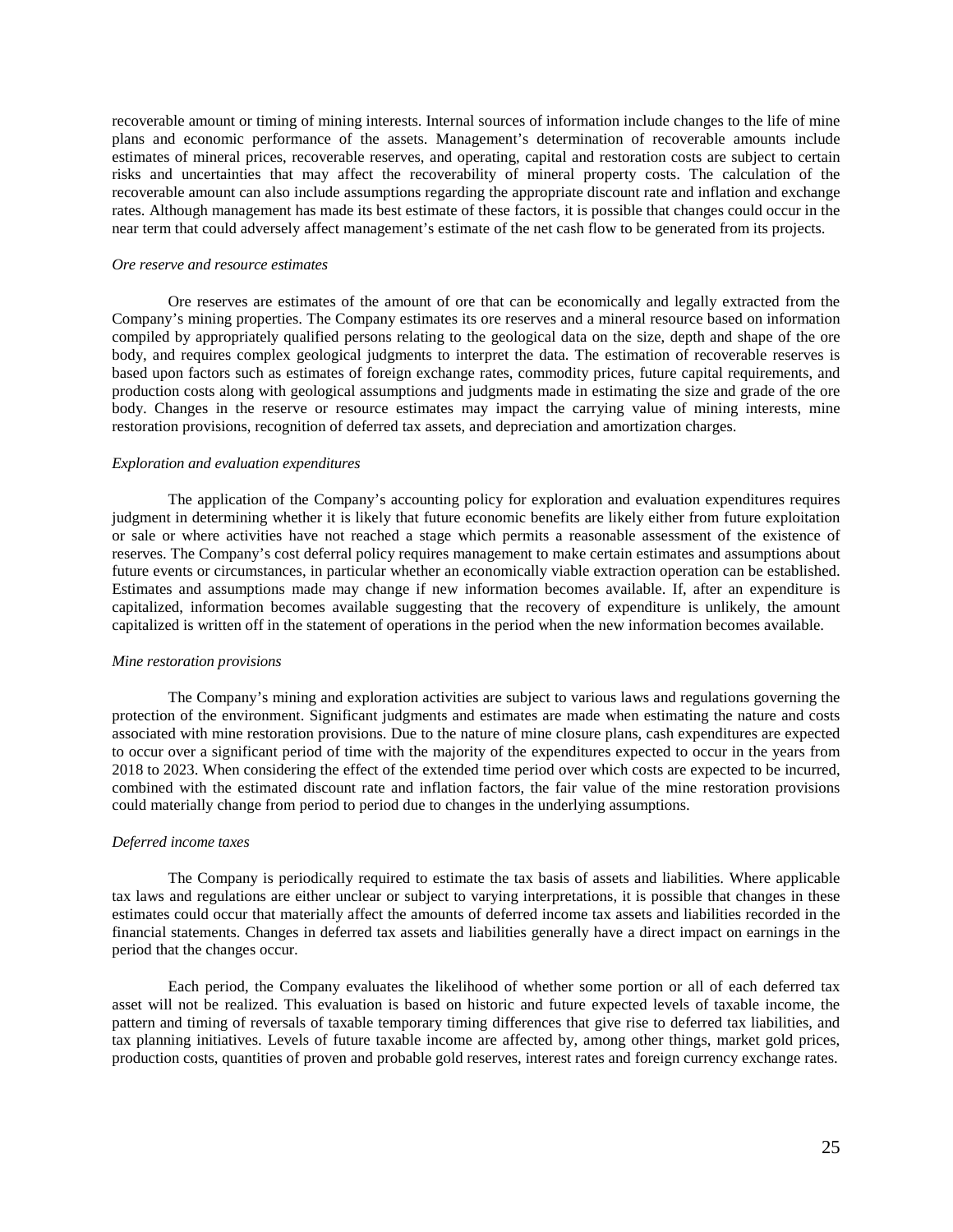recoverable amount or timing of mining interests. Internal sources of information include changes to the life of mine plans and economic performance of the assets. Management's determination of recoverable amounts include estimates of mineral prices, recoverable reserves, and operating, capital and restoration costs are subject to certain risks and uncertainties that may affect the recoverability of mineral property costs. The calculation of the recoverable amount can also include assumptions regarding the appropriate discount rate and inflation and exchange rates. Although management has made its best estimate of these factors, it is possible that changes could occur in the near term that could adversely affect management's estimate of the net cash flow to be generated from its projects.

### *Ore reserve and resource estimates*

Ore reserves are estimates of the amount of ore that can be economically and legally extracted from the Company's mining properties. The Company estimates its ore reserves and a mineral resource based on information compiled by appropriately qualified persons relating to the geological data on the size, depth and shape of the ore body, and requires complex geological judgments to interpret the data. The estimation of recoverable reserves is based upon factors such as estimates of foreign exchange rates, commodity prices, future capital requirements, and production costs along with geological assumptions and judgments made in estimating the size and grade of the ore body. Changes in the reserve or resource estimates may impact the carrying value of mining interests, mine restoration provisions, recognition of deferred tax assets, and depreciation and amortization charges.

#### *Exploration and evaluation expenditures*

The application of the Company's accounting policy for exploration and evaluation expenditures requires judgment in determining whether it is likely that future economic benefits are likely either from future exploitation or sale or where activities have not reached a stage which permits a reasonable assessment of the existence of reserves. The Company's cost deferral policy requires management to make certain estimates and assumptions about future events or circumstances, in particular whether an economically viable extraction operation can be established. Estimates and assumptions made may change if new information becomes available. If, after an expenditure is capitalized, information becomes available suggesting that the recovery of expenditure is unlikely, the amount capitalized is written off in the statement of operations in the period when the new information becomes available.

#### *Mine restoration provisions*

The Company's mining and exploration activities are subject to various laws and regulations governing the protection of the environment. Significant judgments and estimates are made when estimating the nature and costs associated with mine restoration provisions. Due to the nature of mine closure plans, cash expenditures are expected to occur over a significant period of time with the majority of the expenditures expected to occur in the years from 2018 to 2023. When considering the effect of the extended time period over which costs are expected to be incurred, combined with the estimated discount rate and inflation factors, the fair value of the mine restoration provisions could materially change from period to period due to changes in the underlying assumptions.

#### *Deferred income taxes*

The Company is periodically required to estimate the tax basis of assets and liabilities. Where applicable tax laws and regulations are either unclear or subject to varying interpretations, it is possible that changes in these estimates could occur that materially affect the amounts of deferred income tax assets and liabilities recorded in the financial statements. Changes in deferred tax assets and liabilities generally have a direct impact on earnings in the period that the changes occur.

Each period, the Company evaluates the likelihood of whether some portion or all of each deferred tax asset will not be realized. This evaluation is based on historic and future expected levels of taxable income, the pattern and timing of reversals of taxable temporary timing differences that give rise to deferred tax liabilities, and tax planning initiatives. Levels of future taxable income are affected by, among other things, market gold prices, production costs, quantities of proven and probable gold reserves, interest rates and foreign currency exchange rates.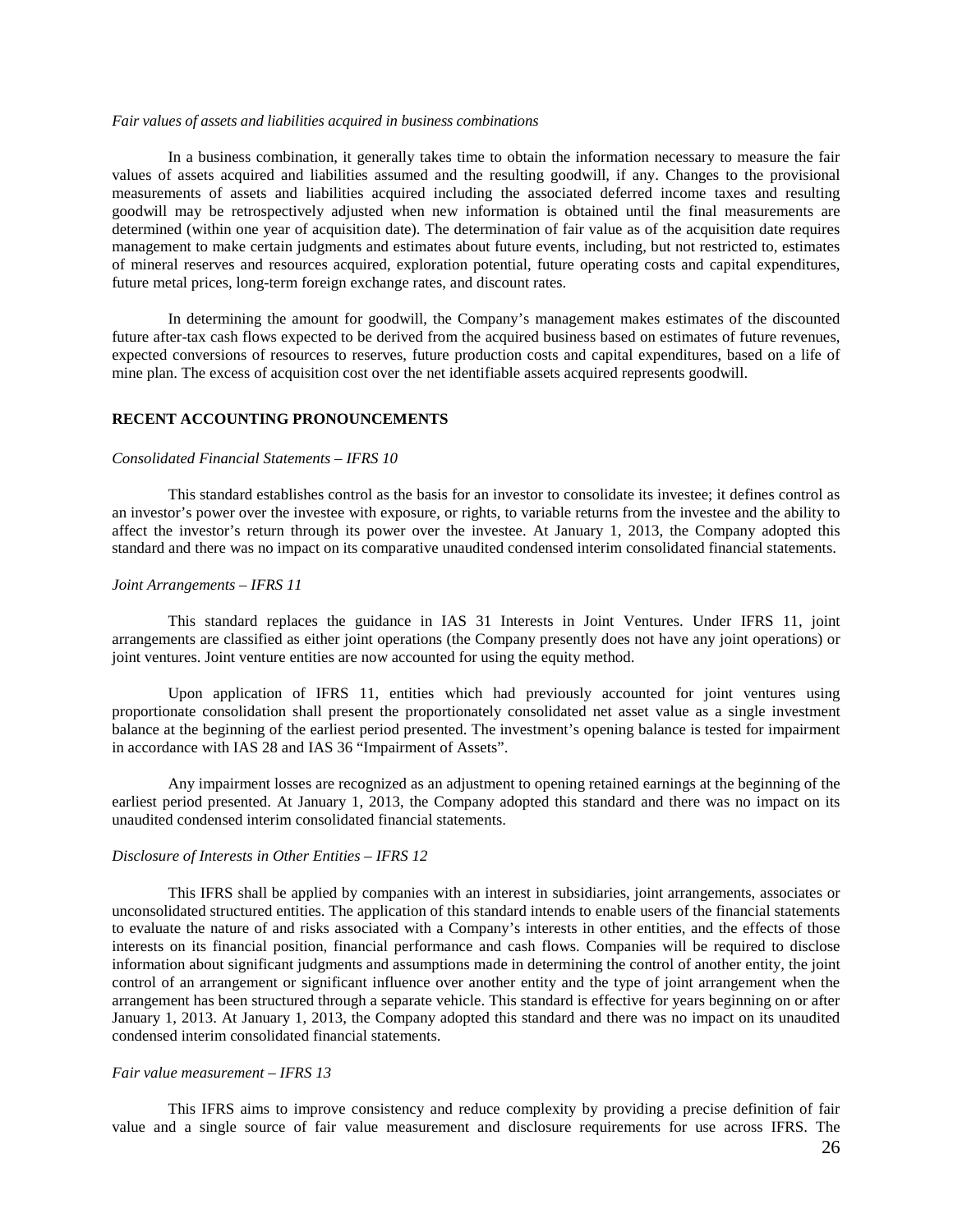#### *Fair values of assets and liabilities acquired in business combinations*

In a business combination, it generally takes time to obtain the information necessary to measure the fair values of assets acquired and liabilities assumed and the resulting goodwill, if any. Changes to the provisional measurements of assets and liabilities acquired including the associated deferred income taxes and resulting goodwill may be retrospectively adjusted when new information is obtained until the final measurements are determined (within one year of acquisition date). The determination of fair value as of the acquisition date requires management to make certain judgments and estimates about future events, including, but not restricted to, estimates of mineral reserves and resources acquired, exploration potential, future operating costs and capital expenditures, future metal prices, long-term foreign exchange rates, and discount rates.

In determining the amount for goodwill, the Company's management makes estimates of the discounted future after-tax cash flows expected to be derived from the acquired business based on estimates of future revenues, expected conversions of resources to reserves, future production costs and capital expenditures, based on a life of mine plan. The excess of acquisition cost over the net identifiable assets acquired represents goodwill.

# **RECENT ACCOUNTING PRONOUNCEMENTS**

#### *Consolidated Financial Statements – IFRS 10*

This standard establishes control as the basis for an investor to consolidate its investee; it defines control as an investor's power over the investee with exposure, or rights, to variable returns from the investee and the ability to affect the investor's return through its power over the investee. At January 1, 2013, the Company adopted this standard and there was no impact on its comparative unaudited condensed interim consolidated financial statements.

#### *Joint Arrangements – IFRS 11*

This standard replaces the guidance in IAS 31 Interests in Joint Ventures. Under IFRS 11, joint arrangements are classified as either joint operations (the Company presently does not have any joint operations) or joint ventures. Joint venture entities are now accounted for using the equity method.

Upon application of IFRS 11, entities which had previously accounted for joint ventures using proportionate consolidation shall present the proportionately consolidated net asset value as a single investment balance at the beginning of the earliest period presented. The investment's opening balance is tested for impairment in accordance with IAS 28 and IAS 36 "Impairment of Assets".

Any impairment losses are recognized as an adjustment to opening retained earnings at the beginning of the earliest period presented. At January 1, 2013, the Company adopted this standard and there was no impact on its unaudited condensed interim consolidated financial statements.

# *Disclosure of Interests in Other Entities – IFRS 12*

This IFRS shall be applied by companies with an interest in subsidiaries, joint arrangements, associates or unconsolidated structured entities. The application of this standard intends to enable users of the financial statements to evaluate the nature of and risks associated with a Company's interests in other entities, and the effects of those interests on its financial position, financial performance and cash flows. Companies will be required to disclose information about significant judgments and assumptions made in determining the control of another entity, the joint control of an arrangement or significant influence over another entity and the type of joint arrangement when the arrangement has been structured through a separate vehicle. This standard is effective for years beginning on or after January 1, 2013. At January 1, 2013, the Company adopted this standard and there was no impact on its unaudited condensed interim consolidated financial statements.

#### *Fair value measurement – IFRS 13*

This IFRS aims to improve consistency and reduce complexity by providing a precise definition of fair value and a single source of fair value measurement and disclosure requirements for use across IFRS. The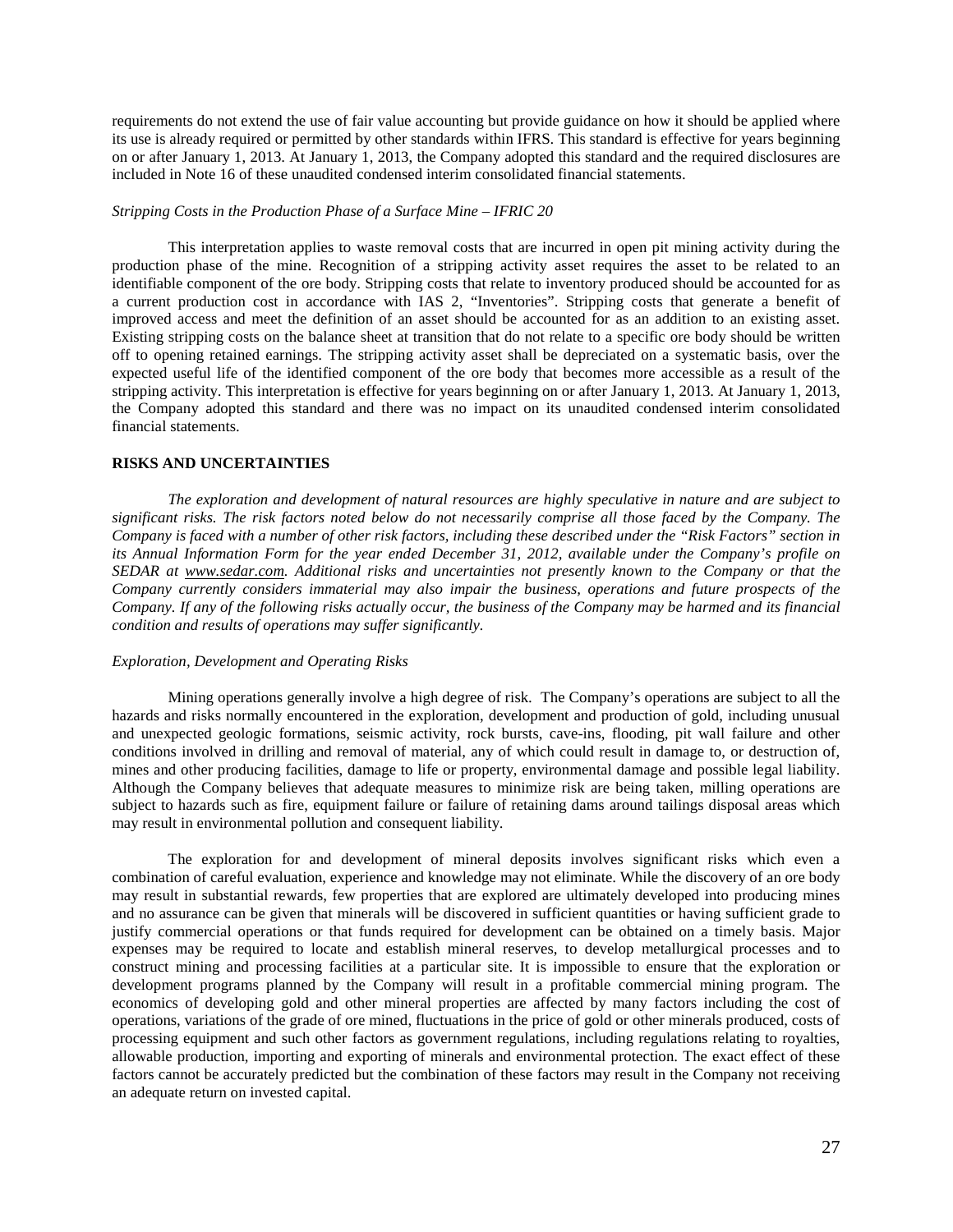requirements do not extend the use of fair value accounting but provide guidance on how it should be applied where its use is already required or permitted by other standards within IFRS. This standard is effective for years beginning on or after January 1, 2013. At January 1, 2013, the Company adopted this standard and the required disclosures are included in Note 16 of these unaudited condensed interim consolidated financial statements.

### *Stripping Costs in the Production Phase of a Surface Mine – IFRIC 20*

This interpretation applies to waste removal costs that are incurred in open pit mining activity during the production phase of the mine. Recognition of a stripping activity asset requires the asset to be related to an identifiable component of the ore body. Stripping costs that relate to inventory produced should be accounted for as a current production cost in accordance with IAS 2, "Inventories". Stripping costs that generate a benefit of improved access and meet the definition of an asset should be accounted for as an addition to an existing asset. Existing stripping costs on the balance sheet at transition that do not relate to a specific ore body should be written off to opening retained earnings. The stripping activity asset shall be depreciated on a systematic basis, over the expected useful life of the identified component of the ore body that becomes more accessible as a result of the stripping activity. This interpretation is effective for years beginning on or after January 1, 2013. At January 1, 2013, the Company adopted this standard and there was no impact on its unaudited condensed interim consolidated financial statements.

#### **RISKS AND UNCERTAINTIES**

*The exploration and development of natural resources are highly speculative in nature and are subject to significant risks. The risk factors noted below do not necessarily comprise all those faced by the Company. The Company is faced with a number of other risk factors, including these described under the "Risk Factors" section in its Annual Information Form for the year ended December 31, 2012, available under the Company's profile on SEDAR at [www.sedar.com.](http://www.sedar.com/) Additional risks and uncertainties not presently known to the Company or that the Company currently considers immaterial may also impair the business, operations and future prospects of the Company. If any of the following risks actually occur, the business of the Company may be harmed and its financial condition and results of operations may suffer significantly.* 

#### *Exploration, Development and Operating Risks*

Mining operations generally involve a high degree of risk. The Company's operations are subject to all the hazards and risks normally encountered in the exploration, development and production of gold, including unusual and unexpected geologic formations, seismic activity, rock bursts, cave-ins, flooding, pit wall failure and other conditions involved in drilling and removal of material, any of which could result in damage to, or destruction of, mines and other producing facilities, damage to life or property, environmental damage and possible legal liability. Although the Company believes that adequate measures to minimize risk are being taken, milling operations are subject to hazards such as fire, equipment failure or failure of retaining dams around tailings disposal areas which may result in environmental pollution and consequent liability.

The exploration for and development of mineral deposits involves significant risks which even a combination of careful evaluation, experience and knowledge may not eliminate. While the discovery of an ore body may result in substantial rewards, few properties that are explored are ultimately developed into producing mines and no assurance can be given that minerals will be discovered in sufficient quantities or having sufficient grade to justify commercial operations or that funds required for development can be obtained on a timely basis. Major expenses may be required to locate and establish mineral reserves, to develop metallurgical processes and to construct mining and processing facilities at a particular site. It is impossible to ensure that the exploration or development programs planned by the Company will result in a profitable commercial mining program. The economics of developing gold and other mineral properties are affected by many factors including the cost of operations, variations of the grade of ore mined, fluctuations in the price of gold or other minerals produced, costs of processing equipment and such other factors as government regulations, including regulations relating to royalties, allowable production, importing and exporting of minerals and environmental protection. The exact effect of these factors cannot be accurately predicted but the combination of these factors may result in the Company not receiving an adequate return on invested capital.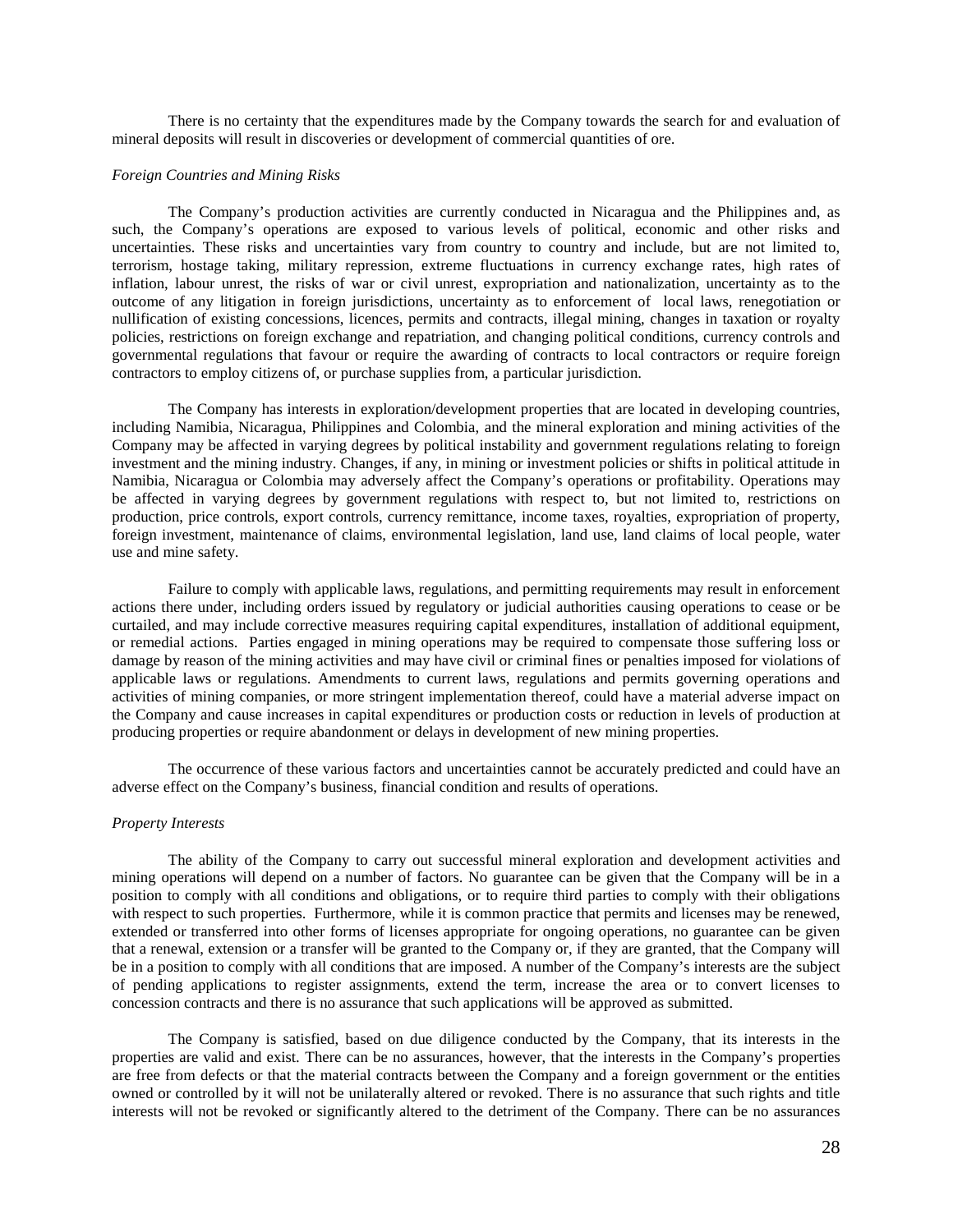There is no certainty that the expenditures made by the Company towards the search for and evaluation of mineral deposits will result in discoveries or development of commercial quantities of ore.

### *Foreign Countries and Mining Risks*

The Company's production activities are currently conducted in Nicaragua and the Philippines and, as such, the Company's operations are exposed to various levels of political, economic and other risks and uncertainties. These risks and uncertainties vary from country to country and include, but are not limited to, terrorism, hostage taking, military repression, extreme fluctuations in currency exchange rates, high rates of inflation, labour unrest, the risks of war or civil unrest, expropriation and nationalization, uncertainty as to the outcome of any litigation in foreign jurisdictions, uncertainty as to enforcement of local laws, renegotiation or nullification of existing concessions, licences, permits and contracts, illegal mining, changes in taxation or royalty policies, restrictions on foreign exchange and repatriation, and changing political conditions, currency controls and governmental regulations that favour or require the awarding of contracts to local contractors or require foreign contractors to employ citizens of, or purchase supplies from, a particular jurisdiction.

The Company has interests in exploration/development properties that are located in developing countries, including Namibia, Nicaragua, Philippines and Colombia, and the mineral exploration and mining activities of the Company may be affected in varying degrees by political instability and government regulations relating to foreign investment and the mining industry. Changes, if any, in mining or investment policies or shifts in political attitude in Namibia, Nicaragua or Colombia may adversely affect the Company's operations or profitability. Operations may be affected in varying degrees by government regulations with respect to, but not limited to, restrictions on production, price controls, export controls, currency remittance, income taxes, royalties, expropriation of property, foreign investment, maintenance of claims, environmental legislation, land use, land claims of local people, water use and mine safety.

Failure to comply with applicable laws, regulations, and permitting requirements may result in enforcement actions there under, including orders issued by regulatory or judicial authorities causing operations to cease or be curtailed, and may include corrective measures requiring capital expenditures, installation of additional equipment, or remedial actions. Parties engaged in mining operations may be required to compensate those suffering loss or damage by reason of the mining activities and may have civil or criminal fines or penalties imposed for violations of applicable laws or regulations. Amendments to current laws, regulations and permits governing operations and activities of mining companies, or more stringent implementation thereof, could have a material adverse impact on the Company and cause increases in capital expenditures or production costs or reduction in levels of production at producing properties or require abandonment or delays in development of new mining properties.

The occurrence of these various factors and uncertainties cannot be accurately predicted and could have an adverse effect on the Company's business, financial condition and results of operations.

# *Property Interests*

The ability of the Company to carry out successful mineral exploration and development activities and mining operations will depend on a number of factors. No guarantee can be given that the Company will be in a position to comply with all conditions and obligations, or to require third parties to comply with their obligations with respect to such properties. Furthermore, while it is common practice that permits and licenses may be renewed, extended or transferred into other forms of licenses appropriate for ongoing operations, no guarantee can be given that a renewal, extension or a transfer will be granted to the Company or, if they are granted, that the Company will be in a position to comply with all conditions that are imposed. A number of the Company's interests are the subject of pending applications to register assignments, extend the term, increase the area or to convert licenses to concession contracts and there is no assurance that such applications will be approved as submitted.

The Company is satisfied, based on due diligence conducted by the Company, that its interests in the properties are valid and exist. There can be no assurances, however, that the interests in the Company's properties are free from defects or that the material contracts between the Company and a foreign government or the entities owned or controlled by it will not be unilaterally altered or revoked. There is no assurance that such rights and title interests will not be revoked or significantly altered to the detriment of the Company. There can be no assurances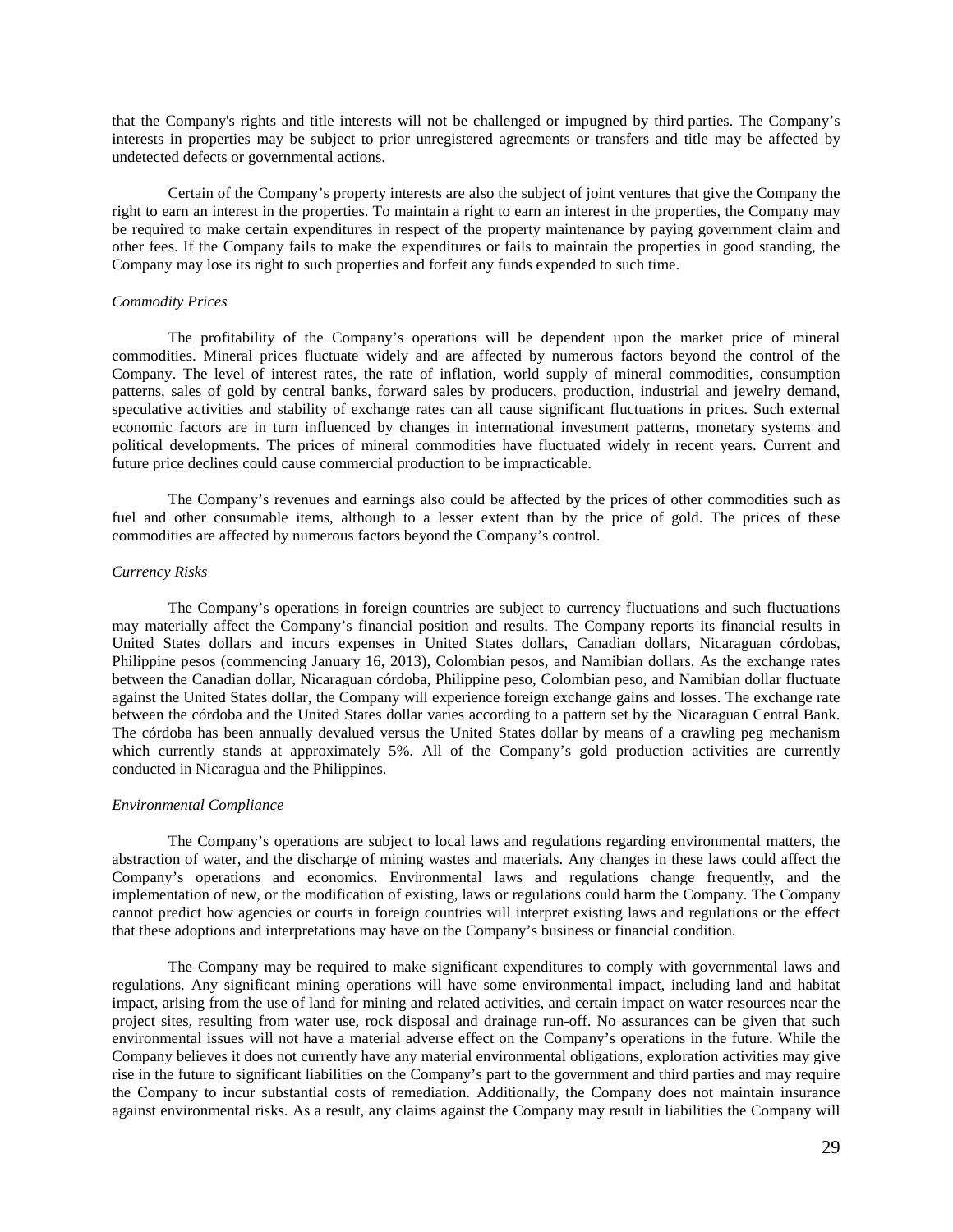that the Company's rights and title interests will not be challenged or impugned by third parties. The Company's interests in properties may be subject to prior unregistered agreements or transfers and title may be affected by undetected defects or governmental actions.

Certain of the Company's property interests are also the subject of joint ventures that give the Company the right to earn an interest in the properties. To maintain a right to earn an interest in the properties, the Company may be required to make certain expenditures in respect of the property maintenance by paying government claim and other fees. If the Company fails to make the expenditures or fails to maintain the properties in good standing, the Company may lose its right to such properties and forfeit any funds expended to such time.

# *Commodity Prices*

The profitability of the Company's operations will be dependent upon the market price of mineral commodities. Mineral prices fluctuate widely and are affected by numerous factors beyond the control of the Company. The level of interest rates, the rate of inflation, world supply of mineral commodities, consumption patterns, sales of gold by central banks, forward sales by producers, production, industrial and jewelry demand, speculative activities and stability of exchange rates can all cause significant fluctuations in prices. Such external economic factors are in turn influenced by changes in international investment patterns, monetary systems and political developments. The prices of mineral commodities have fluctuated widely in recent years. Current and future price declines could cause commercial production to be impracticable.

The Company's revenues and earnings also could be affected by the prices of other commodities such as fuel and other consumable items, although to a lesser extent than by the price of gold. The prices of these commodities are affected by numerous factors beyond the Company's control.

# *Currency Risks*

The Company's operations in foreign countries are subject to currency fluctuations and such fluctuations may materially affect the Company's financial position and results. The Company reports its financial results in United States dollars and incurs expenses in United States dollars, Canadian dollars, Nicaraguan córdobas, Philippine pesos (commencing January 16, 2013), Colombian pesos, and Namibian dollars. As the exchange rates between the Canadian dollar, Nicaraguan córdoba, Philippine peso, Colombian peso, and Namibian dollar fluctuate against the United States dollar, the Company will experience foreign exchange gains and losses. The exchange rate between the córdoba and the United States dollar varies according to a pattern set by the Nicaraguan Central Bank. The córdoba has been annually devalued versus the United States dollar by means of a crawling peg mechanism which currently stands at approximately 5%. All of the Company's gold production activities are currently conducted in Nicaragua and the Philippines.

### *Environmental Compliance*

The Company's operations are subject to local laws and regulations regarding environmental matters, the abstraction of water, and the discharge of mining wastes and materials. Any changes in these laws could affect the Company's operations and economics. Environmental laws and regulations change frequently, and the implementation of new, or the modification of existing, laws or regulations could harm the Company. The Company cannot predict how agencies or courts in foreign countries will interpret existing laws and regulations or the effect that these adoptions and interpretations may have on the Company's business or financial condition.

The Company may be required to make significant expenditures to comply with governmental laws and regulations. Any significant mining operations will have some environmental impact, including land and habitat impact, arising from the use of land for mining and related activities, and certain impact on water resources near the project sites, resulting from water use, rock disposal and drainage run-off. No assurances can be given that such environmental issues will not have a material adverse effect on the Company's operations in the future. While the Company believes it does not currently have any material environmental obligations, exploration activities may give rise in the future to significant liabilities on the Company's part to the government and third parties and may require the Company to incur substantial costs of remediation. Additionally, the Company does not maintain insurance against environmental risks. As a result, any claims against the Company may result in liabilities the Company will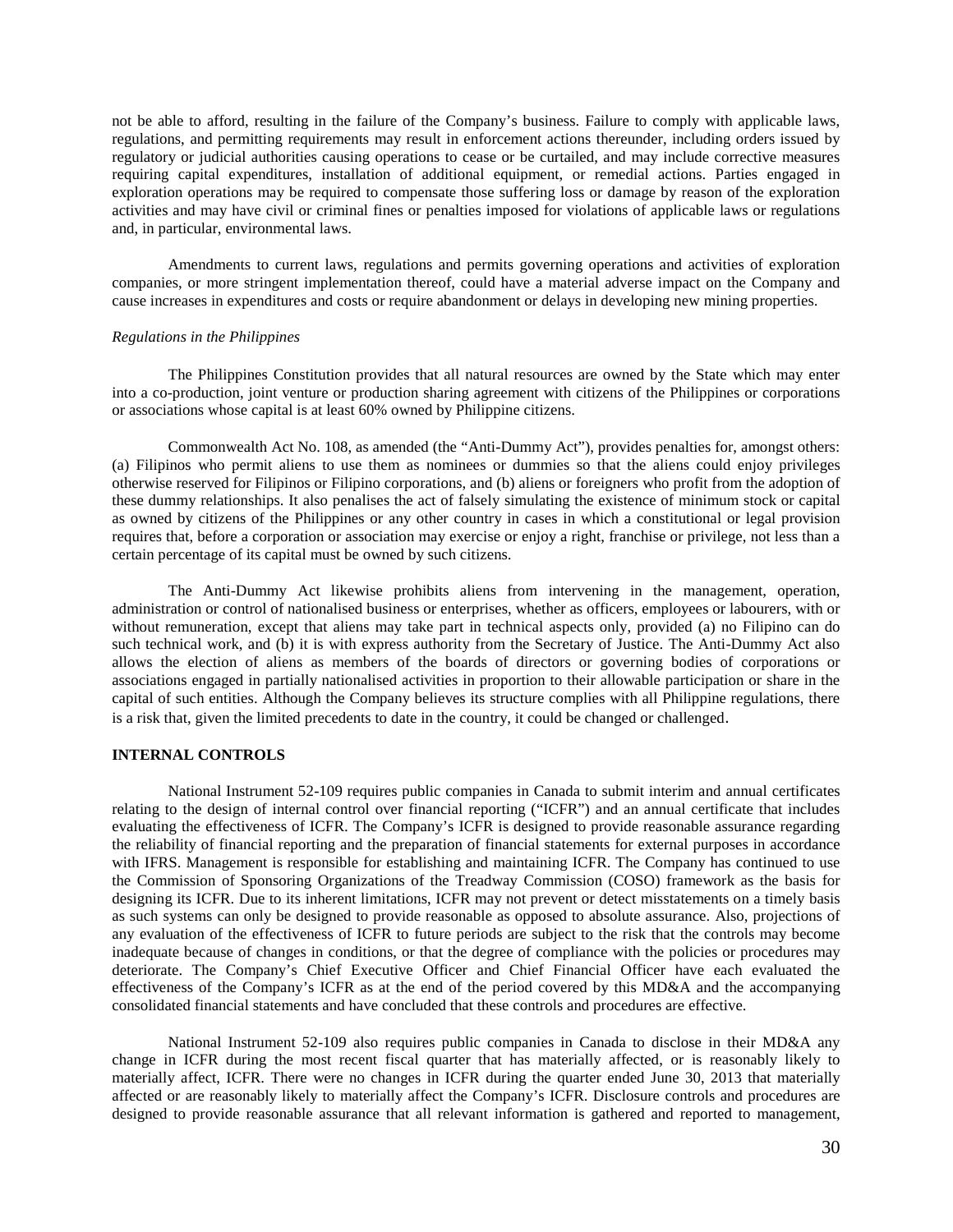not be able to afford, resulting in the failure of the Company's business. Failure to comply with applicable laws, regulations, and permitting requirements may result in enforcement actions thereunder, including orders issued by regulatory or judicial authorities causing operations to cease or be curtailed, and may include corrective measures requiring capital expenditures, installation of additional equipment, or remedial actions. Parties engaged in exploration operations may be required to compensate those suffering loss or damage by reason of the exploration activities and may have civil or criminal fines or penalties imposed for violations of applicable laws or regulations and, in particular, environmental laws.

Amendments to current laws, regulations and permits governing operations and activities of exploration companies, or more stringent implementation thereof, could have a material adverse impact on the Company and cause increases in expenditures and costs or require abandonment or delays in developing new mining properties.

#### *Regulations in the Philippines*

The Philippines Constitution provides that all natural resources are owned by the State which may enter into a co-production, joint venture or production sharing agreement with citizens of the Philippines or corporations or associations whose capital is at least 60% owned by Philippine citizens.

Commonwealth Act No. 108, as amended (the "Anti-Dummy Act"), provides penalties for, amongst others: (a) Filipinos who permit aliens to use them as nominees or dummies so that the aliens could enjoy privileges otherwise reserved for Filipinos or Filipino corporations, and (b) aliens or foreigners who profit from the adoption of these dummy relationships. It also penalises the act of falsely simulating the existence of minimum stock or capital as owned by citizens of the Philippines or any other country in cases in which a constitutional or legal provision requires that, before a corporation or association may exercise or enjoy a right, franchise or privilege, not less than a certain percentage of its capital must be owned by such citizens.

The Anti-Dummy Act likewise prohibits aliens from intervening in the management, operation, administration or control of nationalised business or enterprises, whether as officers, employees or labourers, with or without remuneration, except that aliens may take part in technical aspects only, provided (a) no Filipino can do such technical work, and (b) it is with express authority from the Secretary of Justice. The Anti-Dummy Act also allows the election of aliens as members of the boards of directors or governing bodies of corporations or associations engaged in partially nationalised activities in proportion to their allowable participation or share in the capital of such entities. Although the Company believes its structure complies with all Philippine regulations, there is a risk that, given the limited precedents to date in the country, it could be changed or challenged.

### **INTERNAL CONTROLS**

National Instrument 52-109 requires public companies in Canada to submit interim and annual certificates relating to the design of internal control over financial reporting ("ICFR") and an annual certificate that includes evaluating the effectiveness of ICFR. The Company's ICFR is designed to provide reasonable assurance regarding the reliability of financial reporting and the preparation of financial statements for external purposes in accordance with IFRS. Management is responsible for establishing and maintaining ICFR. The Company has continued to use the Commission of Sponsoring Organizations of the Treadway Commission (COSO) framework as the basis for designing its ICFR. Due to its inherent limitations, ICFR may not prevent or detect misstatements on a timely basis as such systems can only be designed to provide reasonable as opposed to absolute assurance. Also, projections of any evaluation of the effectiveness of ICFR to future periods are subject to the risk that the controls may become inadequate because of changes in conditions, or that the degree of compliance with the policies or procedures may deteriorate. The Company's Chief Executive Officer and Chief Financial Officer have each evaluated the effectiveness of the Company's ICFR as at the end of the period covered by this MD&A and the accompanying consolidated financial statements and have concluded that these controls and procedures are effective.

National Instrument 52-109 also requires public companies in Canada to disclose in their MD&A any change in ICFR during the most recent fiscal quarter that has materially affected, or is reasonably likely to materially affect, ICFR. There were no changes in ICFR during the quarter ended June 30, 2013 that materially affected or are reasonably likely to materially affect the Company's ICFR. Disclosure controls and procedures are designed to provide reasonable assurance that all relevant information is gathered and reported to management,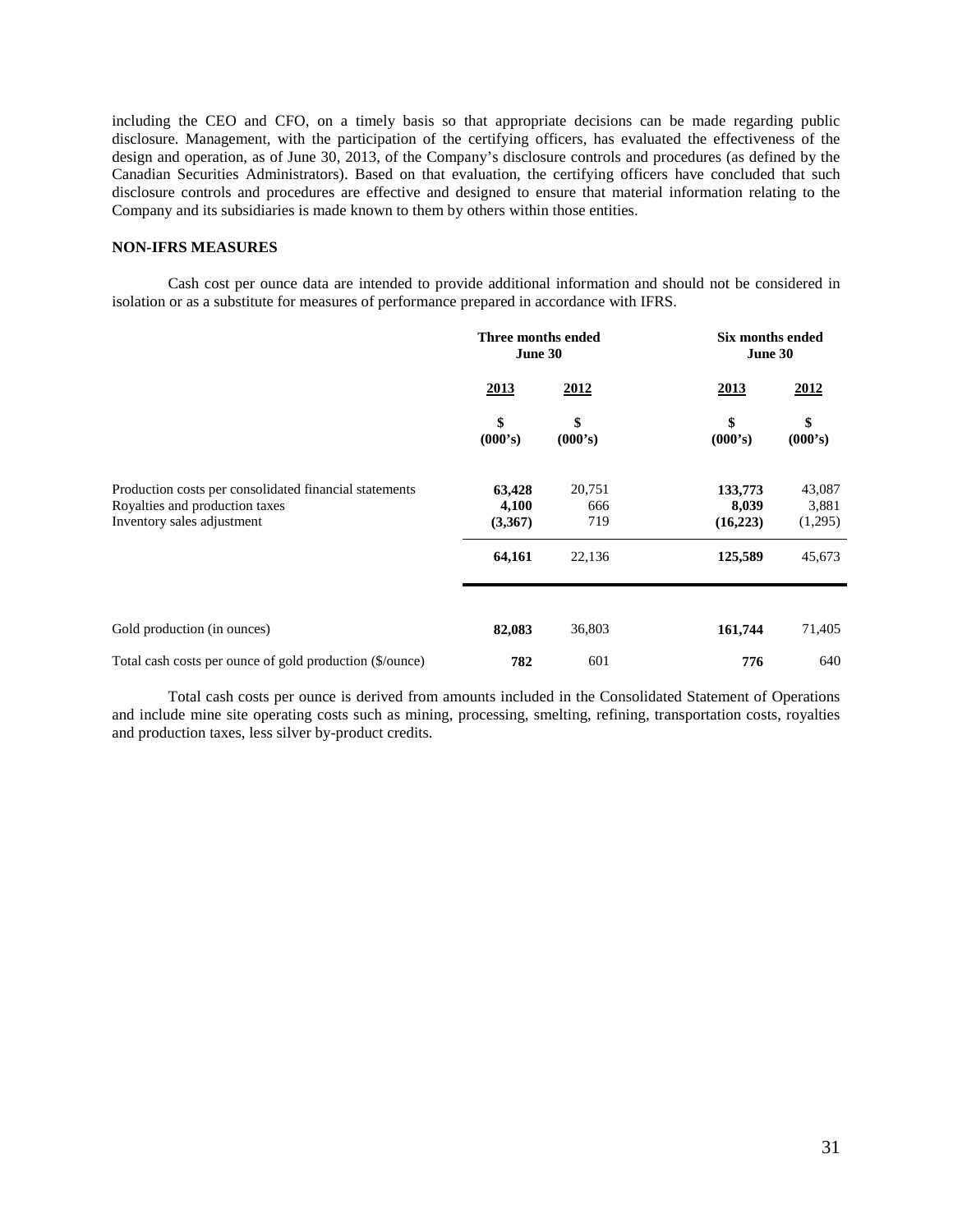including the CEO and CFO, on a timely basis so that appropriate decisions can be made regarding public disclosure. Management, with the participation of the certifying officers, has evaluated the effectiveness of the design and operation, as of June 30, 2013, of the Company's disclosure controls and procedures (as defined by the Canadian Securities Administrators). Based on that evaluation, the certifying officers have concluded that such disclosure controls and procedures are effective and designed to ensure that material information relating to the Company and its subsidiaries is made known to them by others within those entities.

## **NON-IFRS MEASURES**

Cash cost per ounce data are intended to provide additional information and should not be considered in isolation or as a substitute for measures of performance prepared in accordance with IFRS.

|                                                                                                                        | Three months ended<br>June 30 |                      | Six months ended<br>June 30  |                            |  |
|------------------------------------------------------------------------------------------------------------------------|-------------------------------|----------------------|------------------------------|----------------------------|--|
|                                                                                                                        | 2013                          | 2012                 | 2013                         | 2012                       |  |
|                                                                                                                        | \$<br>(000's)                 | \$<br>(000's)        | \$<br>(000's)                | \$<br>(000's)              |  |
| Production costs per consolidated financial statements<br>Royalties and production taxes<br>Inventory sales adjustment | 63,428<br>4,100<br>(3,367)    | 20,751<br>666<br>719 | 133,773<br>8,039<br>(16,223) | 43,087<br>3,881<br>(1,295) |  |
|                                                                                                                        | 64,161                        | 22,136               | 125,589                      | 45,673                     |  |
| Gold production (in ounces)                                                                                            | 82,083                        | 36,803               | 161,744                      | 71,405                     |  |
| Total cash costs per ounce of gold production (\$/ounce)                                                               | 782                           | 601                  | 776                          | 640                        |  |

Total cash costs per ounce is derived from amounts included in the Consolidated Statement of Operations and include mine site operating costs such as mining, processing, smelting, refining, transportation costs, royalties and production taxes, less silver by-product credits.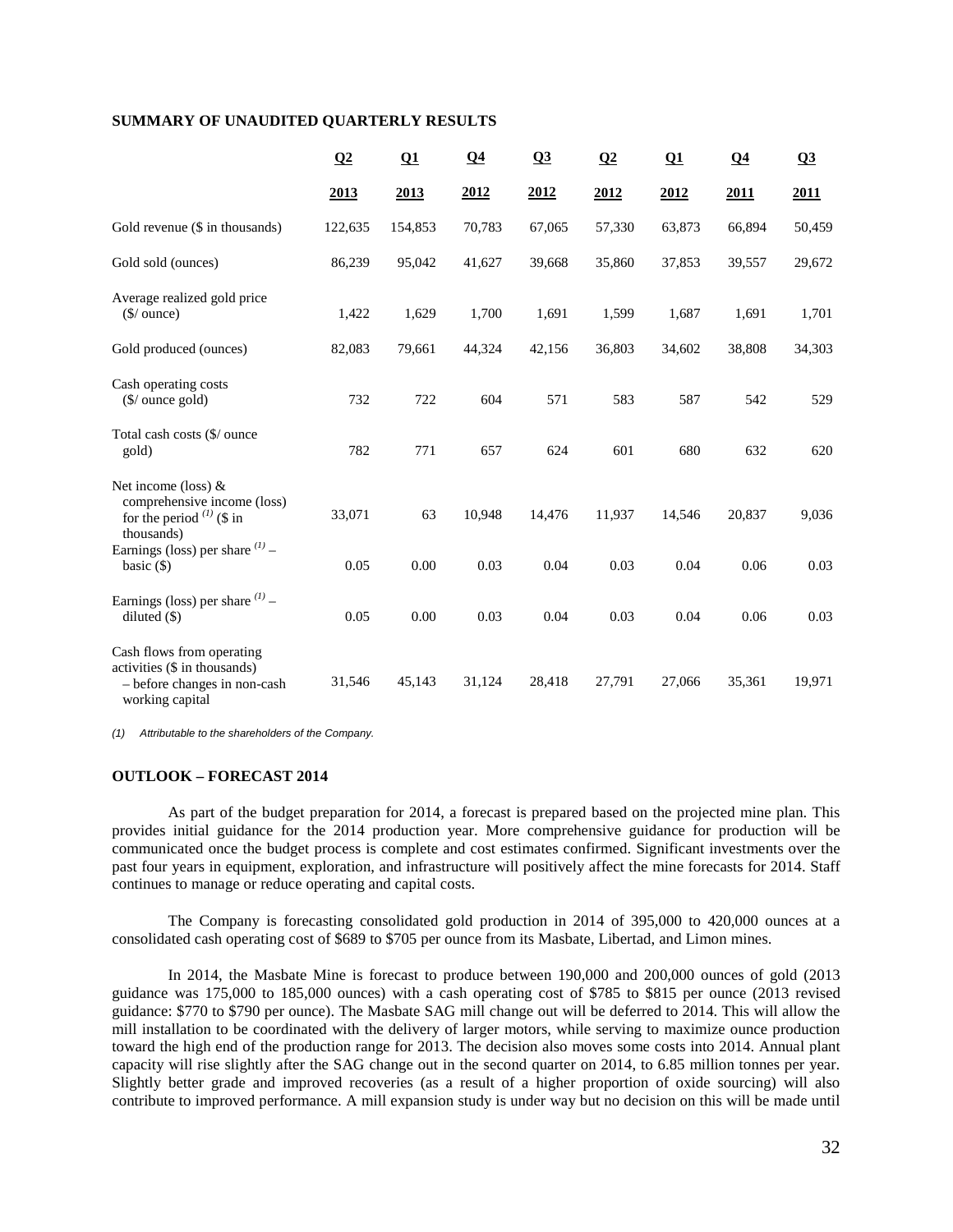# **SUMMARY OF UNAUDITED QUARTERLY RESULTS**

|                                                                                                              | $\Omega$ | $\Omega$ | Q <sub>4</sub> | Q3     | Q2     | $\Omega$ 1 | $\Omega$ | Q3     |
|--------------------------------------------------------------------------------------------------------------|----------|----------|----------------|--------|--------|------------|----------|--------|
|                                                                                                              | 2013     | 2013     | 2012           | 2012   | 2012   | 2012       | 2011     | 2011   |
| Gold revenue (\$ in thousands)                                                                               | 122,635  | 154,853  | 70,783         | 67,065 | 57,330 | 63,873     | 66,894   | 50,459 |
| Gold sold (ounces)                                                                                           | 86,239   | 95,042   | 41,627         | 39,668 | 35,860 | 37,853     | 39,557   | 29,672 |
| Average realized gold price<br>$$/$ ounce)                                                                   | 1,422    | 1,629    | 1,700          | 1,691  | 1,599  | 1,687      | 1,691    | 1,701  |
| Gold produced (ounces)                                                                                       | 82,083   | 79,661   | 44,324         | 42,156 | 36,803 | 34,602     | 38,808   | 34,303 |
| Cash operating costs<br>$(\frac{\sqrt{2}}{2})$ ounce gold)                                                   | 732      | 722      | 604            | 571    | 583    | 587        | 542      | 529    |
| Total cash costs (\$/ ounce<br>gold)                                                                         | 782      | 771      | 657            | 624    | 601    | 680        | 632      | 620    |
| Net income (loss) $&$<br>comprehensive income (loss)<br>for the period $(1)$ (\$ in<br>thousands)            | 33,071   | 63       | 10,948         | 14,476 | 11,937 | 14,546     | 20,837   | 9,036  |
| Earnings (loss) per share $(1)$ –<br>basic $($ )                                                             | 0.05     | 0.00     | 0.03           | 0.04   | 0.03   | 0.04       | 0.06     | 0.03   |
| Earnings (loss) per share $^{(1)}$ –<br>diluted $($ \$)                                                      | 0.05     | 0.00     | 0.03           | 0.04   | 0.03   | 0.04       | 0.06     | 0.03   |
| Cash flows from operating<br>activities (\$ in thousands)<br>- before changes in non-cash<br>working capital | 31,546   | 45,143   | 31,124         | 28,418 | 27,791 | 27,066     | 35,361   | 19,971 |

*(1) Attributable to the shareholders of the Company.* 

### **OUTLOOK – FORECAST 2014**

As part of the budget preparation for 2014, a forecast is prepared based on the projected mine plan. This provides initial guidance for the 2014 production year. More comprehensive guidance for production will be communicated once the budget process is complete and cost estimates confirmed. Significant investments over the past four years in equipment, exploration, and infrastructure will positively affect the mine forecasts for 2014. Staff continues to manage or reduce operating and capital costs.

The Company is forecasting consolidated gold production in 2014 of 395,000 to 420,000 ounces at a consolidated cash operating cost of \$689 to \$705 per ounce from its Masbate, Libertad, and Limon mines.

In 2014, the Masbate Mine is forecast to produce between 190,000 and 200,000 ounces of gold (2013 guidance was 175,000 to 185,000 ounces) with a cash operating cost of \$785 to \$815 per ounce (2013 revised guidance: \$770 to \$790 per ounce). The Masbate SAG mill change out will be deferred to 2014. This will allow the mill installation to be coordinated with the delivery of larger motors, while serving to maximize ounce production toward the high end of the production range for 2013. The decision also moves some costs into 2014. Annual plant capacity will rise slightly after the SAG change out in the second quarter on 2014, to 6.85 million tonnes per year. Slightly better grade and improved recoveries (as a result of a higher proportion of oxide sourcing) will also contribute to improved performance. A mill expansion study is under way but no decision on this will be made until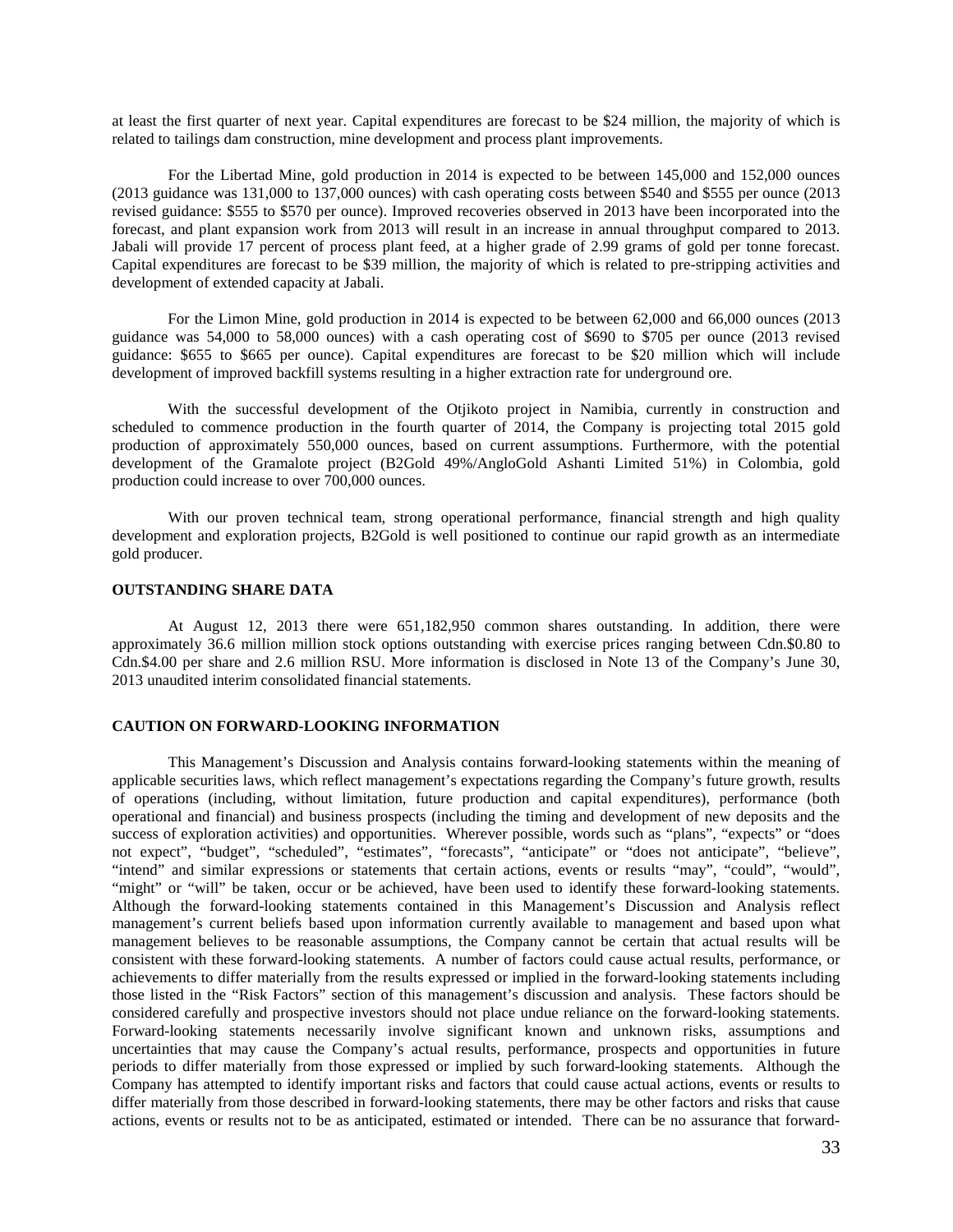at least the first quarter of next year. Capital expenditures are forecast to be \$24 million, the majority of which is related to tailings dam construction, mine development and process plant improvements.

For the Libertad Mine, gold production in 2014 is expected to be between 145,000 and 152,000 ounces (2013 guidance was 131,000 to 137,000 ounces) with cash operating costs between \$540 and \$555 per ounce (2013 revised guidance: \$555 to \$570 per ounce). Improved recoveries observed in 2013 have been incorporated into the forecast, and plant expansion work from 2013 will result in an increase in annual throughput compared to 2013. Jabali will provide 17 percent of process plant feed, at a higher grade of 2.99 grams of gold per tonne forecast. Capital expenditures are forecast to be \$39 million, the majority of which is related to pre-stripping activities and development of extended capacity at Jabali.

For the Limon Mine, gold production in 2014 is expected to be between 62,000 and 66,000 ounces (2013 guidance was 54,000 to 58,000 ounces) with a cash operating cost of \$690 to \$705 per ounce (2013 revised guidance: \$655 to \$665 per ounce). Capital expenditures are forecast to be \$20 million which will include development of improved backfill systems resulting in a higher extraction rate for underground ore.

With the successful development of the Otjikoto project in Namibia, currently in construction and scheduled to commence production in the fourth quarter of 2014, the Company is projecting total 2015 gold production of approximately 550,000 ounces, based on current assumptions. Furthermore, with the potential development of the Gramalote project (B2Gold 49%/AngloGold Ashanti Limited 51%) in Colombia, gold production could increase to over 700,000 ounces.

With our proven technical team, strong operational performance, financial strength and high quality development and exploration projects, B2Gold is well positioned to continue our rapid growth as an intermediate gold producer.

# **OUTSTANDING SHARE DATA**

At August 12, 2013 there were 651,182,950 common shares outstanding. In addition, there were approximately 36.6 million million stock options outstanding with exercise prices ranging between Cdn.\$0.80 to Cdn.\$4.00 per share and 2.6 million RSU. More information is disclosed in Note 13 of the Company's June 30, 2013 unaudited interim consolidated financial statements.

## **CAUTION ON FORWARD-LOOKING INFORMATION**

This Management's Discussion and Analysis contains forward-looking statements within the meaning of applicable securities laws, which reflect management's expectations regarding the Company's future growth, results of operations (including, without limitation, future production and capital expenditures), performance (both operational and financial) and business prospects (including the timing and development of new deposits and the success of exploration activities) and opportunities. Wherever possible, words such as "plans", "expects" or "does not expect", "budget", "scheduled", "estimates", "forecasts", "anticipate" or "does not anticipate", "believe", "intend" and similar expressions or statements that certain actions, events or results "may", "could", "would", "might" or "will" be taken, occur or be achieved, have been used to identify these forward-looking statements. Although the forward-looking statements contained in this Management's Discussion and Analysis reflect management's current beliefs based upon information currently available to management and based upon what management believes to be reasonable assumptions, the Company cannot be certain that actual results will be consistent with these forward-looking statements. A number of factors could cause actual results, performance, or achievements to differ materially from the results expressed or implied in the forward-looking statements including those listed in the "Risk Factors" section of this management's discussion and analysis. These factors should be considered carefully and prospective investors should not place undue reliance on the forward-looking statements. Forward-looking statements necessarily involve significant known and unknown risks, assumptions and uncertainties that may cause the Company's actual results, performance, prospects and opportunities in future periods to differ materially from those expressed or implied by such forward-looking statements. Although the Company has attempted to identify important risks and factors that could cause actual actions, events or results to differ materially from those described in forward-looking statements, there may be other factors and risks that cause actions, events or results not to be as anticipated, estimated or intended. There can be no assurance that forward